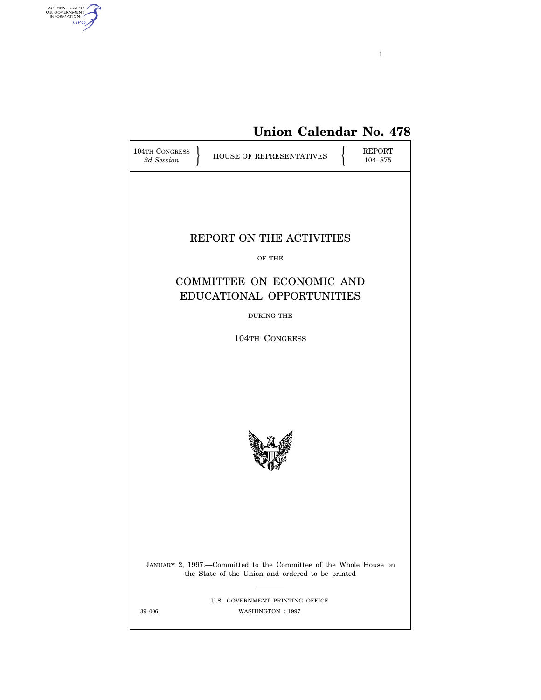

**Union Calendar No. 478**

| <b>104TH CONGRESS</b><br>2d Session | HOUSE OF REPRESENTATIVES                                                                                              |  | REPORT<br>104-875 |  |
|-------------------------------------|-----------------------------------------------------------------------------------------------------------------------|--|-------------------|--|
|                                     |                                                                                                                       |  |                   |  |
| REPORT ON THE ACTIVITIES            |                                                                                                                       |  |                   |  |
|                                     | OF THE                                                                                                                |  |                   |  |
|                                     | COMMITTEE ON ECONOMIC AND<br>EDUCATIONAL OPPORTUNITIES                                                                |  |                   |  |
|                                     | <b>DURING THE</b>                                                                                                     |  |                   |  |
|                                     | 104TH CONGRESS                                                                                                        |  |                   |  |
|                                     |                                                                                                                       |  |                   |  |
|                                     | JANUARY 2, 1997.-Committed to the Committee of the Whole House on<br>the State of the Union and ordered to be printed |  |                   |  |
| 39-006                              | U.S. GOVERNMENT PRINTING OFFICE<br>WASHINGTON: 1997                                                                   |  |                   |  |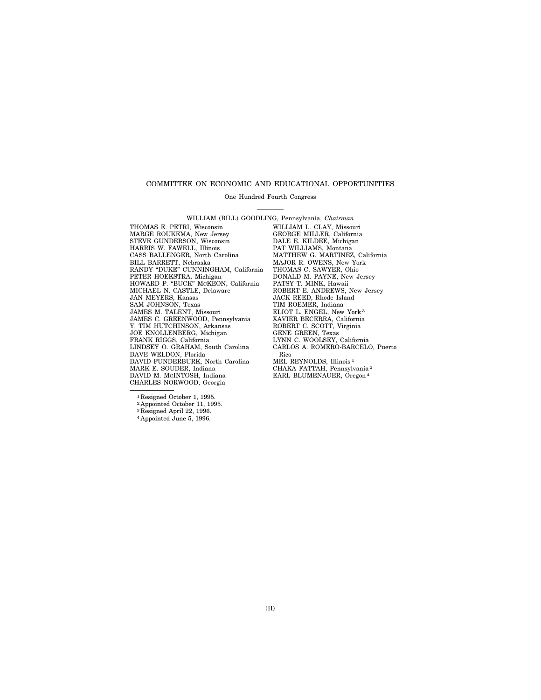#### COMMITTEE ON ECONOMIC AND EDUCATIONAL OPPORTUNITIES

One Hundred Fourth Congress

WILLIAM (BILL) GOODLING, Pennsylvania, *Chairman*

THOMAS E. PETRI, Wisconsin WILLIAM L. CLAY, Missouri MARGE ROUKEMA, New Jersey GEORGE MILLER, California STEVE GUNDERSON, Wisconsin DALE E. KILDEE, Michigan HARRIS W. FAWELL, Illinois PAT WILLIAMS, Montana CASS BALLENGER, North Carolina MATTHEW G. MARTINEZ, California BILL BARRETT, Nebraska MAJOR R. OWENS, New York RANDY ''DUKE'' CUNNINGHAM, California THOMAS C. SAWYER, Ohio PETER HOEKSTRA, Michigan DONALD M. PAYNE, New Jersey HOWARD P. ''BUCK'' MCKEON, California PATSY T. MINK, Hawaii MICHAEL N. CASTLE, Delaware ROBERT E. ANDREWS, New Jersey JAN MEYERS, Kansas JACK REED, Rhode Island SAM JOHNSON, Texas TIM ROEMER, Indiana JAMES M. TALENT, Missouri ELIOT L. ENGEL, New JAMES C. GREENWOOD, Pennsylvania Y. TIM HUTCHINSON, Arkansas ROBERT C. SCOTT, Virginia JOE KNOLLENBERG, Michigan<br>FRANK RIGGS, California FRANK RIGGS, California LYNN C. WOOLSEY, California LINDSEY O. GRAHAM, South Carolina CARLOS A. ROMERO-BARCELO, Puerto DAVE WELDON, Florida Rico DAVID FUNDERBURK, North Carolina<br>MARK E. SOUDER, Indiana DAVID FUNDERBURK, North Carolina MEL REYNOLDS, Illinois<sup>1</sup><br>MARK E. SOUDER, Indiana CHAKA FATTAH, Pennsylvania<sup>2</sup><br>DAVID M. McINTOSH, Indiana EARL BLUMENAUER, Oregon<sup>4</sup> CHARLES NORWOOD, Georgia

ELIOT L. ENGEL, New York<sup>3</sup><br>XAVIER BECERRA, California<br>ROBERT C. SCOTT, Virginia EARL BLUMENAUER, Oregon<sup>4</sup>

1 Resigned October 1, 1995.

<sup>2</sup> Appointed October 11, 1995.

3 Resigned April 22, 1996.

<sup>4</sup> Appointed June 5, 1996.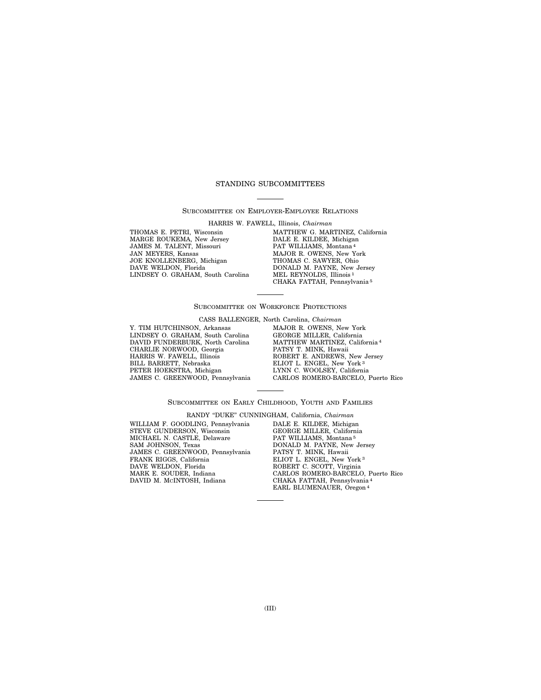## STANDING SUBCOMMITTEES

SUBCOMMITTEE ON EMPLOYER-EMPLOYEE RELATIONS

HARRIS W. FAWELL, Illinois, *Chairman*

THOMAS E. PETRI, Wisconsin MARGE ROUKEMA, New Jersey JAMES M. TALENT, Missouri JAN MEYERS, Kansas JOE KNOLLENBERG, Michigan DAVE WELDON, Florida LINDSEY O. GRAHAM, South Carolina MATTHEW G. MARTINEZ, California DALE E. KILDEE, Michigan PAT WILLIAMS, Montana 4 MAJOR R. OWENS, New York THOMAS C. SAWYER, Ohio DONALD M. PAYNE, New Jersey MEL REYNOLDS, Illinois 1 CHAKA FATTAH, Pennsylvania 5

## SUBCOMMITTEE ON WORKFORCE PROTECTIONS

CASS BALLENGER, North Carolina, *Chairman*

Y. TIM HUTCHINSON, Arkansas LINDSEY O. GRAHAM, South Carolina DAVID FUNDERBURK, North Carolina CHARLIE NORWOOD, Georgia HARRIS W. FAWELL, Illinois BILL BARRETT, Nebraska PETER HOEKSTRA, Michigan JAMES C. GREENWOOD, Pennsylvania MAJOR R. OWENS, New York GEORGE MILLER, California MATTHEW MARTINEZ, California 4 PATSY T. MINK, Hawaii ROBERT E. ANDREWS, New Jersey ELIOT L. ENGEL, New York 3 LYNN C. WOOLSEY, California CARLOS ROMERO-BARCELO, Puerto Rico

## SUBCOMMITTEE ON EARLY CHILDHOOD, YOUTH AND FAMILIES

RANDY ''DUKE'' CUNNINGHAM, California, *Chairman*

WILLIAM F. GOODLING, Pennsylvania STEVE GUNDERSON, Wisconsin MICHAEL N. CASTLE, Delaware SAM JOHNSON, Texas JAMES C. GREENWOOD, Pennsylvania FRANK RIGGS, California DAVE WELDON, Florida MARK E. SOUDER, Indiana DAVID M. MCINTOSH, Indiana

DALE E. KILDEE, Michigan GEORGE MILLER, California PAT WILLIAMS, Montana 5 DONALD M. PAYNE, New Jersey PATSY T. MINK, Hawaii ELIOT L. ENGEL, New York 3 ROBERT C. SCOTT, Virginia CARLOS ROMERO-BARCELO, Puerto Rico CHAKA FATTAH, Pennsylvania 4 EARL BLUMENAUER, Oregon<sup>4</sup>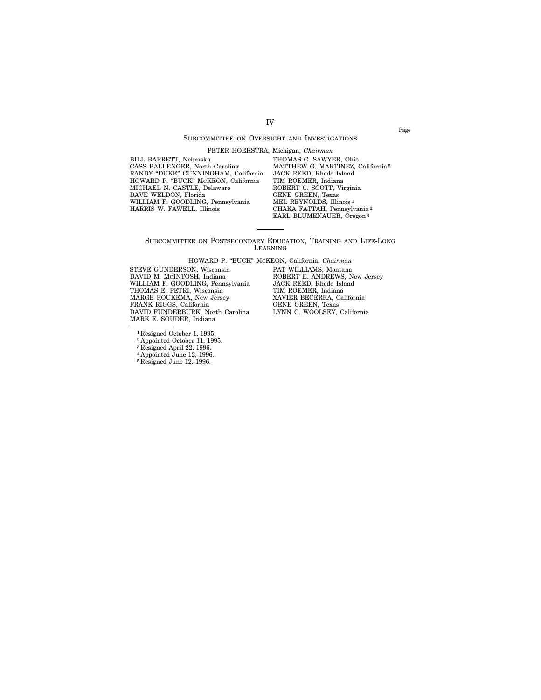## SUBCOMMITTEE ON OVERSIGHT AND INVESTIGATIONS

IV

PETER HOEKSTRA, Michigan, *Chairman*

BILL BARRETT, Nebraska CASS BALLENGER, North Carolina RANDY "DUKE" CUNNINGHAM, California<br>HOWARD P. "BUCK" McKEON, California<br>MICHAEL N. CASTLE, Delaware DAVE WELDON, Florida WILLIAM F. GOODLING, Pennsylvania HARRIS W. FAWELL, Illinois

THOMAS C. SAWYER, Ohio MATTHEW G. MARTINEZ, California 5 JACK REED, Rhode Island TIM ROEMER, Indiana ROBERT C. SCOTT, Virginia GENE GREEN, Texas MEL REYNOLDS, Illinois<sup>1</sup> CHAKA FATTAH, Pennsylvania 2 EARL BLUMENAUER, Oregon 4

SUBCOMMITTEE ON POSTSECONDARY EDUCATION, TRAINING AND LIFE-LONG LEARNING

HOWARD P. ''BUCK'' MCKEON, California, *Chairman*

STEVE GUNDERSON, Wisconsin DAVID M. MCINTOSH, Indiana WILLIAM F. GOODLING, Pennsylvania THOMAS E. PETRI, Wisconsin MARGE ROUKEMA, New Jersey FRANK RIGGS, California DAVID FUNDERBURK, North Carolina MARK E. SOUDER, Indiana

PAT WILLIAMS, Montana ROBERT E. ANDREWS, New Jersey JACK REED, Rhode Island TIM ROEMER, Indiana XAVIER BECERRA, California GENE GREEN, Texas LYNN C. WOOLSEY, California

1 Resigned October 1, 1995.

<sup>2</sup> Appointed October 11, 1995.

3 Resigned April 22, 1996.

4 Appointed June 12, 1996.

5 Resigned June 12, 1996.

Page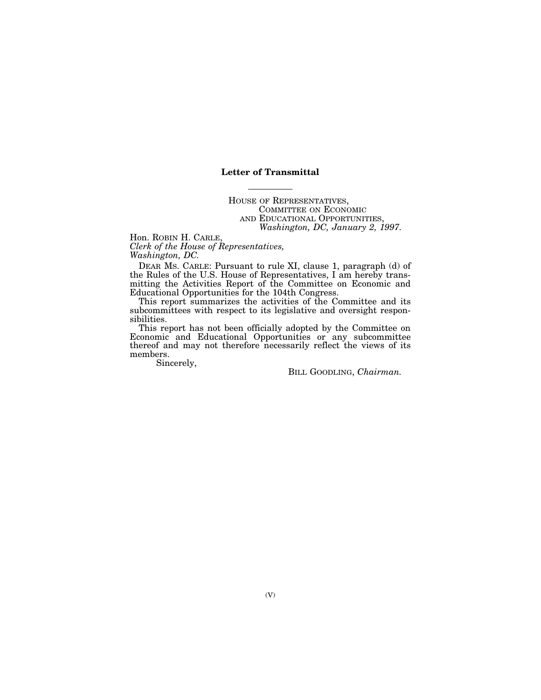## **Letter of Transmittal**

HOUSE OF REPRESENTATIVES, COMMITTEE ON ECONOMIC AND EDUCATIONAL OPPORTUNITIES, *Washington, DC, January 2, 1997.*

Hon. ROBIN H. CARLE, *Clerk of the House of Representatives, Washington, DC.*

DEAR MS. CARLE: Pursuant to rule XI, clause 1, paragraph (d) of the Rules of the U.S. House of Representatives, I am hereby transmitting the Activities Report of the Committee on Economic and Educational Opportunities for the 104th Congress.

This report summarizes the activities of the Committee and its subcommittees with respect to its legislative and oversight responsibilities.

This report has not been officially adopted by the Committee on Economic and Educational Opportunities or any subcommittee thereof and may not therefore necessarily reflect the views of its members.

Sincerely,

BILL GOODLING, *Chairman.*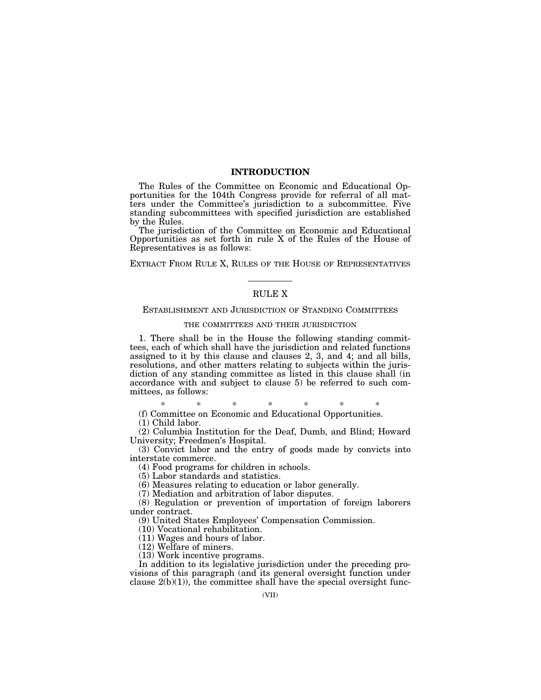## **INTRODUCTION**

The Rules of the Committee on Economic and Educational Opportunities for the 104th Congress provide for referral of all matters under the Committee's jurisdiction to a subcommittee. Five standing subcommittees with specified jurisdiction are established by the Rules.

The jurisdiction of the Committee on Economic and Educational Opportunities as set forth in rule X of the Rules of the House of Representatives is as follows:

EXTRACT FROM RULE X, RULES OF THE HOUSE OF REPRESENTATIVES

## RULE X

### ESTABLISHMENT AND JURISDICTION OF STANDING COMMITTEES

## THE COMMITTEES AND THEIR JURISDICTION

1. There shall be in the House the following standing committees, each of which shall have the jurisdiction and related functions assigned to it by this clause and clauses 2, 3, and 4; and all bills, resolutions, and other matters relating to subjects within the jurisdiction of any standing committee as listed in this clause shall (in accordance with and subject to clause 5) be referred to such committees, as follows:

\* \* \* \* \* \* \*

(f) Committee on Economic and Educational Opportunities.

(1) Child labor.

(2) Columbia Institution for the Deaf, Dumb, and Blind; Howard University; Freedmen's Hospital.

(3) Convict labor and the entry of goods made by convicts into interstate commerce.

(4) Food programs for children in schools.

(5) Labor standards and statistics.

(6) Measures relating to education or labor generally.

(7) Mediation and arbitration of labor disputes.

(8) Regulation or prevention of importation of foreign laborers under contract.

(9) United States Employees' Compensation Commission.

(10) Vocational rehabilitation.

(11) Wages and hours of labor.

(12) Welfare of miners.

(13) Work incentive programs.

In addition to its legislative jurisdiction under the preceding provisions of this paragraph (and its general oversight function under clause  $2(b)(1)$ , the committee shall have the special oversight func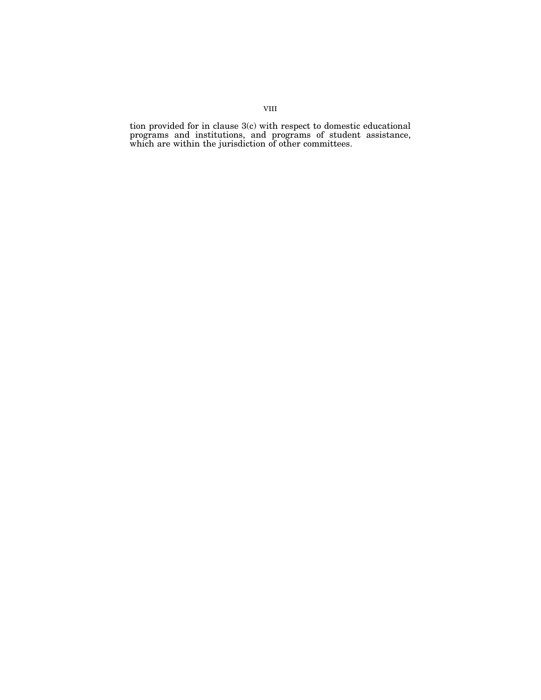tion provided for in clause 3(c) with respect to domestic educational programs and institutions, and programs of student assistance, which are within the jurisdiction of other committees.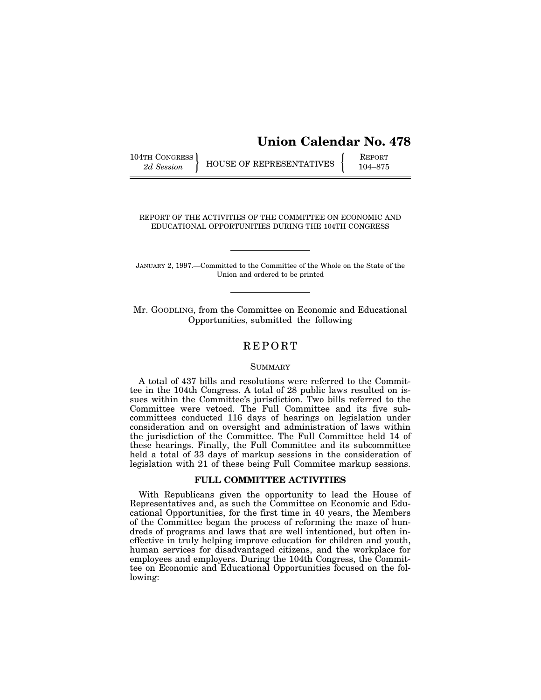# **Union Calendar No. 478**

104TH CONGRESS HOUSE OF REPRESENTATIVES **REPORT** 104–875

REPORT OF THE ACTIVITIES OF THE COMMITTEE ON ECONOMIC AND EDUCATIONAL OPPORTUNITIES DURING THE 104TH CONGRESS

JANUARY 2, 1997.—Committed to the Committee of the Whole on the State of the Union and ordered to be printed

Mr. GOODLING, from the Committee on Economic and Educational Opportunities, submitted the following

## REPORT

## **SUMMARY**

A total of 437 bills and resolutions were referred to the Committee in the 104th Congress. A total of 28 public laws resulted on issues within the Committee's jurisdiction. Two bills referred to the Committee were vetoed. The Full Committee and its five subcommittees conducted 116 days of hearings on legislation under consideration and on oversight and administration of laws within the jurisdiction of the Committee. The Full Committee held 14 of these hearings. Finally, the Full Committee and its subcommittee held a total of 33 days of markup sessions in the consideration of legislation with 21 of these being Full Commitee markup sessions.

## **FULL COMMITTEE ACTIVITIES**

With Republicans given the opportunity to lead the House of Representatives and, as such the Committee on Economic and Educational Opportunities, for the first time in 40 years, the Members of the Committee began the process of reforming the maze of hundreds of programs and laws that are well intentioned, but often ineffective in truly helping improve education for children and youth, human services for disadvantaged citizens, and the workplace for employees and employers. During the 104th Congress, the Committee on Economic and Educational Opportunities focused on the following: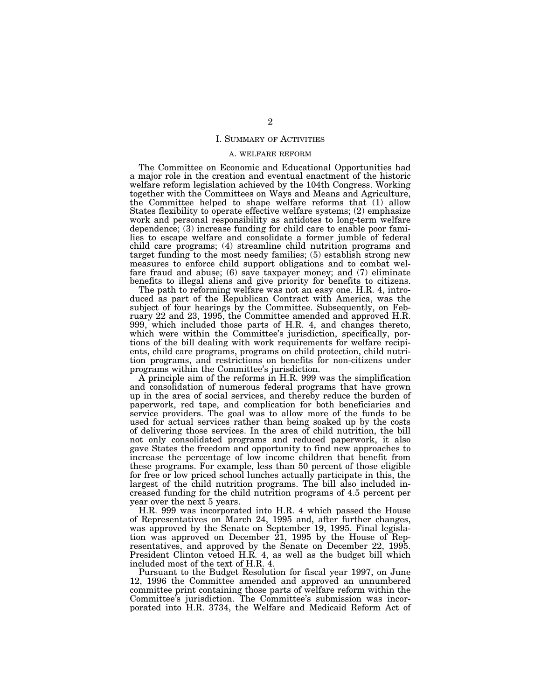#### I. SUMMARY OF ACTIVITIES

#### A. WELFARE REFORM

The Committee on Economic and Educational Opportunities had a major role in the creation and eventual enactment of the historic welfare reform legislation achieved by the 104th Congress. Working together with the Committees on Ways and Means and Agriculture, the Committee helped to shape welfare reforms that (1) allow States flexibility to operate effective welfare systems; (2) emphasize work and personal responsibility as antidotes to long-term welfare dependence; (3) increase funding for child care to enable poor families to escape welfare and consolidate a former jumble of federal child care programs; (4) streamline child nutrition programs and target funding to the most needy families; (5) establish strong new measures to enforce child support obligations and to combat welfare fraud and abuse; (6) save taxpayer money; and (7) eliminate benefits to illegal aliens and give priority for benefits to citizens.

The path to reforming welfare was not an easy one. H.R. 4, introduced as part of the Republican Contract with America, was the subject of four hearings by the Committee. Subsequently, on February 22 and 23, 1995, the Committee amended and approved H.R. 999, which included those parts of H.R. 4, and changes thereto, which were within the Committee's jurisdiction, specifically, portions of the bill dealing with work requirements for welfare recipients, child care programs, programs on child protection, child nutrition programs, and restrictions on benefits for non-citizens under programs within the Committee's jurisdiction.

A principle aim of the reforms in H.R. 999 was the simplification and consolidation of numerous federal programs that have grown up in the area of social services, and thereby reduce the burden of paperwork, red tape, and complication for both beneficiaries and service providers. The goal was to allow more of the funds to be used for actual services rather than being soaked up by the costs of delivering those services. In the area of child nutrition, the bill not only consolidated programs and reduced paperwork, it also gave States the freedom and opportunity to find new approaches to increase the percentage of low income children that benefit from these programs. For example, less than 50 percent of those eligible for free or low priced school lunches actually participate in this, the largest of the child nutrition programs. The bill also included increased funding for the child nutrition programs of 4.5 percent per year over the next 5 years.

H.R. 999 was incorporated into H.R. 4 which passed the House of Representatives on March 24, 1995 and, after further changes, was approved by the Senate on September 19, 1995. Final legislation was approved on December 21, 1995 by the House of Representatives, and approved by the Senate on December 22, 1995. President Clinton vetoed H.R. 4, as well as the budget bill which included most of the text of H.R. 4.

Pursuant to the Budget Resolution for fiscal year 1997, on June 12, 1996 the Committee amended and approved an unnumbered committee print containing those parts of welfare reform within the Committee's jurisdiction. The Committee's submission was incorporated into H.R. 3734, the Welfare and Medicaid Reform Act of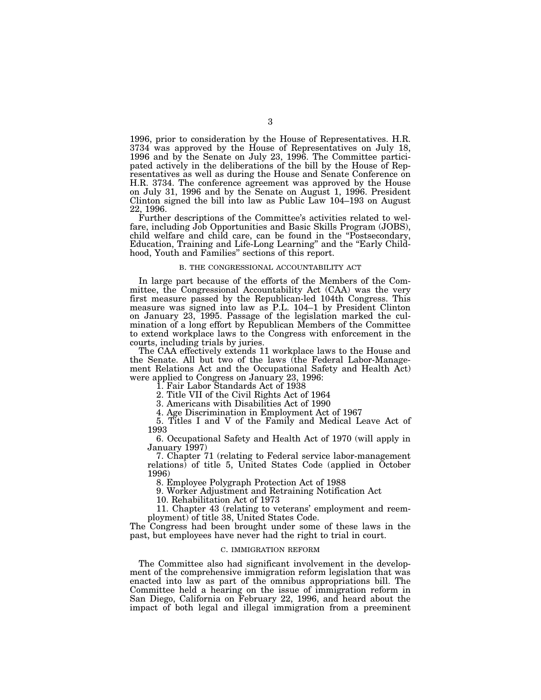1996, prior to consideration by the House of Representatives. H.R. 3734 was approved by the House of Representatives on July 18, 1996 and by the Senate on July 23, 1996. The Committee participated actively in the deliberations of the bill by the House of Representatives as well as during the House and Senate Conference on H.R. 3734. The conference agreement was approved by the House on July 31, 1996 and by the Senate on August 1, 1996. President Clinton signed the bill into law as Public Law 104–193 on August 22, 1996.

Further descriptions of the Committee's activities related to welfare, including Job Opportunities and Basic Skills Program (JOBS), child welfare and child care, can be found in the ''Postsecondary, Education, Training and Life-Long Learning" and the "Early Childhood, Youth and Families'' sections of this report.

#### B. THE CONGRESSIONAL ACCOUNTABILITY ACT

In large part because of the efforts of the Members of the Committee, the Congressional Accountability Act (CAA) was the very first measure passed by the Republican-led 104th Congress. This measure was signed into law as P.L. 104–1 by President Clinton on January 23, 1995. Passage of the legislation marked the culmination of a long effort by Republican Members of the Committee to extend workplace laws to the Congress with enforcement in the courts, including trials by juries.

The CAA effectively extends 11 workplace laws to the House and the Senate. All but two of the laws (the Federal Labor-Management Relations Act and the Occupational Safety and Health Act) were applied to Congress on January 23, 1996:

1. Fair Labor Standards Act of 1938

2. Title VII of the Civil Rights Act of 1964

3. Americans with Disabilities Act of 1990

4. Age Discrimination in Employment Act of 1967

5. Titles I and V of the Family and Medical Leave Act of 1993

6. Occupational Safety and Health Act of 1970 (will apply in January 1997)

7. Chapter 71 (relating to Federal service labor-management relations) of title 5, United States Code (applied in October 1996)

8. Employee Polygraph Protection Act of 1988

9. Worker Adjustment and Retraining Notification Act

10. Rehabilitation Act of 1973

11. Chapter 43 (relating to veterans' employment and reemployment) of title 38, United States Code.

The Congress had been brought under some of these laws in the past, but employees have never had the right to trial in court.

#### C. IMMIGRATION REFORM

The Committee also had significant involvement in the development of the comprehensive immigration reform legislation that was enacted into law as part of the omnibus appropriations bill. The Committee held a hearing on the issue of immigration reform in San Diego, California on February 22, 1996, and heard about the impact of both legal and illegal immigration from a preeminent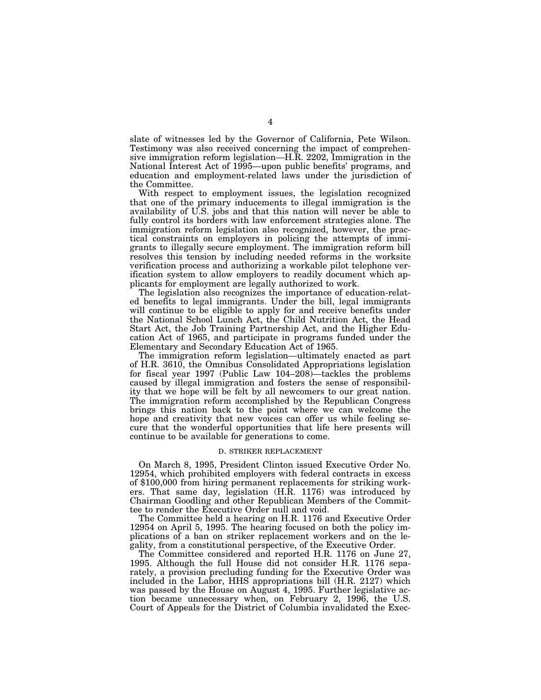slate of witnesses led by the Governor of California, Pete Wilson. Testimony was also received concerning the impact of comprehensive immigration reform legislation—H.R. 2202, Immigration in the National Interest Act of 1995—upon public benefits' programs, and education and employment-related laws under the jurisdiction of the Committee.

With respect to employment issues, the legislation recognized that one of the primary inducements to illegal immigration is the availability of U.S. jobs and that this nation will never be able to fully control its borders with law enforcement strategies alone. The immigration reform legislation also recognized, however, the practical constraints on employers in policing the attempts of immigrants to illegally secure employment. The immigration reform bill resolves this tension by including needed reforms in the worksite verification process and authorizing a workable pilot telephone verification system to allow employers to readily document which applicants for employment are legally authorized to work.

The legislation also recognizes the importance of education-related benefits to legal immigrants. Under the bill, legal immigrants will continue to be eligible to apply for and receive benefits under the National School Lunch Act, the Child Nutrition Act, the Head Start Act, the Job Training Partnership Act, and the Higher Education Act of 1965, and participate in programs funded under the Elementary and Secondary Education Act of 1965.

The immigration reform legislation—ultimately enacted as part of H.R. 3610, the Omnibus Consolidated Appropriations legislation for fiscal year 1997 (Public Law 104–208)—tackles the problems caused by illegal immigration and fosters the sense of responsibility that we hope will be felt by all newcomers to our great nation. The immigration reform accomplished by the Republican Congress brings this nation back to the point where we can welcome the hope and creativity that new voices can offer us while feeling secure that the wonderful opportunities that life here presents will continue to be available for generations to come.

#### D. STRIKER REPLACEMENT

On March 8, 1995, President Clinton issued Executive Order No. 12954, which prohibited employers with federal contracts in excess of \$100,000 from hiring permanent replacements for striking workers. That same day, legislation (H.R. 1176) was introduced by Chairman Goodling and other Republican Members of the Committee to render the Executive Order null and void.

The Committee held a hearing on H.R. 1176 and Executive Order 12954 on April 5, 1995. The hearing focused on both the policy implications of a ban on striker replacement workers and on the legality, from a constitutional perspective, of the Executive Order.

The Committee considered and reported H.R. 1176 on June 27, 1995. Although the full House did not consider H.R. 1176 separately, a provision precluding funding for the Executive Order was included in the Labor, HHS appropriations bill (H.R. 2127) which was passed by the House on August 4, 1995. Further legislative action became unnecessary when, on February 2, 1996, the U.S. Court of Appeals for the District of Columbia invalidated the Exec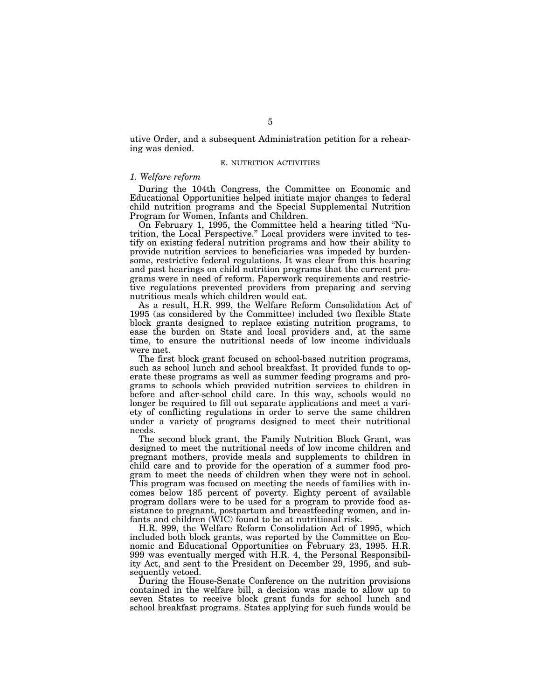utive Order, and a subsequent Administration petition for a rehearing was denied.

#### E. NUTRITION ACTIVITIES

## *1. Welfare reform*

During the 104th Congress, the Committee on Economic and Educational Opportunities helped initiate major changes to federal child nutrition programs and the Special Supplemental Nutrition Program for Women, Infants and Children.

On February 1, 1995, the Committee held a hearing titled ''Nutrition, the Local Perspective.'' Local providers were invited to testify on existing federal nutrition programs and how their ability to provide nutrition services to beneficiaries was impeded by burdensome, restrictive federal regulations. It was clear from this hearing and past hearings on child nutrition programs that the current programs were in need of reform. Paperwork requirements and restrictive regulations prevented providers from preparing and serving nutritious meals which children would eat.

As a result, H.R. 999, the Welfare Reform Consolidation Act of 1995 (as considered by the Committee) included two flexible State block grants designed to replace existing nutrition programs, to ease the burden on State and local providers and, at the same time, to ensure the nutritional needs of low income individuals were met.

The first block grant focused on school-based nutrition programs, such as school lunch and school breakfast. It provided funds to operate these programs as well as summer feeding programs and programs to schools which provided nutrition services to children in before and after-school child care. In this way, schools would no longer be required to fill out separate applications and meet a variety of conflicting regulations in order to serve the same children under a variety of programs designed to meet their nutritional needs.

The second block grant, the Family Nutrition Block Grant, was designed to meet the nutritional needs of low income children and pregnant mothers, provide meals and supplements to children in child care and to provide for the operation of a summer food program to meet the needs of children when they were not in school. This program was focused on meeting the needs of families with incomes below 185 percent of poverty. Eighty percent of available program dollars were to be used for a program to provide food assistance to pregnant, postpartum and breastfeeding women, and infants and children (WIC) found to be at nutritional risk.

H.R. 999, the Welfare Reform Consolidation Act of 1995, which included both block grants, was reported by the Committee on Economic and Educational Opportunities on February 23, 1995. H.R. 999 was eventually merged with H.R. 4, the Personal Responsibility Act, and sent to the President on December 29, 1995, and subsequently vetoed.

During the House-Senate Conference on the nutrition provisions contained in the welfare bill, a decision was made to allow up to seven States to receive block grant funds for school lunch and school breakfast programs. States applying for such funds would be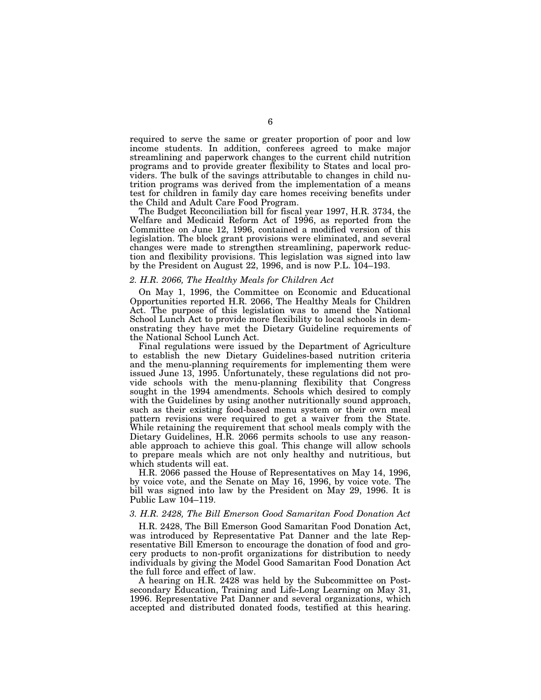required to serve the same or greater proportion of poor and low income students. In addition, conferees agreed to make major streamlining and paperwork changes to the current child nutrition programs and to provide greater flexibility to States and local providers. The bulk of the savings attributable to changes in child nutrition programs was derived from the implementation of a means test for children in family day care homes receiving benefits under the Child and Adult Care Food Program.

The Budget Reconciliation bill for fiscal year 1997, H.R. 3734, the Welfare and Medicaid Reform Act of 1996, as reported from the Committee on June 12, 1996, contained a modified version of this legislation. The block grant provisions were eliminated, and several changes were made to strengthen streamlining, paperwork reduction and flexibility provisions. This legislation was signed into law by the President on August 22, 1996, and is now P.L.  $104-193$ .

## *2. H.R. 2066, The Healthy Meals for Children Act*

On May 1, 1996, the Committee on Economic and Educational Opportunities reported H.R. 2066, The Healthy Meals for Children Act. The purpose of this legislation was to amend the National School Lunch Act to provide more flexibility to local schools in demonstrating they have met the Dietary Guideline requirements of the National School Lunch Act.

Final regulations were issued by the Department of Agriculture to establish the new Dietary Guidelines-based nutrition criteria and the menu-planning requirements for implementing them were issued June 13, 1995. Unfortunately, these regulations did not provide schools with the menu-planning flexibility that Congress sought in the 1994 amendments. Schools which desired to comply with the Guidelines by using another nutritionally sound approach, such as their existing food-based menu system or their own meal pattern revisions were required to get a waiver from the State. While retaining the requirement that school meals comply with the Dietary Guidelines, H.R. 2066 permits schools to use any reasonable approach to achieve this goal. This change will allow schools to prepare meals which are not only healthy and nutritious, but which students will eat.

H.R. 2066 passed the House of Representatives on May 14, 1996, by voice vote, and the Senate on May 16, 1996, by voice vote. The bill was signed into law by the President on May 29, 1996. It is Public Law 104–119.

## *3. H.R. 2428, The Bill Emerson Good Samaritan Food Donation Act*

H.R. 2428, The Bill Emerson Good Samaritan Food Donation Act, was introduced by Representative Pat Danner and the late Representative Bill Emerson to encourage the donation of food and grocery products to non-profit organizations for distribution to needy individuals by giving the Model Good Samaritan Food Donation Act the full force and effect of law.

A hearing on H.R. 2428 was held by the Subcommittee on Postsecondary Education, Training and Life-Long Learning on May 31, 1996. Representative Pat Danner and several organizations, which accepted and distributed donated foods, testified at this hearing.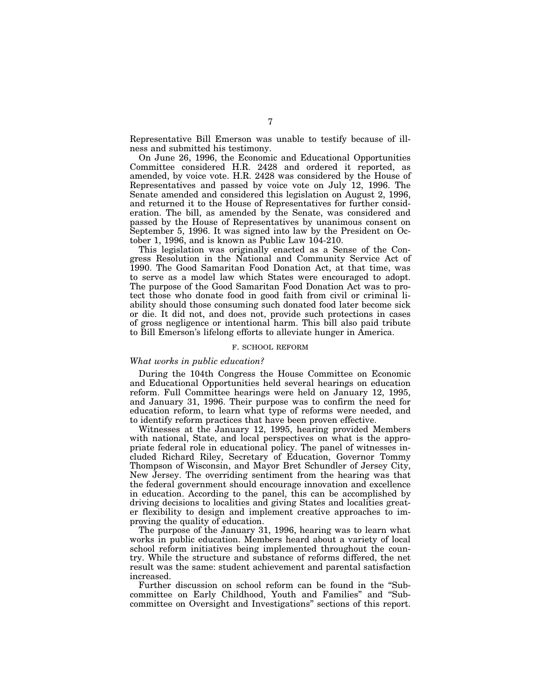Representative Bill Emerson was unable to testify because of illness and submitted his testimony.

On June 26, 1996, the Economic and Educational Opportunities Committee considered H.R. 2428 and ordered it reported, as amended, by voice vote. H.R. 2428 was considered by the House of Representatives and passed by voice vote on July 12, 1996. The Senate amended and considered this legislation on August 2, 1996, and returned it to the House of Representatives for further consideration. The bill, as amended by the Senate, was considered and passed by the House of Representatives by unanimous consent on September 5, 1996. It was signed into law by the President on October 1, 1996, and is known as Public Law 104-210.

This legislation was originally enacted as a Sense of the Congress Resolution in the National and Community Service Act of 1990. The Good Samaritan Food Donation Act, at that time, was to serve as a model law which States were encouraged to adopt. The purpose of the Good Samaritan Food Donation Act was to protect those who donate food in good faith from civil or criminal liability should those consuming such donated food later become sick or die. It did not, and does not, provide such protections in cases of gross negligence or intentional harm. This bill also paid tribute to Bill Emerson's lifelong efforts to alleviate hunger in America.

#### F. SCHOOL REFORM

## *What works in public education?*

During the 104th Congress the House Committee on Economic and Educational Opportunities held several hearings on education reform. Full Committee hearings were held on January 12, 1995, and January 31, 1996. Their purpose was to confirm the need for education reform, to learn what type of reforms were needed, and to identify reform practices that have been proven effective.

Witnesses at the January 12, 1995, hearing provided Members with national, State, and local perspectives on what is the appropriate federal role in educational policy. The panel of witnesses included Richard Riley, Secretary of Education, Governor Tommy Thompson of Wisconsin, and Mayor Bret Schundler of Jersey City, New Jersey. The overriding sentiment from the hearing was that the federal government should encourage innovation and excellence in education. According to the panel, this can be accomplished by driving decisions to localities and giving States and localities greater flexibility to design and implement creative approaches to improving the quality of education.

The purpose of the January 31, 1996, hearing was to learn what works in public education. Members heard about a variety of local school reform initiatives being implemented throughout the country. While the structure and substance of reforms differed, the net result was the same: student achievement and parental satisfaction increased.

Further discussion on school reform can be found in the ''Subcommittee on Early Childhood, Youth and Families'' and ''Subcommittee on Oversight and Investigations'' sections of this report.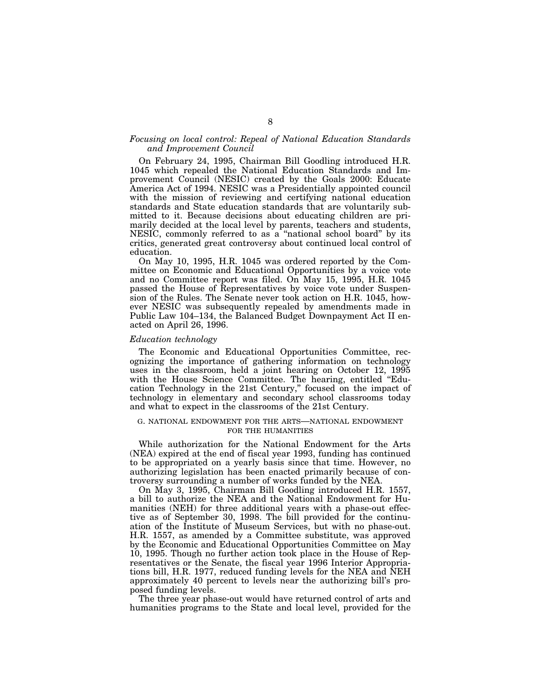## *Focusing on local control: Repeal of National Education Standards and Improvement Council*

On February 24, 1995, Chairman Bill Goodling introduced H.R. 1045 which repealed the National Education Standards and Improvement Council (NESIC) created by the Goals 2000: Educate America Act of 1994. NESIC was a Presidentially appointed council with the mission of reviewing and certifying national education standards and State education standards that are voluntarily submitted to it. Because decisions about educating children are primarily decided at the local level by parents, teachers and students, NESIC, commonly referred to as a ''national school board'' by its critics, generated great controversy about continued local control of education.

On May 10, 1995, H.R. 1045 was ordered reported by the Committee on Economic and Educational Opportunities by a voice vote and no Committee report was filed. On May 15, 1995, H.R. 1045 passed the House of Representatives by voice vote under Suspension of the Rules. The Senate never took action on H.R. 1045, however NESIC was subsequently repealed by amendments made in Public Law 104–134, the Balanced Budget Downpayment Act II enacted on April 26, 1996.

## *Education technology*

The Economic and Educational Opportunities Committee, recognizing the importance of gathering information on technology uses in the classroom, held a joint hearing on October 12, 1995 with the House Science Committee. The hearing, entitled "Education Technology in the 21st Century," focused on the impact of technology in elementary and secondary school classrooms today and what to expect in the classrooms of the 21st Century.

## G. NATIONAL ENDOWMENT FOR THE ARTS—NATIONAL ENDOWMENT FOR THE HUMANITIES

While authorization for the National Endowment for the Arts (NEA) expired at the end of fiscal year 1993, funding has continued to be appropriated on a yearly basis since that time. However, no authorizing legislation has been enacted primarily because of controversy surrounding a number of works funded by the NEA.

On May 3, 1995, Chairman Bill Goodling introduced H.R. 1557, a bill to authorize the NEA and the National Endowment for Humanities (NEH) for three additional years with a phase-out effective as of September 30, 1998. The bill provided for the continuation of the Institute of Museum Services, but with no phase-out. H.R. 1557, as amended by a Committee substitute, was approved by the Economic and Educational Opportunities Committee on May 10, 1995. Though no further action took place in the House of Representatives or the Senate, the fiscal year 1996 Interior Appropriations bill, H.R. 1977, reduced funding levels for the NEA and NEH approximately 40 percent to levels near the authorizing bill's proposed funding levels.

The three year phase-out would have returned control of arts and humanities programs to the State and local level, provided for the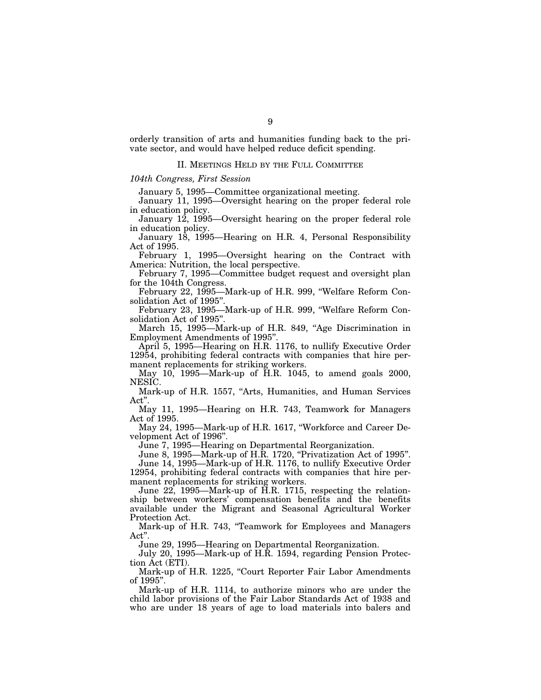orderly transition of arts and humanities funding back to the private sector, and would have helped reduce deficit spending.

## II. MEETINGS HELD BY THE FULL COMMITTEE

## *104th Congress, First Session*

January 5, 1995—Committee organizational meeting.

January 11, 1995—Oversight hearing on the proper federal role in education policy.

January 12, 1995—Oversight hearing on the proper federal role in education policy.

January 18, 1995—Hearing on H.R. 4, Personal Responsibility Act of 1995.

February 1, 1995—Oversight hearing on the Contract with America: Nutrition, the local perspective.

February 7, 1995—Committee budget request and oversight plan for the 104th Congress.

February 22, 1995—Mark-up of H.R. 999, "Welfare Reform Consolidation Act of 1995''.

February 23, 1995—Mark-up of H.R. 999, "Welfare Reform Consolidation Act of 1995''.

March 15, 1995-Mark-up of H.R. 849, "Age Discrimination in Employment Amendments of 1995''.

April 5, 1995—Hearing on H.R. 1176, to nullify Executive Order 12954, prohibiting federal contracts with companies that hire permanent replacements for striking workers.

May 10, 1995—Mark-up of H.R. 1045, to amend goals 2000, NESIC.

Mark-up of H.R. 1557, "Arts, Humanities, and Human Services Act''.

May 11, 1995—Hearing on H.R. 743, Teamwork for Managers Act of 1995.

May 24, 1995—Mark-up of H.R. 1617, ''Workforce and Career Development Act of 1996''.

June 7, 1995—Hearing on Departmental Reorganization.

June 8, 1995—Mark-up of H.R. 1720, "Privatization Act of 1995".

June 14, 1995—Mark-up of H.R. 1176, to nullify Executive Order 12954, prohibiting federal contracts with companies that hire permanent replacements for striking workers.

June 22, 1995—Mark-up of H.R. 1715, respecting the relationship between workers' compensation benefits and the benefits available under the Migrant and Seasonal Agricultural Worker Protection Act.

Mark-up of H.R. 743, "Teamwork for Employees and Managers Act''.

June 29, 1995—Hearing on Departmental Reorganization.

July 20, 1995—Mark-up of H.R. 1594, regarding Pension Protection Act (ETI).

Mark-up of H.R. 1225, "Court Reporter Fair Labor Amendments of 1995''.

Mark-up of H.R. 1114, to authorize minors who are under the child labor provisions of the Fair Labor Standards Act of 1938 and who are under 18 years of age to load materials into balers and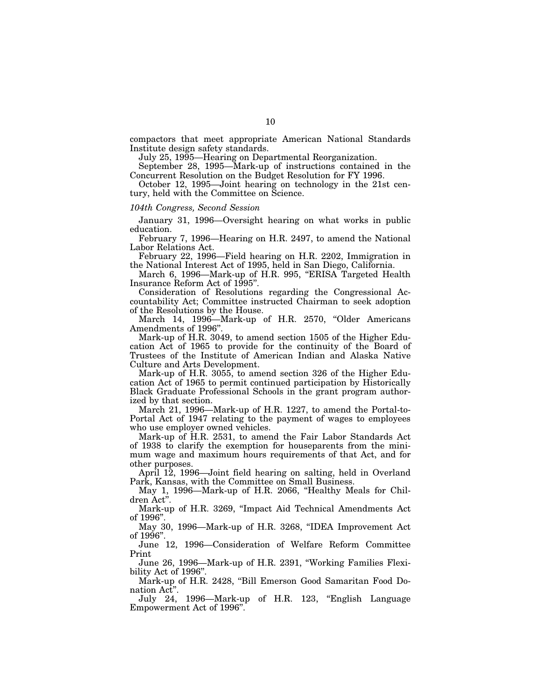compactors that meet appropriate American National Standards Institute design safety standards.

July 25, 1995—Hearing on Departmental Reorganization.

September 28, 1995—Mark-up of instructions contained in the Concurrent Resolution on the Budget Resolution for FY 1996.

October 12, 1995—Joint hearing on technology in the 21st century, held with the Committee on Science.

## *104th Congress, Second Session*

January 31, 1996—Oversight hearing on what works in public education.

February 7, 1996—Hearing on H.R. 2497, to amend the National Labor Relations Act.

February 22, 1996—Field hearing on H.R. 2202, Immigration in the National Interest Act of 1995, held in San Diego, California.

March 6, 1996—Mark-up of H.R. 995, "ERISA Targeted Health Insurance Reform Act of 1995''.

Consideration of Resolutions regarding the Congressional Accountability Act; Committee instructed Chairman to seek adoption of the Resolutions by the House.

March 14, 1996—Mark-up of H.R. 2570, "Older Americans Amendments of 1996''.

Mark-up of H.R. 3049, to amend section 1505 of the Higher Education Act of 1965 to provide for the continuity of the Board of Trustees of the Institute of American Indian and Alaska Native Culture and Arts Development.

Mark-up of H.R. 3055, to amend section 326 of the Higher Education Act of 1965 to permit continued participation by Historically Black Graduate Professional Schools in the grant program authorized by that section.

March 21, 1996—Mark-up of H.R. 1227, to amend the Portal-to-Portal Act of 1947 relating to the payment of wages to employees who use employer owned vehicles.

Mark-up of H.R. 2531, to amend the Fair Labor Standards Act of 1938 to clarify the exemption for houseparents from the minimum wage and maximum hours requirements of that Act, and for other purposes.

April 12, 1996—Joint field hearing on salting, held in Overland Park, Kansas, with the Committee on Small Business.

May 1, 1996-Mark-up of H.R. 2066, "Healthy Meals for Children Act''.

Mark-up of H.R. 3269, "Impact Aid Technical Amendments Act of 1996''.

May 30, 1996—Mark-up of H.R. 3268, ''IDEA Improvement Act of 1996''.

June 12, 1996—Consideration of Welfare Reform Committee Print

June 26, 1996—Mark-up of H.R. 2391, ''Working Families Flexibility Act of 1996''.

Mark-up of H.R. 2428, "Bill Emerson Good Samaritan Food Donation Act''.

July 24, 1996—Mark-up of H.R. 123, ''English Language Empowerment Act of 1996''.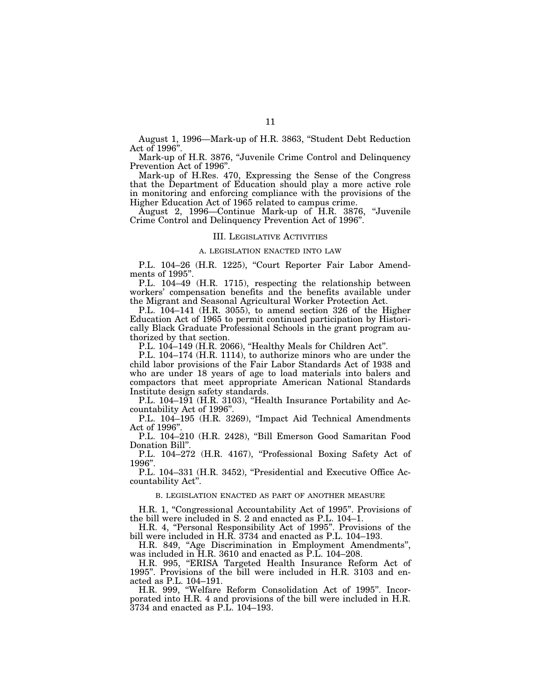August 1, 1996—Mark-up of H.R. 3863, ''Student Debt Reduction Act of 1996''.

Mark-up of H.R. 3876, ''Juvenile Crime Control and Delinquency Prevention Act of 1996".

Mark-up of H.Res. 470, Expressing the Sense of the Congress that the Department of Education should play a more active role in monitoring and enforcing compliance with the provisions of the Higher Education Act of 1965 related to campus crime.

August 2, 1996—Continue Mark-up of H.R. 3876, ''Juvenile Crime Control and Delinquency Prevention Act of 1996''.

## III. LEGISLATIVE ACTIVITIES

#### A. LEGISLATION ENACTED INTO LAW

P.L. 104–26 (H.R. 1225), "Court Reporter Fair Labor Amendments of 1995".

P.L. 104–49 (H.R. 1715), respecting the relationship between workers' compensation benefits and the benefits available under the Migrant and Seasonal Agricultural Worker Protection Act.

P.L. 104–141 (H.R. 3055), to amend section 326 of the Higher Education Act of 1965 to permit continued participation by Historically Black Graduate Professional Schools in the grant program authorized by that section.

P.L. 104–149 (H.R. 2066), "Healthy Meals for Children Act".

P.L. 104–174 (H.R. 1114), to authorize minors who are under the child labor provisions of the Fair Labor Standards Act of 1938 and who are under 18 years of age to load materials into balers and compactors that meet appropriate American National Standards Institute design safety standards.

P.L. 104–191 (H.R. 3103), "Health Insurance Portability and Accountability Act of 1996''.

P.L. 104–195 (H.R. 3269), "Impact Aid Technical Amendments Act of 1996''.

P.L. 104-210 (H.R. 2428), "Bill Emerson Good Samaritan Food Donation Bill''.

P.L. 104–272 (H.R. 4167), "Professional Boxing Safety Act of 1996''.

P.L. 104–331 (H.R. 3452), "Presidential and Executive Office Accountability Act''.

## B. LEGISLATION ENACTED AS PART OF ANOTHER MEASURE

H.R. 1, "Congressional Accountability Act of 1995". Provisions of the bill were included in S. 2 and enacted as P.L. 104–1.

H.R. 4, ''Personal Responsibility Act of 1995''. Provisions of the bill were included in H.R. 3734 and enacted as P.L. 104–193.

H.R. 849, ''Age Discrimination in Employment Amendments'', was included in H.R. 3610 and enacted as P.L. 104–208.

H.R. 995, "ERISA Targeted Health Insurance Reform Act of 1995''. Provisions of the bill were included in H.R. 3103 and enacted as P.L. 104–191.

H.R. 999, ''Welfare Reform Consolidation Act of 1995''. Incorporated into H.R. 4 and provisions of the bill were included in H.R. 3734 and enacted as P.L. 104–193.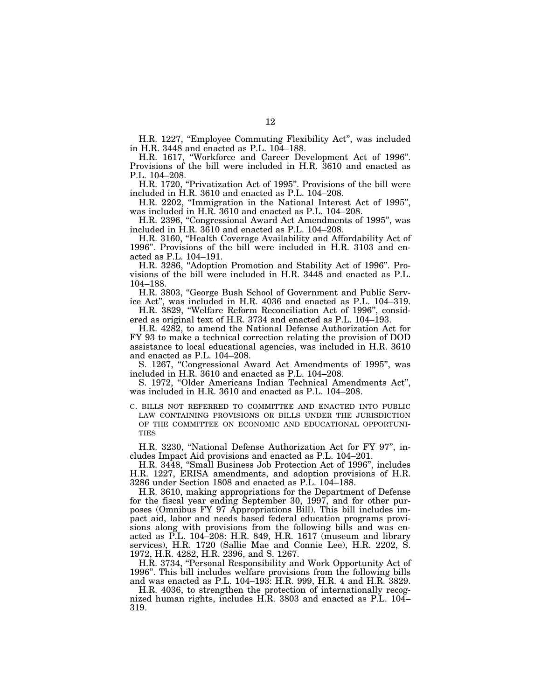H.R. 1227, ''Employee Commuting Flexibility Act'', was included in H.R. 3448 and enacted as P.L. 104–188.

H.R. 1617, ''Workforce and Career Development Act of 1996''. Provisions of the bill were included in H.R. 3610 and enacted as P.L. 104–208.

H.R. 1720, "Privatization Act of 1995". Provisions of the bill were included in H.R. 3610 and enacted as P.L. 104–208.

H.R. 2202, ''Immigration in the National Interest Act of 1995'', was included in H.R. 3610 and enacted as P.L. 104–208.

H.R. 2396, ''Congressional Award Act Amendments of 1995'', was included in H.R. 3610 and enacted as P.L. 104–208.

H.R. 3160, ''Health Coverage Availability and Affordability Act of 1996''. Provisions of the bill were included in H.R. 3103 and enacted as P.L. 104–191.

H.R. 3286, "Adoption Promotion and Stability Act of 1996". Provisions of the bill were included in H.R. 3448 and enacted as P.L. 104–188.

H.R. 3803, ''George Bush School of Government and Public Service Act'', was included in H.R. 4036 and enacted as P.L. 104–319.

H.R. 3829, ''Welfare Reform Reconciliation Act of 1996'', considered as original text of H.R. 3734 and enacted as P.L. 104–193.

H.R. 4282, to amend the National Defense Authorization Act for FY 93 to make a technical correction relating the provision of DOD assistance to local educational agencies, was included in H.R. 3610 and enacted as P.L. 104–208.

S. 1267, "Congressional Award Act Amendments of 1995", was included in H.R. 3610 and enacted as P.L. 104–208.

S. 1972, ''Older Americans Indian Technical Amendments Act'', was included in H.R. 3610 and enacted as P.L. 104–208.

C. BILLS NOT REFERRED TO COMMITTEE AND ENACTED INTO PUBLIC LAW CONTAINING PROVISIONS OR BILLS UNDER THE JURISDICTION OF THE COMMITTEE ON ECONOMIC AND EDUCATIONAL OPPORTUNI-TIES

H.R. 3230, ''National Defense Authorization Act for FY 97'', includes Impact Aid provisions and enacted as P.L. 104–201.

H.R. 3448, ''Small Business Job Protection Act of 1996'', includes H.R. 1227, ERISA amendments, and adoption provisions of H.R. 3286 under Section 1808 and enacted as P.L. 104–188.

H.R. 3610, making appropriations for the Department of Defense for the fiscal year ending September 30, 1997, and for other purposes (Omnibus FY 97 Appropriations Bill). This bill includes impact aid, labor and needs based federal education programs provisions along with provisions from the following bills and was enacted as P.L. 104–208: H.R. 849, H.R. 1617 (museum and library services), H.R. 1720 (Sallie Mae and Connie Lee), H.R. 2202, S. 1972, H.R. 4282, H.R. 2396, and S. 1267.

H.R. 3734, "Personal Responsibility and Work Opportunity Act of 1996''. This bill includes welfare provisions from the following bills and was enacted as P.L. 104–193: H.R. 999, H.R. 4 and H.R. 3829.

H.R. 4036, to strengthen the protection of internationally recognized human rights, includes H.R. 3803 and enacted as P.L. 104– 319.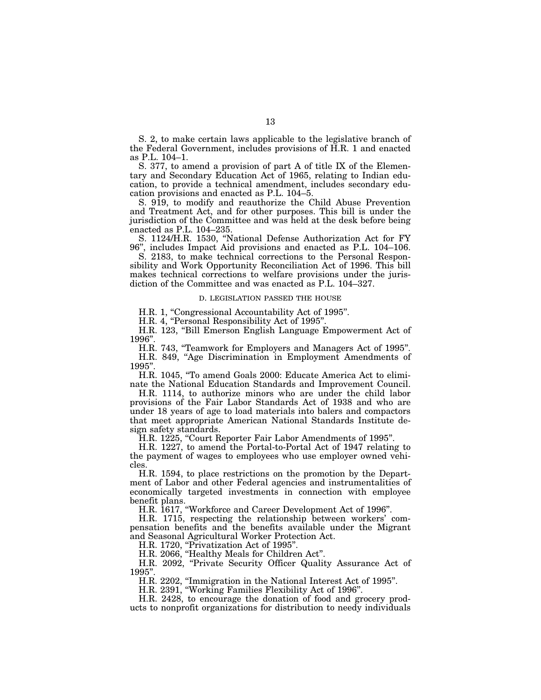S. 2, to make certain laws applicable to the legislative branch of the Federal Government, includes provisions of H.R. 1 and enacted as P.L. 104–1.

S. 377, to amend a provision of part A of title IX of the Elementary and Secondary Education Act of 1965, relating to Indian education, to provide a technical amendment, includes secondary education provisions and enacted as P.L. 104–5.

S. 919, to modify and reauthorize the Child Abuse Prevention and Treatment Act, and for other purposes. This bill is under the jurisdiction of the Committee and was held at the desk before being enacted as P.L. 104–235.

S. 1124/H.R. 1530, ''National Defense Authorization Act for FY 96'', includes Impact Aid provisions and enacted as P.L. 104–106.

S. 2183, to make technical corrections to the Personal Responsibility and Work Opportunity Reconciliation Act of 1996. This bill makes technical corrections to welfare provisions under the jurisdiction of the Committee and was enacted as P.L. 104–327.

#### D. LEGISLATION PASSED THE HOUSE

H.R. 1, "Congressional Accountability Act of 1995".

H.R. 4, "Personal Responsibility Act of 1995".

H.R. 123, "Bill Emerson English Language Empowerment Act of 1996''.

H.R. 743, ''Teamwork for Employers and Managers Act of 1995''. H.R. 849, "Age Discrimination in Employment Amendments of 1995''.

H.R. 1045, ''To amend Goals 2000: Educate America Act to eliminate the National Education Standards and Improvement Council.

H.R. 1114, to authorize minors who are under the child labor provisions of the Fair Labor Standards Act of 1938 and who are under 18 years of age to load materials into balers and compactors that meet appropriate American National Standards Institute design safety standards.

H.R. 1225, "Court Reporter Fair Labor Amendments of 1995".

H.R. 1227, to amend the Portal-to-Portal Act of 1947 relating to the payment of wages to employees who use employer owned vehicles.

H.R. 1594, to place restrictions on the promotion by the Department of Labor and other Federal agencies and instrumentalities of economically targeted investments in connection with employee benefit plans.

H.R. 1617, ''Workforce and Career Development Act of 1996''.

H.R. 1715, respecting the relationship between workers' compensation benefits and the benefits available under the Migrant and Seasonal Agricultural Worker Protection Act.

H.R. 1720, "Privatization Act of 1995".

H.R. 2066, ''Healthy Meals for Children Act''.

H.R. 2092, ''Private Security Officer Quality Assurance Act of 1995''.

H.R. 2202, ''Immigration in the National Interest Act of 1995''.

H.R. 2391, ''Working Families Flexibility Act of 1996''.

H.R. 2428, to encourage the donation of food and grocery products to nonprofit organizations for distribution to needy individuals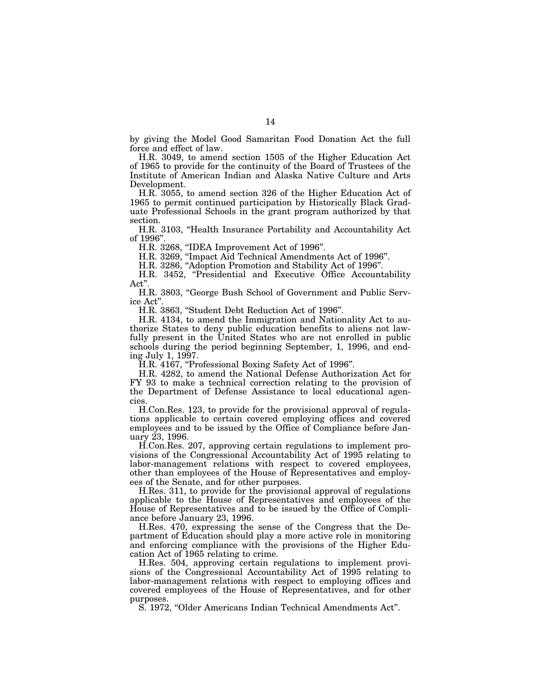by giving the Model Good Samaritan Food Donation Act the full force and effect of law.

H.R. 3049, to amend section 1505 of the Higher Education Act of 1965 to provide for the continuity of the Board of Trustees of the Institute of American Indian and Alaska Native Culture and Arts Development.

H.R. 3055, to amend section 326 of the Higher Education Act of 1965 to permit continued participation by Historically Black Graduate Professional Schools in the grant program authorized by that section.

H.R. 3103, ''Health Insurance Portability and Accountability Act of 1996''.

H.R. 3268, ''IDEA Improvement Act of 1996''.

H.R. 3269, ''Impact Aid Technical Amendments Act of 1996''.

H.R. 3286, ''Adoption Promotion and Stability Act of 1996''.

H.R. 3452, "Presidential and Executive Office Accountability Act"

H.R. 3803, ''George Bush School of Government and Public Service Act''.

H.R. 3863, ''Student Debt Reduction Act of 1996''.

H.R. 4134, to amend the Immigration and Nationality Act to authorize States to deny public education benefits to aliens not lawfully present in the United States who are not enrolled in public schools during the period beginning September, 1, 1996, and ending July 1, 1997.

H.R. 4167, "Professional Boxing Safety Act of 1996".

H.R. 4282, to amend the National Defense Authorization Act for FY 93 to make a technical correction relating to the provision of the Department of Defense Assistance to local educational agencies.

H.Con.Res. 123, to provide for the provisional approval of regulations applicable to certain covered employing offices and covered employees and to be issued by the Office of Compliance before January 23, 1996.

H.Con.Res. 207, approving certain regulations to implement provisions of the Congressional Accountability Act of 1995 relating to labor-management relations with respect to covered employees, other than employees of the House of Representatives and employees of the Senate, and for other purposes.

H.Res. 311, to provide for the provisional approval of regulations applicable to the House of Representatives and employees of the House of Representatives and to be issued by the Office of Compliance before January 23, 1996.

H.Res. 470, expressing the sense of the Congress that the Department of Education should play a more active role in monitoring and enforcing compliance with the provisions of the Higher Education Act of 1965 relating to crime.

H.Res. 504, approving certain regulations to implement provisions of the Congressional Accountability Act of 1995 relating to labor-management relations with respect to employing offices and covered employees of the House of Representatives, and for other purposes.

S. 1972, ''Older Americans Indian Technical Amendments Act''.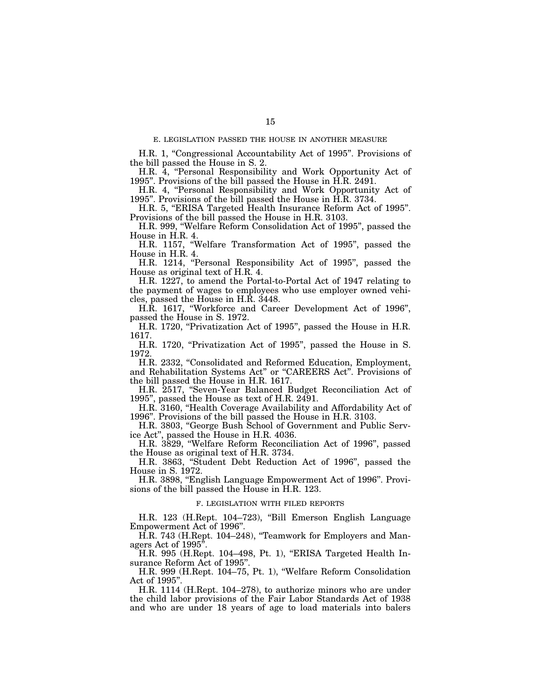#### E. LEGISLATION PASSED THE HOUSE IN ANOTHER MEASURE

H.R. 1, ''Congressional Accountability Act of 1995''. Provisions of the bill passed the House in S. 2.

H.R. 4, "Personal Responsibility and Work Opportunity Act of 1995''. Provisions of the bill passed the House in H.R. 2491.

H.R. 4, "Personal Responsibility and Work Opportunity Act of 1995''. Provisions of the bill passed the House in H.R. 3734.

H.R. 5, "ERISA Targeted Health Insurance Reform Act of 1995". Provisions of the bill passed the House in H.R. 3103.

H.R. 999, ''Welfare Reform Consolidation Act of 1995'', passed the House in H.R. 4.

H.R. 1157, ''Welfare Transformation Act of 1995'', passed the House in H.R. 4.

H.R. 1214, "Personal Responsibility Act of 1995", passed the House as original text of H.R. 4.

H.R. 1227, to amend the Portal-to-Portal Act of 1947 relating to the payment of wages to employees who use employer owned vehicles, passed the House in H.R. 3448.

H.R. 1617, ''Workforce and Career Development Act of 1996'', passed the House in S. 1972.

H.R. 1720, "Privatization Act of 1995", passed the House in H.R. 1617.

H.R. 1720, "Privatization Act of 1995", passed the House in S. 1972.

H.R. 2332, "Consolidated and Reformed Education, Employment, and Rehabilitation Systems Act'' or ''CAREERS Act''. Provisions of the bill passed the House in H.R. 1617.

H.R. 2517, ''Seven-Year Balanced Budget Reconciliation Act of 1995'', passed the House as text of H.R. 2491.

H.R. 3160, "Health Coverage Availability and Affordability Act of 1996''. Provisions of the bill passed the House in H.R. 3103.

H.R. 3803, ''George Bush School of Government and Public Service Act'', passed the House in H.R. 4036.

H.R. 3829, ''Welfare Reform Reconciliation Act of 1996'', passed the House as original text of H.R. 3734.

H.R. 3863, ''Student Debt Reduction Act of 1996'', passed the House in S. 1972.

H.R. 3898, ''English Language Empowerment Act of 1996''. Provisions of the bill passed the House in H.R. 123.

#### F. LEGISLATION WITH FILED REPORTS

H.R. 123 (H.Rept. 104–723), ''Bill Emerson English Language Empowerment Act of 1996''.

H.R. 743 (H.Rept. 104–248), ''Teamwork for Employers and Managers Act of 1995''.

H.R. 995 (H.Rept. 104–498, Pt. 1), "ERISA Targeted Health Insurance Reform Act of 1995''.

H.R. 999 (H.Rept. 104–75, Pt. 1), ''Welfare Reform Consolidation Act of 1995''.

H.R. 1114 (H.Rept. 104–278), to authorize minors who are under the child labor provisions of the Fair Labor Standards Act of 1938 and who are under 18 years of age to load materials into balers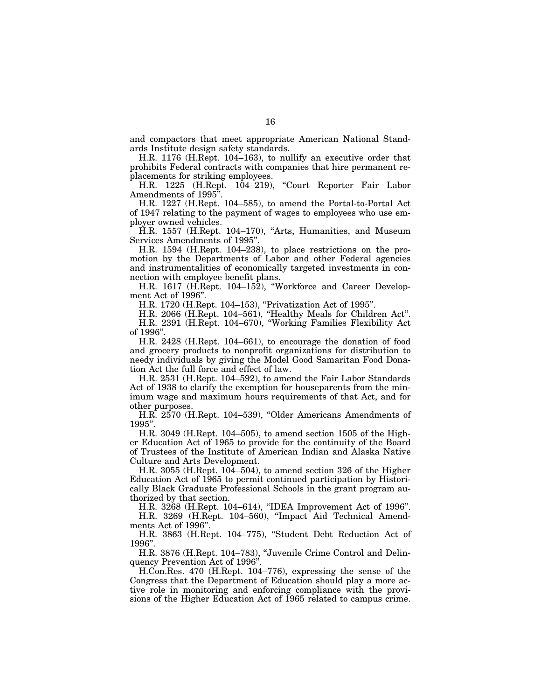and compactors that meet appropriate American National Standards Institute design safety standards.

H.R. 1176 (H.Rept. 104–163), to nullify an executive order that prohibits Federal contracts with companies that hire permanent replacements for striking employees.

H.R. 1225 (H.Rept. 104–219), ''Court Reporter Fair Labor Amendments of 1995''.

H.R. 1227 (H.Rept. 104–585), to amend the Portal-to-Portal Act of 1947 relating to the payment of wages to employees who use employer owned vehicles.

H.R. 1557 (H.Rept. 104–170), "Arts, Humanities, and Museum Services Amendments of 1995''.

H.R. 1594 (H.Rept. 104–238), to place restrictions on the promotion by the Departments of Labor and other Federal agencies and instrumentalities of economically targeted investments in connection with employee benefit plans.

H.R. 1617 (H.Rept. 104–152), ''Workforce and Career Development Act of 1996''.

H.R. 1720 (H.Rept. 104–153), ''Privatization Act of 1995''.

H.R. 2066 (H.Rept. 104–561), ''Healthy Meals for Children Act''.

H.R. 2391 (H.Rept. 104–670), ''Working Families Flexibility Act of 1996''.

H.R. 2428 (H.Rept. 104–661), to encourage the donation of food and grocery products to nonprofit organizations for distribution to needy individuals by giving the Model Good Samaritan Food Donation Act the full force and effect of law.

H.R. 2531 (H.Rept. 104–592), to amend the Fair Labor Standards Act of 1938 to clarify the exemption for houseparents from the minimum wage and maximum hours requirements of that Act, and for other purposes.

H.R. 2570 (H.Rept. 104–539), ''Older Americans Amendments of  $1995"$ 

H.R. 3049 (H.Rept. 104–505), to amend section 1505 of the Higher Education Act of 1965 to provide for the continuity of the Board of Trustees of the Institute of American Indian and Alaska Native Culture and Arts Development.

H.R. 3055 (H.Rept. 104–504), to amend section 326 of the Higher Education Act of 1965 to permit continued participation by Historically Black Graduate Professional Schools in the grant program authorized by that section.

H.R. 3268 (H.Rept. 104–614), ''IDEA Improvement Act of 1996''. H.R. 3269 (H.Rept. 104–560), ''Impact Aid Technical Amend-

ments Act of 1996''.

H.R. 3863 (H.Rept. 104–775), ''Student Debt Reduction Act of 1996''.

H.R. 3876 (H.Rept. 104–783), ''Juvenile Crime Control and Delinquency Prevention Act of 1996''.

H.Con.Res. 470 (H.Rept. 104–776), expressing the sense of the Congress that the Department of Education should play a more active role in monitoring and enforcing compliance with the provisions of the Higher Education Act of 1965 related to campus crime.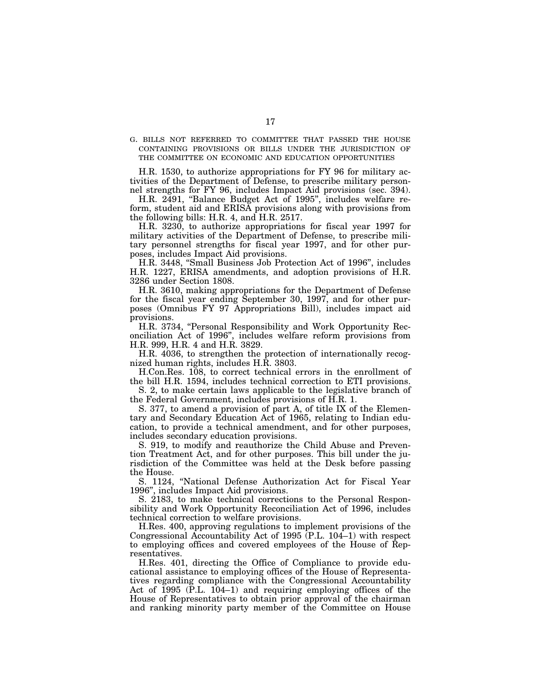G. BILLS NOT REFERRED TO COMMITTEE THAT PASSED THE HOUSE CONTAINING PROVISIONS OR BILLS UNDER THE JURISDICTION OF THE COMMITTEE ON ECONOMIC AND EDUCATION OPPORTUNITIES

H.R. 1530, to authorize appropriations for FY 96 for military activities of the Department of Defense, to prescribe military personnel strengths for FY 96, includes Impact Aid provisions (sec. 394).

H.R. 2491, "Balance Budget Act of 1995", includes welfare reform, student aid and ERISA provisions along with provisions from the following bills: H.R. 4, and H.R. 2517.

H.R. 3230, to authorize appropriations for fiscal year 1997 for military activities of the Department of Defense, to prescribe military personnel strengths for fiscal year 1997, and for other purposes, includes Impact Aid provisions.

H.R. 3448, ''Small Business Job Protection Act of 1996'', includes H.R. 1227, ERISA amendments, and adoption provisions of H.R. 3286 under Section 1808.

H.R. 3610, making appropriations for the Department of Defense for the fiscal year ending September 30, 1997, and for other purposes (Omnibus FY 97 Appropriations Bill), includes impact aid provisions.

H.R. 3734, "Personal Responsibility and Work Opportunity Reconciliation Act of 1996'', includes welfare reform provisions from H.R. 999, H.R. 4 and H.R. 3829.

H.R. 4036, to strengthen the protection of internationally recognized human rights, includes H.R. 3803.

H.Con.Res. 108, to correct technical errors in the enrollment of the bill H.R. 1594, includes technical correction to ETI provisions.

S. 2, to make certain laws applicable to the legislative branch of the Federal Government, includes provisions of H.R. 1.

S. 377, to amend a provision of part A, of title IX of the Elementary and Secondary Education Act of 1965, relating to Indian education, to provide a technical amendment, and for other purposes, includes secondary education provisions.

S. 919, to modify and reauthorize the Child Abuse and Prevention Treatment Act, and for other purposes. This bill under the jurisdiction of the Committee was held at the Desk before passing the House.

S. 1124, ''National Defense Authorization Act for Fiscal Year 1996'', includes Impact Aid provisions.

S. 2183, to make technical corrections to the Personal Responsibility and Work Opportunity Reconciliation Act of 1996, includes technical correction to welfare provisions.

H.Res. 400, approving regulations to implement provisions of the Congressional Accountability Act of 1995 (P.L. 104–1) with respect to employing offices and covered employees of the House of Representatives.

H.Res. 401, directing the Office of Compliance to provide educational assistance to employing offices of the House of Representatives regarding compliance with the Congressional Accountability Act of 1995 (P.L. 104–1) and requiring employing offices of the House of Representatives to obtain prior approval of the chairman and ranking minority party member of the Committee on House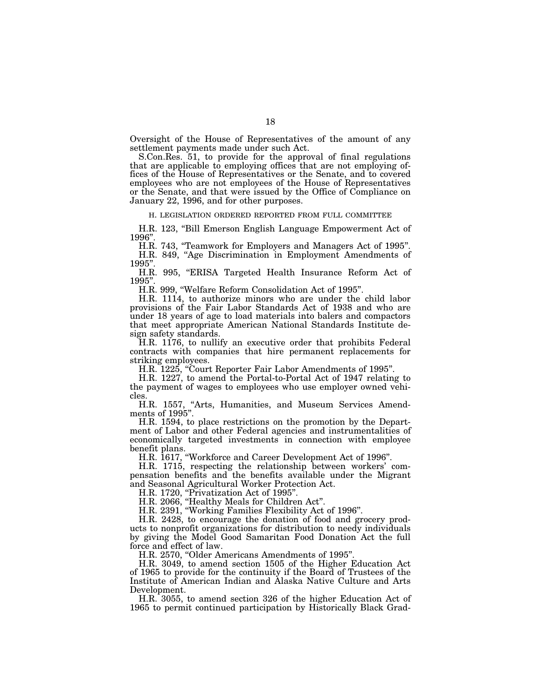Oversight of the House of Representatives of the amount of any settlement payments made under such Act.

S.Con.Res. 51, to provide for the approval of final regulations that are applicable to employing offices that are not employing offices of the House of Representatives or the Senate, and to covered employees who are not employees of the House of Representatives or the Senate, and that were issued by the Office of Compliance on January 22, 1996, and for other purposes.

H. LEGISLATION ORDERED REPORTED FROM FULL COMMITTEE

H.R. 123, "Bill Emerson English Language Empowerment Act of 1996''.

H.R. 743, "Teamwork for Employers and Managers Act of 1995". H.R. 849, "Age Discrimination in Employment Amendments of 1995''.

H.R. 995, "ERISA Targeted Health Insurance Reform Act of 1995''.

H.R. 999, ''Welfare Reform Consolidation Act of 1995''.

H.R. 1114, to authorize minors who are under the child labor provisions of the Fair Labor Standards Act of 1938 and who are under 18 years of age to load materials into balers and compactors that meet appropriate American National Standards Institute design safety standards.

H.R. 1176, to nullify an executive order that prohibits Federal contracts with companies that hire permanent replacements for striking employees.

H.R. 1225, ''Court Reporter Fair Labor Amendments of 1995''.

H.R. 1227, to amend the Portal-to-Portal Act of 1947 relating to the payment of wages to employees who use employer owned vehicles.

H.R. 1557, ''Arts, Humanities, and Museum Services Amendments of 1995''.

H.R. 1594, to place restrictions on the promotion by the Department of Labor and other Federal agencies and instrumentalities of economically targeted investments in connection with employee benefit plans.

H.R. 1617, ''Workforce and Career Development Act of 1996''.

H.R. 1715, respecting the relationship between workers' compensation benefits and the benefits available under the Migrant and Seasonal Agricultural Worker Protection Act.

H.R. 1720, "Privatization Act of 1995".

H.R. 2066, ''Healthy Meals for Children Act''.

H.R. 2391, ''Working Families Flexibility Act of 1996''.

H.R. 2428, to encourage the donation of food and grocery products to nonprofit organizations for distribution to needy individuals by giving the Model Good Samaritan Food Donation Act the full force and effect of law.

H.R. 2570, ''Older Americans Amendments of 1995''.

H.R. 3049, to amend section 1505 of the Higher Education Act of 1965 to provide for the continuity if the Board of Trustees of the Institute of American Indian and Alaska Native Culture and Arts Development.

H.R. 3055, to amend section 326 of the higher Education Act of 1965 to permit continued participation by Historically Black Grad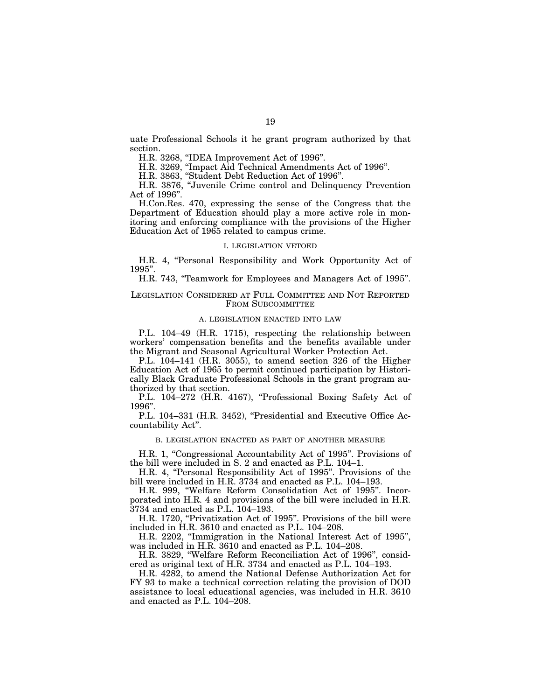uate Professional Schools it he grant program authorized by that section.

H.R. 3268, ''IDEA Improvement Act of 1996''.

H.R. 3269, ''Impact Aid Technical Amendments Act of 1996''.

H.R. 3863, ''Student Debt Reduction Act of 1996''.

H.R. 3876, ''Juvenile Crime control and Delinquency Prevention Act of 1996''.

H.Con.Res. 470, expressing the sense of the Congress that the Department of Education should play a more active role in monitoring and enforcing compliance with the provisions of the Higher Education Act of 1965 related to campus crime.

#### I. LEGISLATION VETOED

H.R. 4, "Personal Responsibility and Work Opportunity Act of 1995''.

H.R. 743, ''Teamwork for Employees and Managers Act of 1995''.

#### LEGISLATION CONSIDERED AT FULL COMMITTEE AND NOT REPORTED FROM SUBCOMMITTEE

#### A. LEGISLATION ENACTED INTO LAW

P.L. 104–49 (H.R. 1715), respecting the relationship between workers' compensation benefits and the benefits available under the Migrant and Seasonal Agricultural Worker Protection Act.

P.L. 104–141 (H.R. 3055), to amend section 326 of the Higher Education Act of 1965 to permit continued participation by Historically Black Graduate Professional Schools in the grant program authorized by that section.

P.L. 104-272 (H.R. 4167), "Professional Boxing Safety Act of 1996''.

P.L. 104–331 (H.R. 3452), "Presidential and Executive Office Accountability Act''.

B. LEGISLATION ENACTED AS PART OF ANOTHER MEASURE

H.R. 1, ''Congressional Accountability Act of 1995''. Provisions of the bill were included in S. 2 and enacted as P.L. 104–1.

H.R. 4, "Personal Responsibility Act of 1995". Provisions of the bill were included in H.R. 3734 and enacted as P.L. 104–193.

H.R. 999, ''Welfare Reform Consolidation Act of 1995''. Incorporated into H.R. 4 and provisions of the bill were included in H.R. 3734 and enacted as P.L. 104–193.

H.R. 1720, "Privatization Act of 1995". Provisions of the bill were included in H.R. 3610 and enacted as P.L. 104–208.

H.R. 2202, "Immigration in the National Interest Act of 1995", was included in H.R. 3610 and enacted as P.L. 104–208.

H.R. 3829, ''Welfare Reform Reconciliation Act of 1996'', considered as original text of H.R. 3734 and enacted as P.L. 104–193.

H.R. 4282, to amend the National Defense Authorization Act for FY 93 to make a technical correction relating the provision of DOD assistance to local educational agencies, was included in H.R. 3610 and enacted as P.L. 104–208.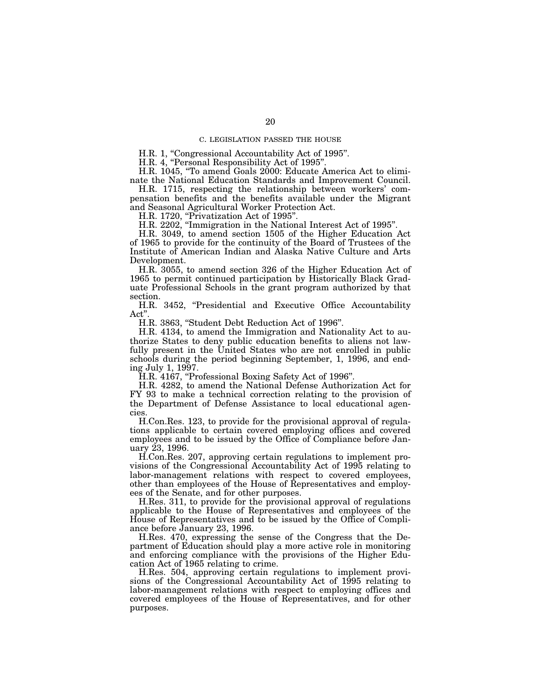#### C. LEGISLATION PASSED THE HOUSE

H.R. 1, "Congressional Accountability Act of 1995".

H.R. 4, "Personal Responsibility Act of 1995"

H.R. 1045, "To amend Goals 2000: Educate America Act to elimi-

nate the National Education Standards and Improvement Council. H.R. 1715, respecting the relationship between workers' compensation benefits and the benefits available under the Migrant

and Seasonal Agricultural Worker Protection Act.

H.R. 1720, "Privatization Act of 1995".

H.R. 2202, ''Immigration in the National Interest Act of 1995''.

H.R. 3049, to amend section 1505 of the Higher Education Act of 1965 to provide for the continuity of the Board of Trustees of the Institute of American Indian and Alaska Native Culture and Arts Development.

H.R. 3055, to amend section 326 of the Higher Education Act of 1965 to permit continued participation by Historically Black Graduate Professional Schools in the grant program authorized by that section.

H.R. 3452, "Presidential and Executive Office Accountability Act''.

H.R. 3863, ''Student Debt Reduction Act of 1996''.

H.R. 4134, to amend the Immigration and Nationality Act to authorize States to deny public education benefits to aliens not lawfully present in the United States who are not enrolled in public schools during the period beginning September, 1, 1996, and ending July 1, 1997.

H.R. 4167, "Professional Boxing Safety Act of 1996".

H.R. 4282, to amend the National Defense Authorization Act for FY 93 to make a technical correction relating to the provision of the Department of Defense Assistance to local educational agencies.

H.Con.Res. 123, to provide for the provisional approval of regulations applicable to certain covered employing offices and covered employees and to be issued by the Office of Compliance before January 23, 1996.

H.Con.Res. 207, approving certain regulations to implement provisions of the Congressional Accountability Act of 1995 relating to labor-management relations with respect to covered employees, other than employees of the House of Representatives and employees of the Senate, and for other purposes.

H.Res. 311, to provide for the provisional approval of regulations applicable to the House of Representatives and employees of the House of Representatives and to be issued by the Office of Compliance before January 23, 1996.

H.Res. 470, expressing the sense of the Congress that the Department of Education should play a more active role in monitoring and enforcing compliance with the provisions of the Higher Education Act of 1965 relating to crime.

H.Res. 504, approving certain regulations to implement provisions of the Congressional Accountability Act of 1995 relating to labor-management relations with respect to employing offices and covered employees of the House of Representatives, and for other purposes.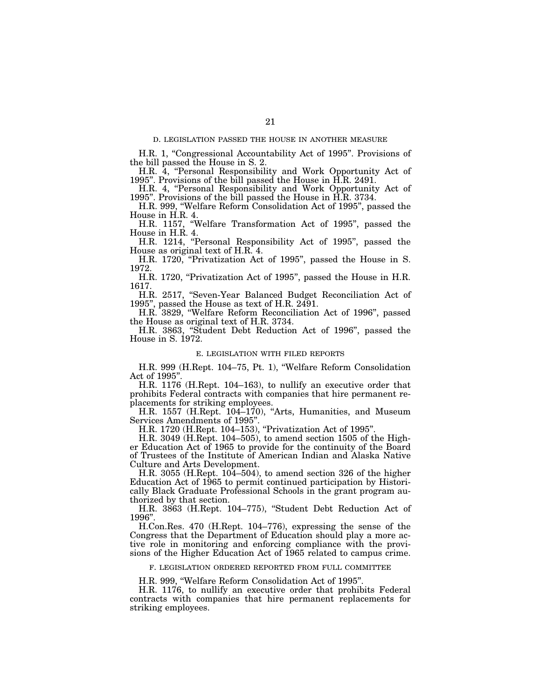#### D. LEGISLATION PASSED THE HOUSE IN ANOTHER MEASURE

H.R. 1, ''Congressional Accountability Act of 1995''. Provisions of the bill passed the House in S. 2.

H.R. 4, ''Personal Responsibility and Work Opportunity Act of 1995''. Provisions of the bill passed the House in H.R. 2491.

H.R. 4, "Personal Responsibility and Work Opportunity Act of 1995''. Provisions of the bill passed the House in H.R. 3734.

H.R. 999, ''Welfare Reform Consolidation Act of 1995'', passed the House in H.R. 4.

H.R. 1157, ''Welfare Transformation Act of 1995'', passed the House in H.R. 4.

H.R. 1214, "Personal Responsibility Act of 1995", passed the House as original text of H.R. 4.

H.R. 1720, "Privatization Act of 1995", passed the House in S. 1972.

H.R. 1720, "Privatization Act of 1995", passed the House in H.R. 1617.

H.R. 2517, ''Seven-Year Balanced Budget Reconciliation Act of 1995'', passed the House as text of H.R. 2491.

H.R. 3829, ''Welfare Reform Reconciliation Act of 1996'', passed the House as original text of H.R. 3734.

H.R. 3863, ''Student Debt Reduction Act of 1996'', passed the House in S. 1972.

#### E. LEGISLATION WITH FILED REPORTS

H.R. 999 (H.Rept. 104–75, Pt. 1), ''Welfare Reform Consolidation Act of 1995"

H.R. 1176 (H.Rept. 104–163), to nullify an executive order that prohibits Federal contracts with companies that hire permanent replacements for striking employees.

H.R. 1557 (H.Rept. 104-170), "Arts, Humanities, and Museum Services Amendments of 1995''.

H.R. 1720 (H.Rept. 104–153), ''Privatization Act of 1995''.

H.R. 3049 (H.Rept. 104–505), to amend section 1505 of the Higher Education Act of 1965 to provide for the continuity of the Board of Trustees of the Institute of American Indian and Alaska Native Culture and Arts Development.

H.R. 3055 (H.Rept. 104–504), to amend section 326 of the higher Education Act of 1965 to permit continued participation by Historically Black Graduate Professional Schools in the grant program authorized by that section.

H.R. 3863 (H.Rept. 104–775), ''Student Debt Reduction Act of 1996''.

H.Con.Res. 470 (H.Rept. 104–776), expressing the sense of the Congress that the Department of Education should play a more active role in monitoring and enforcing compliance with the provisions of the Higher Education Act of 1965 related to campus crime.

F. LEGISLATION ORDERED REPORTED FROM FULL COMMITTEE

H.R. 999, ''Welfare Reform Consolidation Act of 1995''.

H.R. 1176, to nullify an executive order that prohibits Federal contracts with companies that hire permanent replacements for striking employees.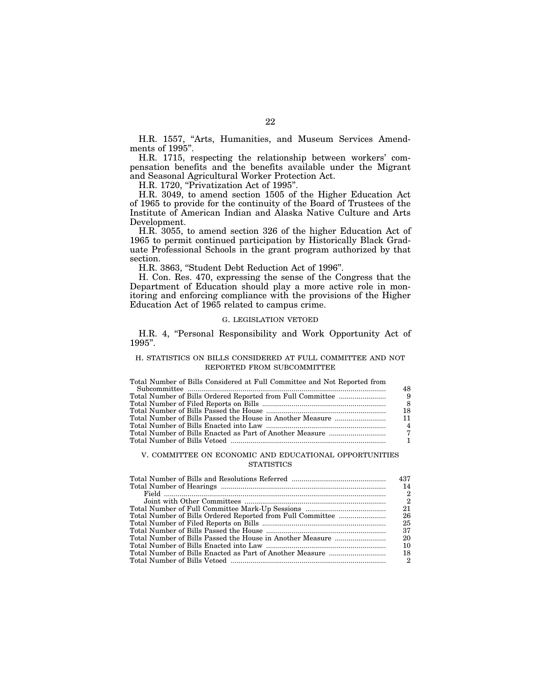H.R. 1557, "Arts, Humanities, and Museum Services Amendments of 1995".

H.R. 1715, respecting the relationship between workers' compensation benefits and the benefits available under the Migrant and Seasonal Agricultural Worker Protection Act.

H.R. 1720, "Privatization Act of 1995".

H.R. 3049, to amend section 1505 of the Higher Education Act of 1965 to provide for the continuity of the Board of Trustees of the Institute of American Indian and Alaska Native Culture and Arts Development.

H.R. 3055, to amend section 326 of the higher Education Act of 1965 to permit continued participation by Historically Black Graduate Professional Schools in the grant program authorized by that section.

H.R. 3863, ''Student Debt Reduction Act of 1996''.

H. Con. Res. 470, expressing the sense of the Congress that the Department of Education should play a more active role in monitoring and enforcing compliance with the provisions of the Higher Education Act of 1965 related to campus crime.

#### G. LEGISLATION VETOED

H.R. 4, "Personal Responsibility and Work Opportunity Act of 1995''.

## H. STATISTICS ON BILLS CONSIDERED AT FULL COMMITTEE AND NOT REPORTED FROM SUBCOMMITTEE

#### Total Number of Bills Considered at Full Committee and Not Reported from

| -18            |
|----------------|
|                |
| $\overline{4}$ |
|                |
|                |
|                |

#### V. COMMITTEE ON ECONOMIC AND EDUCATIONAL OPPORTUNITIES **STATISTICS**

|  | 2  |
|--|----|
|  | 2  |
|  | 21 |
|  | 26 |
|  | 25 |
|  | 37 |
|  | 20 |
|  | 10 |
|  | 18 |
|  | 2  |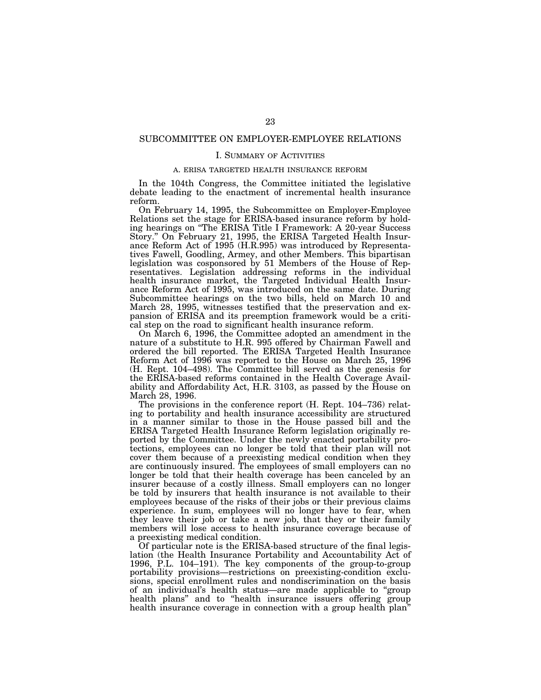## SUBCOMMITTEE ON EMPLOYER-EMPLOYEE RELATIONS

#### I. SUMMARY OF ACTIVITIES

#### A. ERISA TARGETED HEALTH INSURANCE REFORM

In the 104th Congress, the Committee initiated the legislative debate leading to the enactment of incremental health insurance reform.

On February 14, 1995, the Subcommittee on Employer-Employee Relations set the stage for ERISA-based insurance reform by holding hearings on "The ERISA Title I Framework: A 20-year Success Story.'' On February 21, 1995, the ERISA Targeted Health Insurance Reform Act of 1995 (H.R.995) was introduced by Representatives Fawell, Goodling, Armey, and other Members. This bipartisan legislation was cosponsored by 51 Members of the House of Representatives. Legislation addressing reforms in the individual health insurance market, the Targeted Individual Health Insurance Reform Act of 1995, was introduced on the same date. During Subcommittee hearings on the two bills, held on March 10 and March 28, 1995, witnesses testified that the preservation and expansion of ERISA and its preemption framework would be a critical step on the road to significant health insurance reform.

On March 6, 1996, the Committee adopted an amendment in the nature of a substitute to H.R. 995 offered by Chairman Fawell and ordered the bill reported. The ERISA Targeted Health Insurance Reform Act of 1996 was reported to the House on March 25, 1996 (H. Rept. 104–498). The Committee bill served as the genesis for the ERISA-based reforms contained in the Health Coverage Availability and Affordability Act, H.R. 3103, as passed by the House on March 28, 1996.

The provisions in the conference report (H. Rept. 104–736) relating to portability and health insurance accessibility are structured in a manner similar to those in the House passed bill and the ERISA Targeted Health Insurance Reform legislation originally reported by the Committee. Under the newly enacted portability protections, employees can no longer be told that their plan will not cover them because of a preexisting medical condition when they are continuously insured. The employees of small employers can no longer be told that their health coverage has been canceled by an insurer because of a costly illness. Small employers can no longer be told by insurers that health insurance is not available to their employees because of the risks of their jobs or their previous claims experience. In sum, employees will no longer have to fear, when they leave their job or take a new job, that they or their family members will lose access to health insurance coverage because of a preexisting medical condition.

Of particular note is the ERISA-based structure of the final legislation (the Health Insurance Portability and Accountability Act of 1996, P.L. 104–191). The key components of the group-to-group portability provisions—restrictions on preexisting-condition exclusions, special enrollment rules and nondiscrimination on the basis of an individual's health status—are made applicable to ''group health plans" and to "health insurance issuers offering group health insurance coverage in connection with a group health plan<sup>"</sup>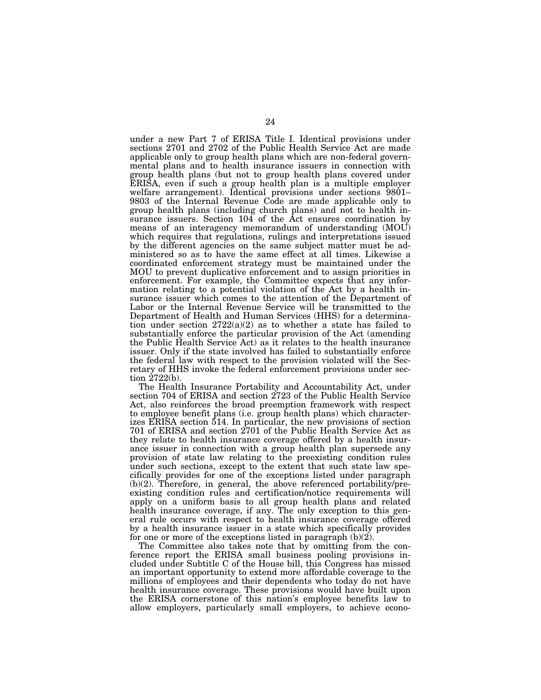under a new Part 7 of ERISA Title I. Identical provisions under sections 2701 and 2702 of the Public Health Service Act are made applicable only to group health plans which are non-federal governmental plans and to health insurance issuers in connection with group health plans (but not to group health plans covered under ERISA, even if such a group health plan is a multiple employer welfare arrangement). Identical provisions under sections 9801– 9803 of the Internal Revenue Code are made applicable only to group health plans (including church plans) and not to health insurance issuers. Section 104 of the Act ensures coordination by means of an interagency memorandum of understanding (MOU) which requires that regulations, rulings and interpretations issued by the different agencies on the same subject matter must be administered so as to have the same effect at all times. Likewise a coordinated enforcement strategy must be maintained under the MOU to prevent duplicative enforcement and to assign priorities in enforcement. For example, the Committee expects that any information relating to a potential violation of the Act by a health insurance issuer which comes to the attention of the Department of Labor or the Internal Revenue Service will be transmitted to the Department of Health and Human Services (HHS) for a determination under section  $2722(a)(2)$  as to whether a state has failed to substantially enforce the particular provision of the Act (amending the Public Health Service Act) as it relates to the health insurance issuer. Only if the state involved has failed to substantially enforce the federal law with respect to the provision violated will the Secretary of HHS invoke the federal enforcement provisions under section 2722(b).

The Health Insurance Portability and Accountability Act, under section 704 of ERISA and section 2723 of the Public Health Service Act, also reinforces the broad preemption framework with respect to employee benefit plans (i.e. group health plans) which characterizes ERISA section 514. In particular, the new provisions of section 701 of ERISA and section 2701 of the Public Health Service Act as they relate to health insurance coverage offered by a health insurance issuer in connection with a group health plan supersede any provision of state law relating to the preexisting condition rules under such sections, except to the extent that such state law specifically provides for one of the exceptions listed under paragraph  $(b)(2)$ . Therefore, in general, the above referenced portability/preexisting condition rules and certification/notice requirements will apply on a uniform basis to all group health plans and related health insurance coverage, if any. The only exception to this general rule occurs with respect to health insurance coverage offered by a health insurance issuer in a state which specifically provides for one or more of the exceptions listed in paragraph (b)(2).

The Committee also takes note that by omitting from the conference report the ERISA small business pooling provisions included under Subtitle C of the House bill, this Congress has missed an important opportunity to extend more affordable coverage to the millions of employees and their dependents who today do not have health insurance coverage. These provisions would have built upon the ERISA cornerstone of this nation's employee benefits law to allow employers, particularly small employers, to achieve econo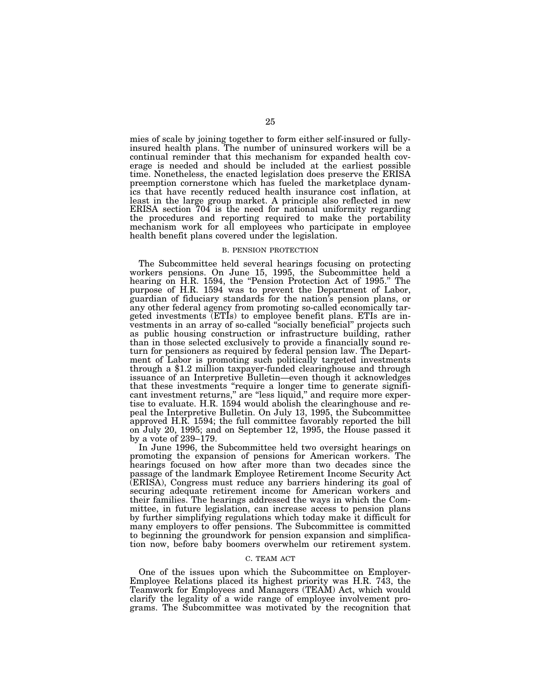mies of scale by joining together to form either self-insured or fullyinsured health plans. The number of uninsured workers will be a continual reminder that this mechanism for expanded health coverage is needed and should be included at the earliest possible time. Nonetheless, the enacted legislation does preserve the ERISA preemption cornerstone which has fueled the marketplace dynamics that have recently reduced health insurance cost inflation, at least in the large group market. A principle also reflected in new ERISA section 704 is the need for national uniformity regarding the procedures and reporting required to make the portability mechanism work for all employees who participate in employee health benefit plans covered under the legislation.

#### B. PENSION PROTECTION

The Subcommittee held several hearings focusing on protecting workers pensions. On June 15, 1995, the Subcommittee held a hearing on H.R. 1594, the "Pension Protection Act of 1995." The purpose of H.R. 1594 was to prevent the Department of Labor, guardian of fiduciary standards for the nation's pension plans, or any other federal agency from promoting so-called economically targeted investments (ETIs) to employee benefit plans. ETIs are investments in an array of so-called ''socially beneficial'' projects such as public housing construction or infrastructure building, rather than in those selected exclusively to provide a financially sound return for pensioners as required by federal pension law. The Department of Labor is promoting such politically targeted investments through a \$1.2 million taxpayer-funded clearinghouse and through issuance of an Interpretive Bulletin—even though it acknowledges that these investments ''require a longer time to generate significant investment returns," are "less liquid," and require more expertise to evaluate. H.R. 1594 would abolish the clearinghouse and repeal the Interpretive Bulletin. On July 13, 1995, the Subcommittee approved H.R. 1594; the full committee favorably reported the bill on July 20, 1995; and on September 12, 1995, the House passed it by a vote of 239–179.

In June 1996, the Subcommittee held two oversight hearings on promoting the expansion of pensions for American workers. The hearings focused on how after more than two decades since the passage of the landmark Employee Retirement Income Security Act (ERISA), Congress must reduce any barriers hindering its goal of securing adequate retirement income for American workers and their families. The hearings addressed the ways in which the Committee, in future legislation, can increase access to pension plans by further simplifying regulations which today make it difficult for many employers to offer pensions. The Subcommittee is committed to beginning the groundwork for pension expansion and simplification now, before baby boomers overwhelm our retirement system.

#### C. TEAM ACT

One of the issues upon which the Subcommittee on Employer-Employee Relations placed its highest priority was H.R. 743, the Teamwork for Employees and Managers (TEAM) Act, which would clarify the legality of a wide range of employee involvement programs. The Subcommittee was motivated by the recognition that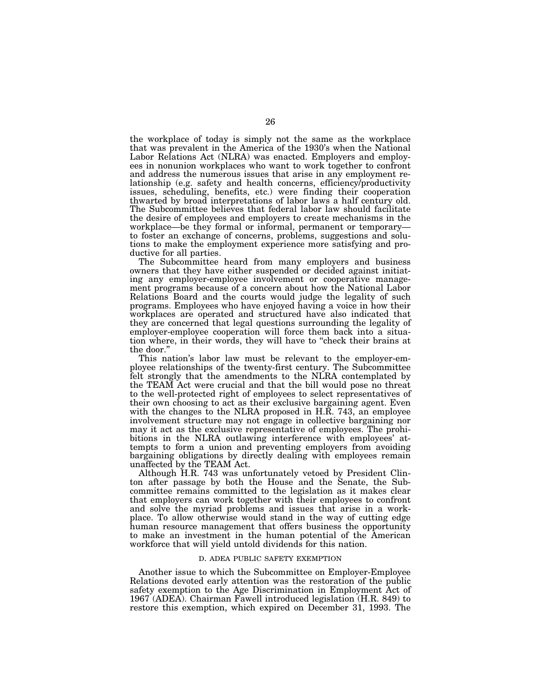the workplace of today is simply not the same as the workplace that was prevalent in the America of the 1930's when the National Labor Relations Act (NLRA) was enacted. Employers and employees in nonunion workplaces who want to work together to confront and address the numerous issues that arise in any employment relationship (e.g. safety and health concerns, efficiency/productivity issues, scheduling, benefits, etc.) were finding their cooperation thwarted by broad interpretations of labor laws a half century old. The Subcommittee believes that federal labor law should facilitate the desire of employees and employers to create mechanisms in the workplace—be they formal or informal, permanent or temporary to foster an exchange of concerns, problems, suggestions and solutions to make the employment experience more satisfying and productive for all parties.

The Subcommittee heard from many employers and business owners that they have either suspended or decided against initiating any employer-employee involvement or cooperative management programs because of a concern about how the National Labor Relations Board and the courts would judge the legality of such programs. Employees who have enjoyed having a voice in how their workplaces are operated and structured have also indicated that they are concerned that legal questions surrounding the legality of employer-employee cooperation will force them back into a situation where, in their words, they will have to ''check their brains at the door.''

This nation's labor law must be relevant to the employer-employee relationships of the twenty-first century. The Subcommittee felt strongly that the amendments to the NLRA contemplated by the TEAM Act were crucial and that the bill would pose no threat to the well-protected right of employees to select representatives of their own choosing to act as their exclusive bargaining agent. Even with the changes to the NLRA proposed in H.R. 743, an employee involvement structure may not engage in collective bargaining nor may it act as the exclusive representative of employees. The prohibitions in the NLRA outlawing interference with employees' attempts to form a union and preventing employers from avoiding bargaining obligations by directly dealing with employees remain unaffected by the TEAM Act.

Although H.R. 743 was unfortunately vetoed by President Clinton after passage by both the House and the Senate, the Subcommittee remains committed to the legislation as it makes clear that employers can work together with their employees to confront and solve the myriad problems and issues that arise in a workplace. To allow otherwise would stand in the way of cutting edge human resource management that offers business the opportunity to make an investment in the human potential of the American workforce that will yield untold dividends for this nation.

#### D. ADEA PUBLIC SAFETY EXEMPTION

Another issue to which the Subcommittee on Employer-Employee Relations devoted early attention was the restoration of the public safety exemption to the Age Discrimination in Employment Act of 1967 (ADEA). Chairman Fawell introduced legislation (H.R. 849) to restore this exemption, which expired on December 31, 1993. The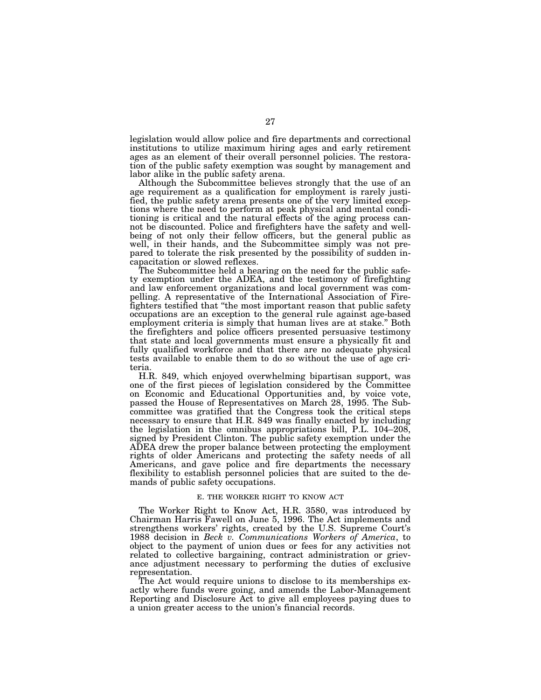legislation would allow police and fire departments and correctional institutions to utilize maximum hiring ages and early retirement ages as an element of their overall personnel policies. The restoration of the public safety exemption was sought by management and labor alike in the public safety arena.

Although the Subcommittee believes strongly that the use of an age requirement as a qualification for employment is rarely justified, the public safety arena presents one of the very limited exceptions where the need to perform at peak physical and mental conditioning is critical and the natural effects of the aging process cannot be discounted. Police and firefighters have the safety and wellbeing of not only their fellow officers, but the general public as well, in their hands, and the Subcommittee simply was not prepared to tolerate the risk presented by the possibility of sudden incapacitation or slowed reflexes.

The Subcommittee held a hearing on the need for the public safety exemption under the ADEA, and the testimony of firefighting and law enforcement organizations and local government was compelling. A representative of the International Association of Firefighters testified that ''the most important reason that public safety occupations are an exception to the general rule against age-based employment criteria is simply that human lives are at stake.'' Both the firefighters and police officers presented persuasive testimony that state and local governments must ensure a physically fit and fully qualified workforce and that there are no adequate physical tests available to enable them to do so without the use of age criteria.

H.R. 849, which enjoyed overwhelming bipartisan support, was one of the first pieces of legislation considered by the Committee on Economic and Educational Opportunities and, by voice vote, passed the House of Representatives on March 28, 1995. The Subcommittee was gratified that the Congress took the critical steps necessary to ensure that H.R. 849 was finally enacted by including the legislation in the omnibus appropriations bill, P.L. 104–208, signed by President Clinton. The public safety exemption under the ADEA drew the proper balance between protecting the employment rights of older Americans and protecting the safety needs of all Americans, and gave police and fire departments the necessary flexibility to establish personnel policies that are suited to the demands of public safety occupations.

#### E. THE WORKER RIGHT TO KNOW ACT

The Worker Right to Know Act, H.R. 3580, was introduced by Chairman Harris Fawell on June 5, 1996. The Act implements and strengthens workers' rights, created by the U.S. Supreme Court's 1988 decision in *Beck v. Communications Workers of America*, to object to the payment of union dues or fees for any activities not related to collective bargaining, contract administration or grievance adjustment necessary to performing the duties of exclusive representation.

The Act would require unions to disclose to its memberships exactly where funds were going, and amends the Labor-Management Reporting and Disclosure Act to give all employees paying dues to a union greater access to the union's financial records.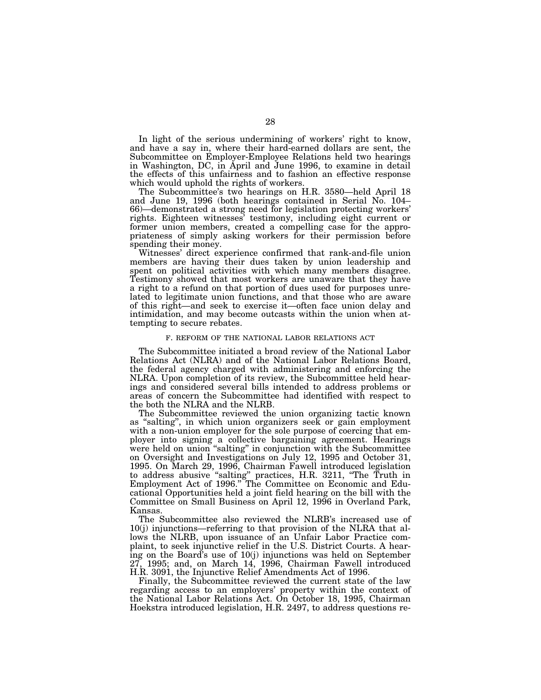In light of the serious undermining of workers' right to know, and have a say in, where their hard-earned dollars are sent, the Subcommittee on Employer-Employee Relations held two hearings in Washington, DC, in April and June 1996, to examine in detail the effects of this unfairness and to fashion an effective response which would uphold the rights of workers.

The Subcommittee's two hearings on H.R. 3580—held April 18 and June 19, 1996 (both hearings contained in Serial No. 104– 66)—demonstrated a strong need for legislation protecting workers' rights. Eighteen witnesses' testimony, including eight current or former union members, created a compelling case for the appropriateness of simply asking workers for their permission before spending their money.

Witnesses' direct experience confirmed that rank-and-file union members are having their dues taken by union leadership and spent on political activities with which many members disagree. Testimony showed that most workers are unaware that they have a right to a refund on that portion of dues used for purposes unrelated to legitimate union functions, and that those who are aware of this right—and seek to exercise it—often face union delay and intimidation, and may become outcasts within the union when attempting to secure rebates.

#### F. REFORM OF THE NATIONAL LABOR RELATIONS ACT

The Subcommittee initiated a broad review of the National Labor Relations Act (NLRA) and of the National Labor Relations Board, the federal agency charged with administering and enforcing the NLRA. Upon completion of its review, the Subcommittee held hearings and considered several bills intended to address problems or areas of concern the Subcommittee had identified with respect to the both the NLRA and the NLRB.

The Subcommittee reviewed the union organizing tactic known as ''salting'', in which union organizers seek or gain employment with a non-union employer for the sole purpose of coercing that employer into signing a collective bargaining agreement. Hearings were held on union "salting" in conjunction with the Subcommittee on Oversight and Investigations on July 12, 1995 and October 31, 1995. On March 29, 1996, Chairman Fawell introduced legislation to address abusive "salting" practices, H.R. 3211, "The Truth in Employment Act of 1996.'' The Committee on Economic and Educational Opportunities held a joint field hearing on the bill with the Committee on Small Business on April 12, 1996 in Overland Park, Kansas.

The Subcommittee also reviewed the NLRB's increased use of 10(j) injunctions—referring to that provision of the NLRA that allows the NLRB, upon issuance of an Unfair Labor Practice complaint, to seek injunctive relief in the U.S. District Courts. A hearing on the Board's use of 10(j) injunctions was held on September  $27, 1995$ ; and, on March  $14, 1996$ , Chairman Fawell introduced H.R. 3091, the Injunctive Relief Amendments Act of 1996.

Finally, the Subcommittee reviewed the current state of the law regarding access to an employers' property within the context of the National Labor Relations Act. On October 18, 1995, Chairman Hoekstra introduced legislation, H.R. 2497, to address questions re-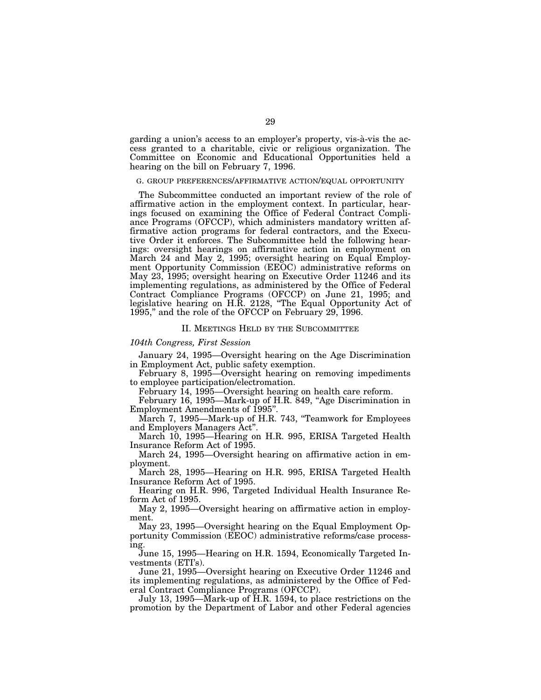garding a union's access to an employer's property, vis-à-vis the access granted to a charitable, civic or religious organization. The Committee on Economic and Educational Opportunities held a hearing on the bill on February 7, 1996.

### G. GROUP PREFERENCES/AFFIRMATIVE ACTION/EQUAL OPPORTUNITY

The Subcommittee conducted an important review of the role of affirmative action in the employment context. In particular, hearings focused on examining the Office of Federal Contract Compliance Programs (OFCCP), which administers mandatory written affirmative action programs for federal contractors, and the Executive Order it enforces. The Subcommittee held the following hearings: oversight hearings on affirmative action in employment on March 24 and May 2, 1995; oversight hearing on Equal Employment Opportunity Commission (EEOC) administrative reforms on May 23, 1995; oversight hearing on Executive Order 11246 and its implementing regulations, as administered by the Office of Federal Contract Compliance Programs (OFCCP) on June 21, 1995; and legislative hearing on H.R. 2128, ''The Equal Opportunity Act of 1995,'' and the role of the OFCCP on February 29, 1996.

#### II. MEETINGS HELD BY THE SUBCOMMITTEE

#### *104th Congress, First Session*

January 24, 1995—Oversight hearing on the Age Discrimination in Employment Act, public safety exemption.

February 8, 1995—Oversight hearing on removing impediments to employee participation/electromation.

February 14, 1995—Oversight hearing on health care reform.

February 16, 1995—Mark-up of H.R. 849, "Age Discrimination in Employment Amendments of 1995''.

March 7, 1995—Mark-up of H.R. 743, "Teamwork for Employees and Employers Managers Act''.

March 10, 1995—Hearing on H.R. 995, ERISA Targeted Health Insurance Reform Act of 1995.

March 24, 1995—Oversight hearing on affirmative action in employment.

March 28, 1995—Hearing on H.R. 995, ERISA Targeted Health Insurance Reform Act of 1995.

Hearing on H.R. 996, Targeted Individual Health Insurance Reform Act of 1995.

May 2, 1995—Oversight hearing on affirmative action in employment.

May 23, 1995—Oversight hearing on the Equal Employment Opportunity Commission (EEOC) administrative reforms/case processing.

June 15, 1995—Hearing on H.R. 1594, Economically Targeted Investments (ETI's).

June 21, 1995—Oversight hearing on Executive Order 11246 and its implementing regulations, as administered by the Office of Federal Contract Compliance Programs (OFCCP).

July 13, 1995—Mark-up of H.R. 1594, to place restrictions on the promotion by the Department of Labor and other Federal agencies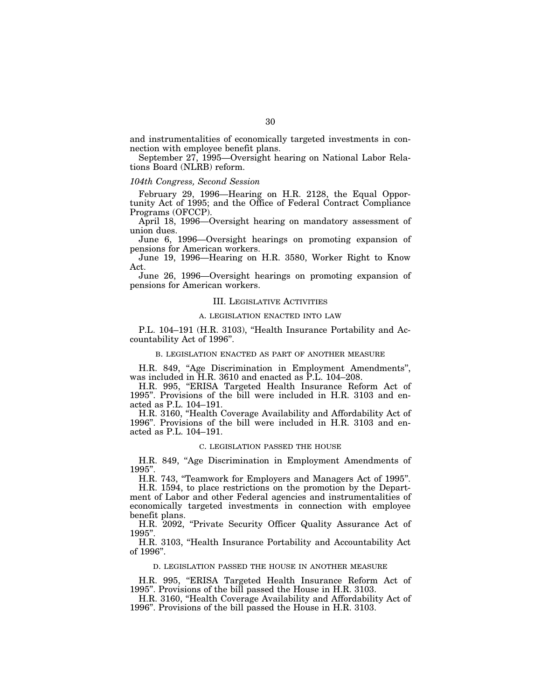and instrumentalities of economically targeted investments in connection with employee benefit plans.

September 27, 1995—Oversight hearing on National Labor Relations Board (NLRB) reform.

#### *104th Congress, Second Session*

February 29, 1996—Hearing on H.R. 2128, the Equal Opportunity Act of 1995; and the Office of Federal Contract Compliance Programs (OFCCP).

April 18, 1996—Oversight hearing on mandatory assessment of union dues.

June 6, 1996—Oversight hearings on promoting expansion of pensions for American workers.

June 19, 1996—Hearing on H.R. 3580, Worker Right to Know Act.

June 26, 1996—Oversight hearings on promoting expansion of pensions for American workers.

## III. LEGISLATIVE ACTIVITIES

## A. LEGISLATION ENACTED INTO LAW

P.L. 104–191 (H.R. 3103), "Health Insurance Portability and Accountability Act of 1996''.

## B. LEGISLATION ENACTED AS PART OF ANOTHER MEASURE

H.R. 849, "Age Discrimination in Employment Amendments", was included in H.R. 3610 and enacted as P.L. 104–208.

H.R. 995, ''ERISA Targeted Health Insurance Reform Act of 1995''. Provisions of the bill were included in H.R. 3103 and enacted as P.L. 104–191.

H.R. 3160, ''Health Coverage Availability and Affordability Act of 1996''. Provisions of the bill were included in H.R. 3103 and enacted as P.L. 104–191.

### C. LEGISLATION PASSED THE HOUSE

H.R. 849, "Age Discrimination in Employment Amendments of 1995''.

H.R. 743, ''Teamwork for Employers and Managers Act of 1995''.

H.R. 1594, to place restrictions on the promotion by the Department of Labor and other Federal agencies and instrumentalities of economically targeted investments in connection with employee benefit plans.

H.R. 2092, "Private Security Officer Quality Assurance Act of 1995''.

H.R. 3103, ''Health Insurance Portability and Accountability Act of 1996''.

# D. LEGISLATION PASSED THE HOUSE IN ANOTHER MEASURE

H.R. 995, ''ERISA Targeted Health Insurance Reform Act of 1995''. Provisions of the bill passed the House in H.R. 3103.

H.R. 3160, ''Health Coverage Availability and Affordability Act of 1996''. Provisions of the bill passed the House in H.R. 3103.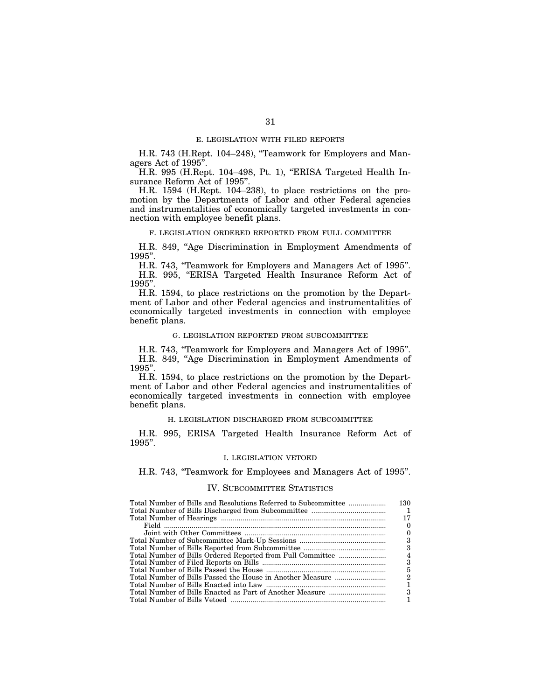### E. LEGISLATION WITH FILED REPORTS

H.R. 743 (H.Rept. 104–248), "Teamwork for Employers and Managers Act of 1995''.

H.R. 995 (H.Rept. 104–498, Pt. 1), ''ERISA Targeted Health Insurance Reform Act of 1995''.

H.R. 1594 (H.Rept. 104–238), to place restrictions on the promotion by the Departments of Labor and other Federal agencies and instrumentalities of economically targeted investments in connection with employee benefit plans.

### F. LEGISLATION ORDERED REPORTED FROM FULL COMMITTEE

H.R. 849, "Age Discrimination in Employment Amendments of 1995''.

H.R. 743, ''Teamwork for Employers and Managers Act of 1995''. H.R. 995, ''ERISA Targeted Health Insurance Reform Act of 1995''.

H.R. 1594, to place restrictions on the promotion by the Department of Labor and other Federal agencies and instrumentalities of economically targeted investments in connection with employee benefit plans.

## G. LEGISLATION REPORTED FROM SUBCOMMITTEE

H.R. 743, ''Teamwork for Employers and Managers Act of 1995''. H.R. 849, "Age Discrimination in Employment Amendments of 1995''.

H.R. 1594, to place restrictions on the promotion by the Department of Labor and other Federal agencies and instrumentalities of economically targeted investments in connection with employee benefit plans.

#### H. LEGISLATION DISCHARGED FROM SUBCOMMITTEE

H.R. 995, ERISA Targeted Health Insurance Reform Act of 1995''.

# I. LEGISLATION VETOED

H.R. 743, ''Teamwork for Employees and Managers Act of 1995''.

# IV. SUBCOMMITTEE STATISTICS

| Total Number of Bills and Resolutions Referred to Subcommittee | 130    |
|----------------------------------------------------------------|--------|
|                                                                |        |
|                                                                | 17     |
|                                                                | $_{0}$ |
|                                                                |        |
|                                                                | 3      |
|                                                                | 3      |
|                                                                |        |
|                                                                | 3      |
|                                                                | 5      |
|                                                                | 2      |
|                                                                |        |
|                                                                | З      |
|                                                                |        |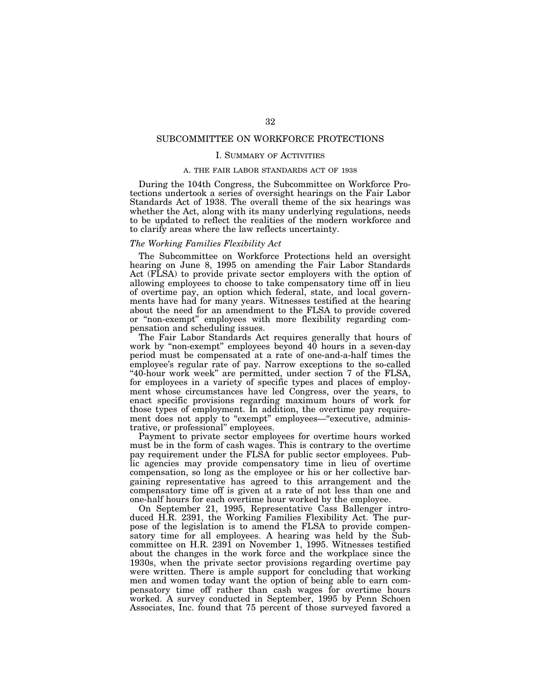# SUBCOMMITTEE ON WORKFORCE PROTECTIONS

### I. SUMMARY OF ACTIVITIES

## A. THE FAIR LABOR STANDARDS ACT OF 1938

During the 104th Congress, the Subcommittee on Workforce Protections undertook a series of oversight hearings on the Fair Labor Standards Act of 1938. The overall theme of the six hearings was whether the Act, along with its many underlying regulations, needs to be updated to reflect the realities of the modern workforce and to clarify areas where the law reflects uncertainty.

# *The Working Families Flexibility Act*

The Subcommittee on Workforce Protections held an oversight hearing on June 8, 1995 on amending the Fair Labor Standards Act (FLSA) to provide private sector employers with the option of allowing employees to choose to take compensatory time off in lieu of overtime pay, an option which federal, state, and local governments have had for many years. Witnesses testified at the hearing about the need for an amendment to the FLSA to provide covered or ''non-exempt'' employees with more flexibility regarding compensation and scheduling issues.

The Fair Labor Standards Act requires generally that hours of work by "non-exempt" employees beyond 40 hours in a seven-day period must be compensated at a rate of one-and-a-half times the employee's regular rate of pay. Narrow exceptions to the so-called ''40-hour work week'' are permitted, under section 7 of the FLSA, for employees in a variety of specific types and places of employment whose circumstances have led Congress, over the years, to enact specific provisions regarding maximum hours of work for those types of employment. In addition, the overtime pay requirement does not apply to "exempt" employees—"executive, administrative, or professional'' employees.

Payment to private sector employees for overtime hours worked must be in the form of cash wages. This is contrary to the overtime pay requirement under the FLSA for public sector employees. Public agencies may provide compensatory time in lieu of overtime compensation, so long as the employee or his or her collective bargaining representative has agreed to this arrangement and the compensatory time off is given at a rate of not less than one and one-half hours for each overtime hour worked by the employee.

On September 21, 1995, Representative Cass Ballenger introduced H.R. 2391, the Working Families Flexibility Act. The purpose of the legislation is to amend the FLSA to provide compensatory time for all employees. A hearing was held by the Subcommittee on H.R. 2391 on November 1, 1995. Witnesses testified about the changes in the work force and the workplace since the 1930s, when the private sector provisions regarding overtime pay were written. There is ample support for concluding that working men and women today want the option of being able to earn compensatory time off rather than cash wages for overtime hours worked. A survey conducted in September, 1995 by Penn Schoen Associates, Inc. found that 75 percent of those surveyed favored a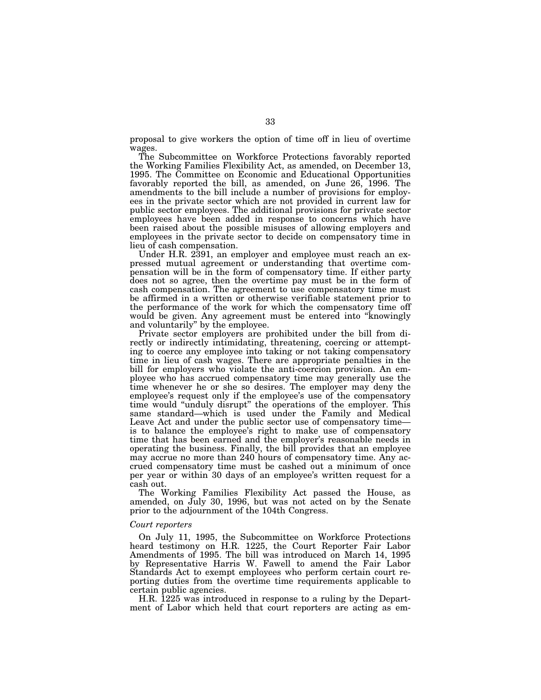proposal to give workers the option of time off in lieu of overtime wages.

The Subcommittee on Workforce Protections favorably reported the Working Families Flexibility Act, as amended, on December 13, 1995. The Committee on Economic and Educational Opportunities favorably reported the bill, as amended, on June 26, 1996. The amendments to the bill include a number of provisions for employees in the private sector which are not provided in current law for public sector employees. The additional provisions for private sector employees have been added in response to concerns which have been raised about the possible misuses of allowing employers and employees in the private sector to decide on compensatory time in lieu of cash compensation.

Under H.R. 2391, an employer and employee must reach an expressed mutual agreement or understanding that overtime compensation will be in the form of compensatory time. If either party does not so agree, then the overtime pay must be in the form of cash compensation. The agreement to use compensatory time must be affirmed in a written or otherwise verifiable statement prior to the performance of the work for which the compensatory time off would be given. Any agreement must be entered into "knowingly and voluntarily'' by the employee.

Private sector employers are prohibited under the bill from directly or indirectly intimidating, threatening, coercing or attempting to coerce any employee into taking or not taking compensatory time in lieu of cash wages. There are appropriate penalties in the bill for employers who violate the anti-coercion provision. An employee who has accrued compensatory time may generally use the time whenever he or she so desires. The employer may deny the employee's request only if the employee's use of the compensatory time would "unduly disrupt" the operations of the employer. This same standard—which is used under the Family and Medical Leave Act and under the public sector use of compensatory time is to balance the employee's right to make use of compensatory time that has been earned and the employer's reasonable needs in operating the business. Finally, the bill provides that an employee may accrue no more than 240 hours of compensatory time. Any accrued compensatory time must be cashed out a minimum of once per year or within 30 days of an employee's written request for a cash out.

The Working Families Flexibility Act passed the House, as amended, on July 30, 1996, but was not acted on by the Senate prior to the adjournment of the 104th Congress.

### *Court reporters*

On July 11, 1995, the Subcommittee on Workforce Protections heard testimony on H.R. 1225, the Court Reporter Fair Labor Amendments of 1995. The bill was introduced on March 14, 1995 by Representative Harris W. Fawell to amend the Fair Labor Standards Act to exempt employees who perform certain court reporting duties from the overtime time requirements applicable to certain public agencies.

H.R. 1225 was introduced in response to a ruling by the Department of Labor which held that court reporters are acting as em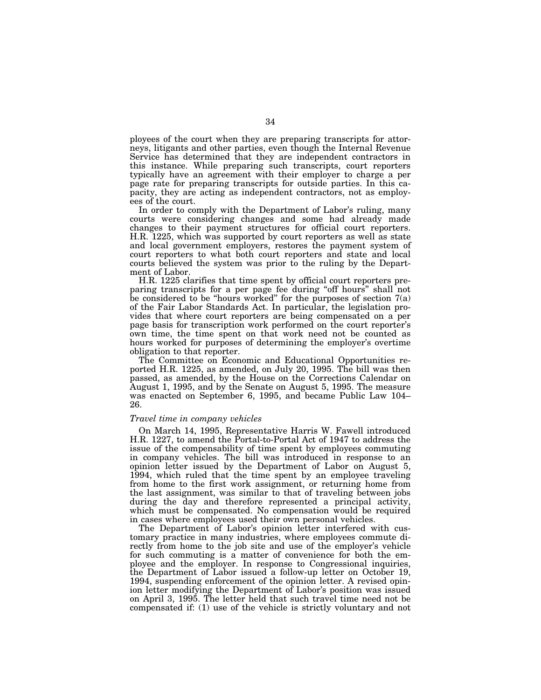ployees of the court when they are preparing transcripts for attorneys, litigants and other parties, even though the Internal Revenue Service has determined that they are independent contractors in this instance. While preparing such transcripts, court reporters typically have an agreement with their employer to charge a per page rate for preparing transcripts for outside parties. In this capacity, they are acting as independent contractors, not as employees of the court.

In order to comply with the Department of Labor's ruling, many courts were considering changes and some had already made changes to their payment structures for official court reporters. H.R. 1225, which was supported by court reporters as well as state and local government employers, restores the payment system of court reporters to what both court reporters and state and local courts believed the system was prior to the ruling by the Department of Labor.

H.R. 1225 clarifies that time spent by official court reporters preparing transcripts for a per page fee during "off hours" shall not be considered to be "hours worked" for the purposes of section  $7(a)$ of the Fair Labor Standards Act. In particular, the legislation provides that where court reporters are being compensated on a per page basis for transcription work performed on the court reporter's own time, the time spent on that work need not be counted as hours worked for purposes of determining the employer's overtime obligation to that reporter.

The Committee on Economic and Educational Opportunities reported H.R. 1225, as amended, on July 20, 1995. The bill was then passed, as amended, by the House on the Corrections Calendar on August 1, 1995, and by the Senate on August 5, 1995. The measure was enacted on September 6, 1995, and became Public Law 104– 26.

### *Travel time in company vehicles*

On March 14, 1995, Representative Harris W. Fawell introduced H.R. 1227, to amend the Portal-to-Portal Act of 1947 to address the issue of the compensability of time spent by employees commuting in company vehicles. The bill was introduced in response to an opinion letter issued by the Department of Labor on August 5, 1994, which ruled that the time spent by an employee traveling from home to the first work assignment, or returning home from the last assignment, was similar to that of traveling between jobs during the day and therefore represented a principal activity, which must be compensated. No compensation would be required in cases where employees used their own personal vehicles.

The Department of Labor's opinion letter interfered with customary practice in many industries, where employees commute directly from home to the job site and use of the employer's vehicle for such commuting is a matter of convenience for both the employee and the employer. In response to Congressional inquiries, the Department of Labor issued a follow-up letter on October 19, 1994, suspending enforcement of the opinion letter. A revised opinion letter modifying the Department of Labor's position was issued on April 3, 1995. The letter held that such travel time need not be compensated if: (1) use of the vehicle is strictly voluntary and not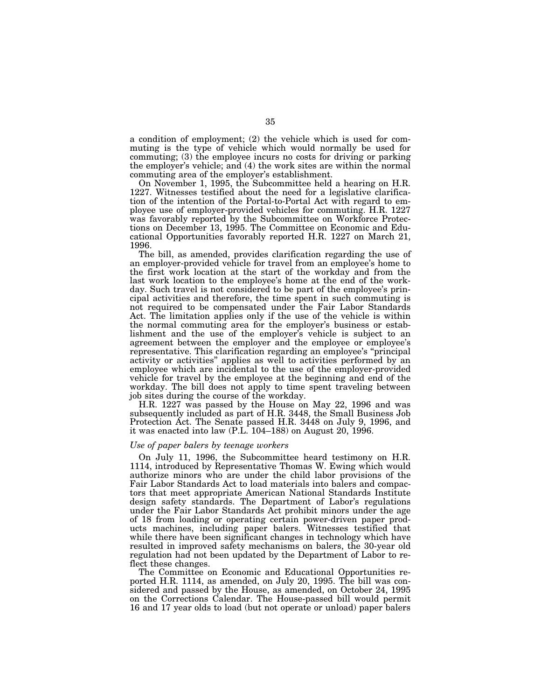a condition of employment; (2) the vehicle which is used for commuting is the type of vehicle which would normally be used for commuting; (3) the employee incurs no costs for driving or parking the employer's vehicle; and (4) the work sites are within the normal commuting area of the employer's establishment.

On November 1, 1995, the Subcommittee held a hearing on H.R. 1227. Witnesses testified about the need for a legislative clarification of the intention of the Portal-to-Portal Act with regard to employee use of employer-provided vehicles for commuting. H.R. 1227 was favorably reported by the Subcommittee on Workforce Protections on December 13, 1995. The Committee on Economic and Educational Opportunities favorably reported H.R. 1227 on March 21, 1996.

The bill, as amended, provides clarification regarding the use of an employer-provided vehicle for travel from an employee's home to the first work location at the start of the workday and from the last work location to the employee's home at the end of the workday. Such travel is not considered to be part of the employee's principal activities and therefore, the time spent in such commuting is not required to be compensated under the Fair Labor Standards Act. The limitation applies only if the use of the vehicle is within the normal commuting area for the employer's business or establishment and the use of the employer's vehicle is subject to an agreement between the employer and the employee or employee's representative. This clarification regarding an employee's ''principal activity or activities'' applies as well to activities performed by an employee which are incidental to the use of the employer-provided vehicle for travel by the employee at the beginning and end of the workday. The bill does not apply to time spent traveling between job sites during the course of the workday.

H.R. 1227 was passed by the House on May 22, 1996 and was subsequently included as part of H.R. 3448, the Small Business Job Protection Act. The Senate passed H.R. 3448 on July 9, 1996, and it was enacted into law (P.L. 104–188) on August 20, 1996.

#### *Use of paper balers by teenage workers*

On July 11, 1996, the Subcommittee heard testimony on H.R. 1114, introduced by Representative Thomas W. Ewing which would authorize minors who are under the child labor provisions of the Fair Labor Standards Act to load materials into balers and compactors that meet appropriate American National Standards Institute design safety standards. The Department of Labor's regulations under the Fair Labor Standards Act prohibit minors under the age of 18 from loading or operating certain power-driven paper products machines, including paper balers. Witnesses testified that while there have been significant changes in technology which have resulted in improved safety mechanisms on balers, the 30-year old regulation had not been updated by the Department of Labor to reflect these changes.

The Committee on Economic and Educational Opportunities reported H.R. 1114, as amended, on July 20, 1995. The bill was considered and passed by the House, as amended, on October 24, 1995 on the Corrections Calendar. The House-passed bill would permit 16 and 17 year olds to load (but not operate or unload) paper balers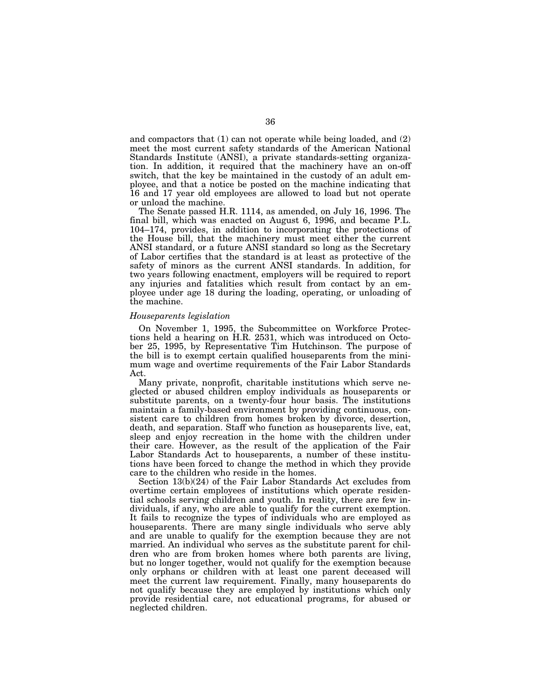and compactors that (1) can not operate while being loaded, and (2) meet the most current safety standards of the American National Standards Institute (ANSI), a private standards-setting organization. In addition, it required that the machinery have an on-off switch, that the key be maintained in the custody of an adult employee, and that a notice be posted on the machine indicating that 16 and 17 year old employees are allowed to load but not operate or unload the machine.

The Senate passed H.R. 1114, as amended, on July 16, 1996. The final bill, which was enacted on August 6, 1996, and became P.L. 104–174, provides, in addition to incorporating the protections of the House bill, that the machinery must meet either the current ANSI standard, or a future ANSI standard so long as the Secretary of Labor certifies that the standard is at least as protective of the safety of minors as the current ANSI standards. In addition, for two years following enactment, employers will be required to report any injuries and fatalities which result from contact by an employee under age 18 during the loading, operating, or unloading of the machine.

# *Houseparents legislation*

On November 1, 1995, the Subcommittee on Workforce Protections held a hearing on H.R. 2531, which was introduced on October 25, 1995, by Representative Tim Hutchinson. The purpose of the bill is to exempt certain qualified houseparents from the minimum wage and overtime requirements of the Fair Labor Standards Act.

Many private, nonprofit, charitable institutions which serve neglected or abused children employ individuals as houseparents or substitute parents, on a twenty-four hour basis. The institutions maintain a family-based environment by providing continuous, consistent care to children from homes broken by divorce, desertion, death, and separation. Staff who function as houseparents live, eat, sleep and enjoy recreation in the home with the children under their care. However, as the result of the application of the Fair Labor Standards Act to houseparents, a number of these institutions have been forced to change the method in which they provide care to the children who reside in the homes.

Section 13(b)(24) of the Fair Labor Standards Act excludes from overtime certain employees of institutions which operate residential schools serving children and youth. In reality, there are few individuals, if any, who are able to qualify for the current exemption. It fails to recognize the types of individuals who are employed as houseparents. There are many single individuals who serve ably and are unable to qualify for the exemption because they are not married. An individual who serves as the substitute parent for children who are from broken homes where both parents are living, but no longer together, would not qualify for the exemption because only orphans or children with at least one parent deceased will meet the current law requirement. Finally, many houseparents do not qualify because they are employed by institutions which only provide residential care, not educational programs, for abused or neglected children.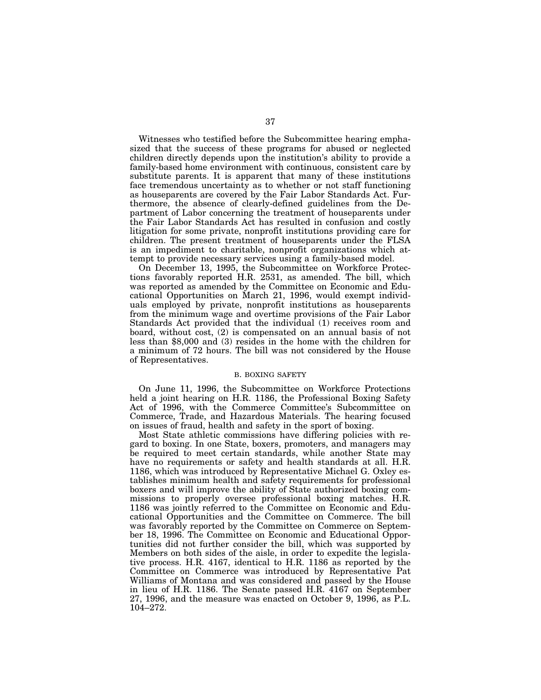Witnesses who testified before the Subcommittee hearing emphasized that the success of these programs for abused or neglected children directly depends upon the institution's ability to provide a family-based home environment with continuous, consistent care by substitute parents. It is apparent that many of these institutions face tremendous uncertainty as to whether or not staff functioning as houseparents are covered by the Fair Labor Standards Act. Furthermore, the absence of clearly-defined guidelines from the Department of Labor concerning the treatment of houseparents under the Fair Labor Standards Act has resulted in confusion and costly litigation for some private, nonprofit institutions providing care for children. The present treatment of houseparents under the FLSA is an impediment to charitable, nonprofit organizations which attempt to provide necessary services using a family-based model.

On December 13, 1995, the Subcommittee on Workforce Protections favorably reported H.R. 2531, as amended. The bill, which was reported as amended by the Committee on Economic and Educational Opportunities on March 21, 1996, would exempt individuals employed by private, nonprofit institutions as houseparents from the minimum wage and overtime provisions of the Fair Labor Standards Act provided that the individual (1) receives room and board, without cost, (2) is compensated on an annual basis of not less than \$8,000 and (3) resides in the home with the children for a minimum of 72 hours. The bill was not considered by the House of Representatives.

## B. BOXING SAFETY

On June 11, 1996, the Subcommittee on Workforce Protections held a joint hearing on H.R. 1186, the Professional Boxing Safety Act of 1996, with the Commerce Committee's Subcommittee on Commerce, Trade, and Hazardous Materials. The hearing focused on issues of fraud, health and safety in the sport of boxing.

Most State athletic commissions have differing policies with regard to boxing. In one State, boxers, promoters, and managers may be required to meet certain standards, while another State may have no requirements or safety and health standards at all. H.R. 1186, which was introduced by Representative Michael G. Oxley establishes minimum health and safety requirements for professional boxers and will improve the ability of State authorized boxing commissions to properly oversee professional boxing matches. H.R. 1186 was jointly referred to the Committee on Economic and Educational Opportunities and the Committee on Commerce. The bill was favorably reported by the Committee on Commerce on September 18, 1996. The Committee on Economic and Educational Opportunities did not further consider the bill, which was supported by Members on both sides of the aisle, in order to expedite the legislative process. H.R. 4167, identical to H.R. 1186 as reported by the Committee on Commerce was introduced by Representative Pat Williams of Montana and was considered and passed by the House in lieu of H.R. 1186. The Senate passed H.R. 4167 on September 27, 1996, and the measure was enacted on October 9, 1996, as P.L. 104–272.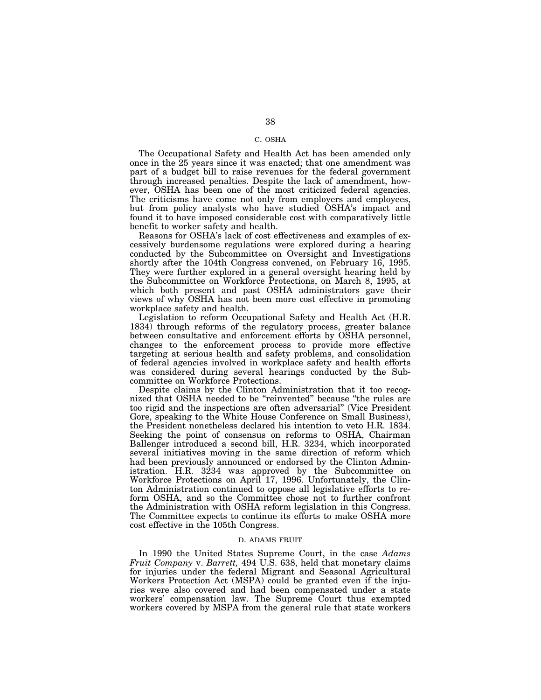## C. OSHA

The Occupational Safety and Health Act has been amended only once in the 25 years since it was enacted; that one amendment was part of a budget bill to raise revenues for the federal government through increased penalties. Despite the lack of amendment, however, OSHA has been one of the most criticized federal agencies. The criticisms have come not only from employers and employees, but from policy analysts who have studied OSHA's impact and found it to have imposed considerable cost with comparatively little benefit to worker safety and health.

Reasons for OSHA's lack of cost effectiveness and examples of excessively burdensome regulations were explored during a hearing conducted by the Subcommittee on Oversight and Investigations shortly after the 104th Congress convened, on February 16, 1995. They were further explored in a general oversight hearing held by the Subcommittee on Workforce Protections, on March 8, 1995, at which both present and past OSHA administrators gave their views of why OSHA has not been more cost effective in promoting workplace safety and health.

Legislation to reform Occupational Safety and Health Act (H.R. 1834) through reforms of the regulatory process, greater balance between consultative and enforcement efforts by OSHA personnel, changes to the enforcement process to provide more effective targeting at serious health and safety problems, and consolidation of federal agencies involved in workplace safety and health efforts was considered during several hearings conducted by the Subcommittee on Workforce Protections.

Despite claims by the Clinton Administration that it too recognized that OSHA needed to be ''reinvented'' because ''the rules are too rigid and the inspections are often adversarial'' (Vice President Gore, speaking to the White House Conference on Small Business), the President nonetheless declared his intention to veto H.R. 1834. Seeking the point of consensus on reforms to OSHA, Chairman Ballenger introduced a second bill, H.R. 3234, which incorporated several initiatives moving in the same direction of reform which had been previously announced or endorsed by the Clinton Administration. H.R. 3234 was approved by the Subcommittee on Workforce Protections on April 17, 1996. Unfortunately, the Clinton Administration continued to oppose all legislative efforts to reform OSHA, and so the Committee chose not to further confront the Administration with OSHA reform legislation in this Congress. The Committee expects to continue its efforts to make OSHA more cost effective in the 105th Congress.

#### D. ADAMS FRUIT

In 1990 the United States Supreme Court, in the case *Adams Fruit Company* v. *Barrett,* 494 U.S. 638, held that monetary claims for injuries under the federal Migrant and Seasonal Agricultural Workers Protection Act (MSPA) could be granted even if the injuries were also covered and had been compensated under a state workers' compensation law. The Supreme Court thus exempted workers covered by MSPA from the general rule that state workers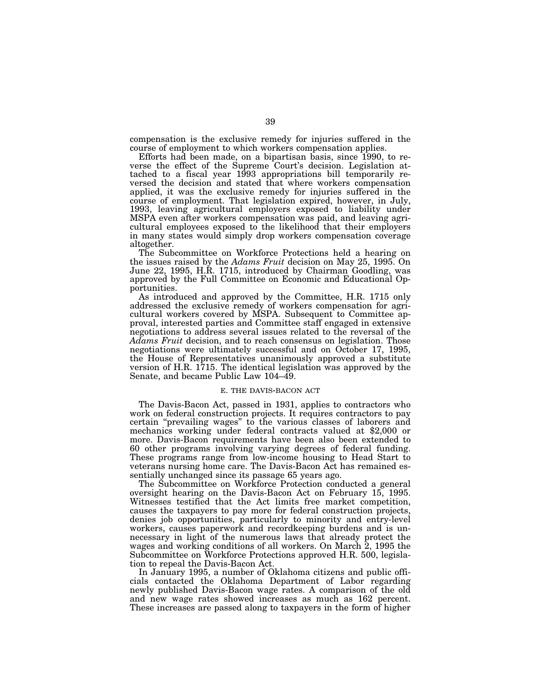compensation is the exclusive remedy for injuries suffered in the course of employment to which workers compensation applies.

Efforts had been made, on a bipartisan basis, since 1990, to reverse the effect of the Supreme Court's decision. Legislation attached to a fiscal year 1993 appropriations bill temporarily reversed the decision and stated that where workers compensation applied, it was the exclusive remedy for injuries suffered in the course of employment. That legislation expired, however, in July, 1993, leaving agricultural employers exposed to liability under MSPA even after workers compensation was paid, and leaving agricultural employees exposed to the likelihood that their employers in many states would simply drop workers compensation coverage altogether.

The Subcommittee on Workforce Protections held a hearing on the issues raised by the *Adams Fruit* decision on May 25, 1995. On June 22, 1995, H.R. 1715, introduced by Chairman Goodling, was approved by the Full Committee on Economic and Educational Opportunities.

As introduced and approved by the Committee, H.R. 1715 only addressed the exclusive remedy of workers compensation for agricultural workers covered by MSPA. Subsequent to Committee approval, interested parties and Committee staff engaged in extensive negotiations to address several issues related to the reversal of the *Adams Fruit* decision, and to reach consensus on legislation. Those negotiations were ultimately successful and on October 17, 1995, the House of Representatives unanimously approved a substitute version of H.R. 1715. The identical legislation was approved by the Senate, and became Public Law 104–49.

#### E. THE DAVIS-BACON ACT

The Davis-Bacon Act, passed in 1931, applies to contractors who work on federal construction projects. It requires contractors to pay certain ''prevailing wages'' to the various classes of laborers and mechanics working under federal contracts valued at \$2,000 or more. Davis-Bacon requirements have been also been extended to 60 other programs involving varying degrees of federal funding. These programs range from low-income housing to Head Start to veterans nursing home care. The Davis-Bacon Act has remained essentially unchanged since its passage 65 years ago.

The Subcommittee on Workforce Protection conducted a general oversight hearing on the Davis-Bacon Act on February 15, 1995. Witnesses testified that the Act limits free market competition, causes the taxpayers to pay more for federal construction projects, denies job opportunities, particularly to minority and entry-level workers, causes paperwork and recordkeeping burdens and is unnecessary in light of the numerous laws that already protect the wages and working conditions of all workers. On March 2, 1995 the Subcommittee on Workforce Protections approved H.R. 500, legislation to repeal the Davis-Bacon Act.

In January 1995, a number of Oklahoma citizens and public officials contacted the Oklahoma Department of Labor regarding newly published Davis-Bacon wage rates. A comparison of the old and new wage rates showed increases as much as 162 percent. These increases are passed along to taxpayers in the form of higher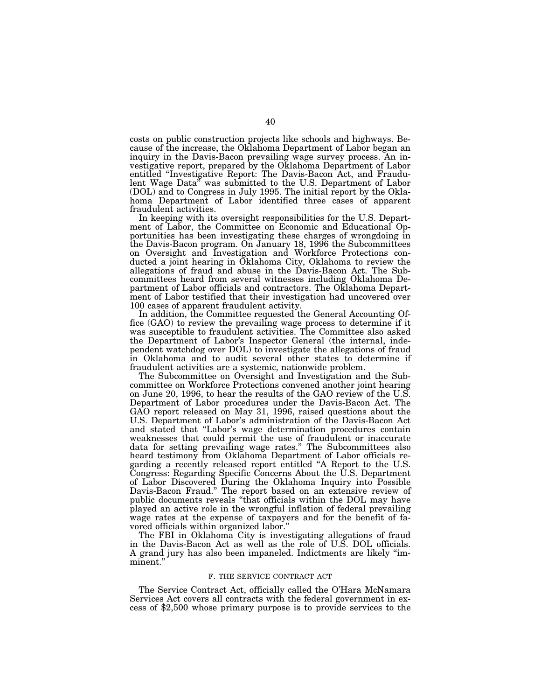costs on public construction projects like schools and highways. Because of the increase, the Oklahoma Department of Labor began an inquiry in the Davis-Bacon prevailing wage survey process. An investigative report, prepared by the Oklahoma Department of Labor entitled ''Investigative Report: The Davis-Bacon Act, and Fraudulent Wage Data'' was submitted to the U.S. Department of Labor (DOL) and to Congress in July 1995. The initial report by the Oklahoma Department of Labor identified three cases of apparent fraudulent activities.

In keeping with its oversight responsibilities for the U.S. Department of Labor, the Committee on Economic and Educational Opportunities has been investigating these charges of wrongdoing in the Davis-Bacon program. On January 18, 1996 the Subcommittees on Oversight and Investigation and Workforce Protections conducted a joint hearing in Oklahoma City, Oklahoma to review the allegations of fraud and abuse in the Davis-Bacon Act. The Subcommittees heard from several witnesses including Oklahoma Department of Labor officials and contractors. The Oklahoma Department of Labor testified that their investigation had uncovered over 100 cases of apparent fraudulent activity.

In addition, the Committee requested the General Accounting Office (GAO) to review the prevailing wage process to determine if it was susceptible to fraudulent activities. The Committee also asked the Department of Labor's Inspector General (the internal, independent watchdog over DOL) to investigate the allegations of fraud in Oklahoma and to audit several other states to determine if fraudulent activities are a systemic, nationwide problem.

The Subcommittee on Oversight and Investigation and the Subcommittee on Workforce Protections convened another joint hearing on June 20, 1996, to hear the results of the GAO review of the U.S. Department of Labor procedures under the Davis-Bacon Act. The GAO report released on May 31, 1996, raised questions about the U.S. Department of Labor's administration of the Davis-Bacon Act and stated that ''Labor's wage determination procedures contain weaknesses that could permit the use of fraudulent or inaccurate data for setting prevailing wage rates.'' The Subcommittees also heard testimony from Oklahoma Department of Labor officials regarding a recently released report entitled ''A Report to the U.S. Congress: Regarding Specific Concerns About the U.S. Department of Labor Discovered During the Oklahoma Inquiry into Possible Davis-Bacon Fraud.'' The report based on an extensive review of public documents reveals ''that officials within the DOL may have played an active role in the wrongful inflation of federal prevailing wage rates at the expense of taxpayers and for the benefit of favored officials within organized labor.''

The FBI in Oklahoma City is investigating allegations of fraud in the Davis-Bacon Act as well as the role of U.S. DOL officials. A grand jury has also been impaneled. Indictments are likely ''imminent.''

#### F. THE SERVICE CONTRACT ACT

The Service Contract Act, officially called the O'Hara McNamara Services Act covers all contracts with the federal government in excess of \$2,500 whose primary purpose is to provide services to the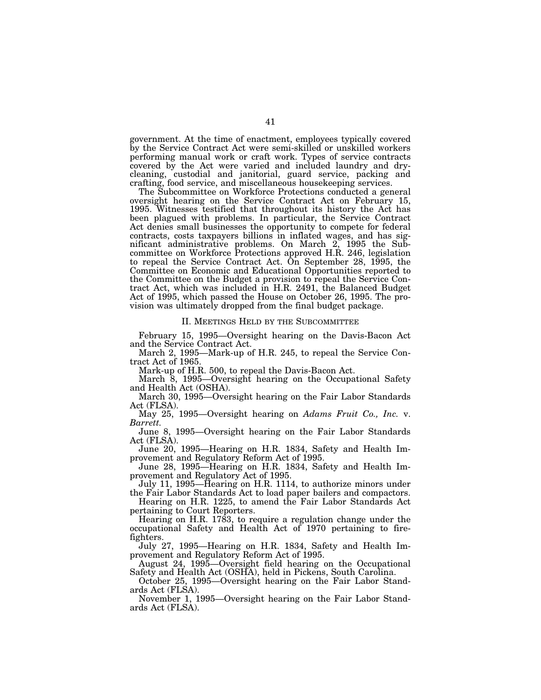government. At the time of enactment, employees typically covered by the Service Contract Act were semi-skilled or unskilled workers performing manual work or craft work. Types of service contracts covered by the Act were varied and included laundry and drycleaning, custodial and janitorial, guard service, packing and crafting, food service, and miscellaneous housekeeping services.

The Subcommittee on Workforce Protections conducted a general oversight hearing on the Service Contract Act on February 15, 1995. Witnesses testified that throughout its history the Act has been plagued with problems. In particular, the Service Contract Act denies small businesses the opportunity to compete for federal contracts, costs taxpayers billions in inflated wages, and has significant administrative problems. On March 2, 1995 the Subcommittee on Workforce Protections approved H.R. 246, legislation to repeal the Service Contract Act. On September 28, 1995, the Committee on Economic and Educational Opportunities reported to the Committee on the Budget a provision to repeal the Service Contract Act, which was included in H.R. 2491, the Balanced Budget Act of 1995, which passed the House on October 26, 1995. The provision was ultimately dropped from the final budget package.

#### II. MEETINGS HELD BY THE SUBCOMMITTEE

February 15, 1995—Oversight hearing on the Davis-Bacon Act and the Service Contract Act.

March 2, 1995—Mark-up of H.R. 245, to repeal the Service Contract Act of 1965.

Mark-up of H.R. 500, to repeal the Davis-Bacon Act.

March 8, 1995—Oversight hearing on the Occupational Safety and Health Act (OSHA).

March 30, 1995—Oversight hearing on the Fair Labor Standards Act (FLSA).

May 25, 1995—Oversight hearing on *Adams Fruit Co., Inc.* v. *Barrett.*

June 8, 1995—Oversight hearing on the Fair Labor Standards Act (FLSA).

June 20, 1995—Hearing on H.R. 1834, Safety and Health Improvement and Regulatory Reform Act of 1995.

June 28, 1995—Hearing on H.R. 1834, Safety and Health Improvement and Regulatory Act of 1995.

July 11, 1995—Hearing on H.R. 1114, to authorize minors under the Fair Labor Standards Act to load paper bailers and compactors.

Hearing on H.R. 1225, to amend the Fair Labor Standards Act pertaining to Court Reporters.

Hearing on H.R. 1783, to require a regulation change under the occupational Safety and Health Act of 1970 pertaining to firefighters.

July 27, 1995—Hearing on H.R. 1834, Safety and Health Improvement and Regulatory Reform Act of 1995.

August 24, 1995—Oversight field hearing on the Occupational Safety and Health Act (OSHA), held in Pickens, South Carolina.

October 25, 1995—Oversight hearing on the Fair Labor Standards Act (FLSA).

November 1, 1995—Oversight hearing on the Fair Labor Standards Act (FLSA).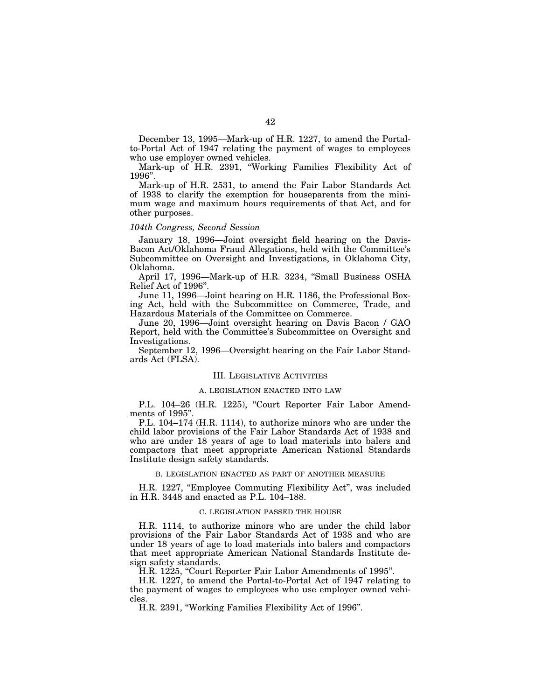December 13, 1995—Mark-up of H.R. 1227, to amend the Portalto-Portal Act of 1947 relating the payment of wages to employees who use employer owned vehicles.

Mark-up of H.R. 2391, "Working Families Flexibility Act of 1996''.

Mark-up of H.R. 2531, to amend the Fair Labor Standards Act of 1938 to clarify the exemption for houseparents from the minimum wage and maximum hours requirements of that Act, and for other purposes.

# *104th Congress, Second Session*

January 18, 1996—Joint oversight field hearing on the Davis-Bacon Act/Oklahoma Fraud Allegations, held with the Committee's Subcommittee on Oversight and Investigations, in Oklahoma City, Oklahoma.

April 17, 1996-Mark-up of H.R. 3234, "Small Business OSHA Relief Act of 1996''.

June 11, 1996—Joint hearing on H.R. 1186, the Professional Boxing Act, held with the Subcommittee on Commerce, Trade, and Hazardous Materials of the Committee on Commerce.

June 20, 1996—Joint oversight hearing on Davis Bacon / GAO Report, held with the Committee's Subcommittee on Oversight and Investigations.

September 12, 1996—Oversight hearing on the Fair Labor Standards Act (FLSA).

#### III. LEGISLATIVE ACTIVITIES

# A. LEGISLATION ENACTED INTO LAW

P.L. 104-26 (H.R. 1225), "Court Reporter Fair Labor Amendments of 1995''.

P.L. 104–174 (H.R. 1114), to authorize minors who are under the child labor provisions of the Fair Labor Standards Act of 1938 and who are under 18 years of age to load materials into balers and compactors that meet appropriate American National Standards Institute design safety standards.

#### B. LEGISLATION ENACTED AS PART OF ANOTHER MEASURE

H.R. 1227, "Employee Commuting Flexibility Act", was included in H.R. 3448 and enacted as P.L. 104–188.

# C. LEGISLATION PASSED THE HOUSE

H.R. 1114, to authorize minors who are under the child labor provisions of the Fair Labor Standards Act of 1938 and who are under 18 years of age to load materials into balers and compactors that meet appropriate American National Standards Institute design safety standards.

H.R. 1225, ''Court Reporter Fair Labor Amendments of 1995''.

H.R. 1227, to amend the Portal-to-Portal Act of 1947 relating to the payment of wages to employees who use employer owned vehicles.

H.R. 2391, ''Working Families Flexibility Act of 1996''.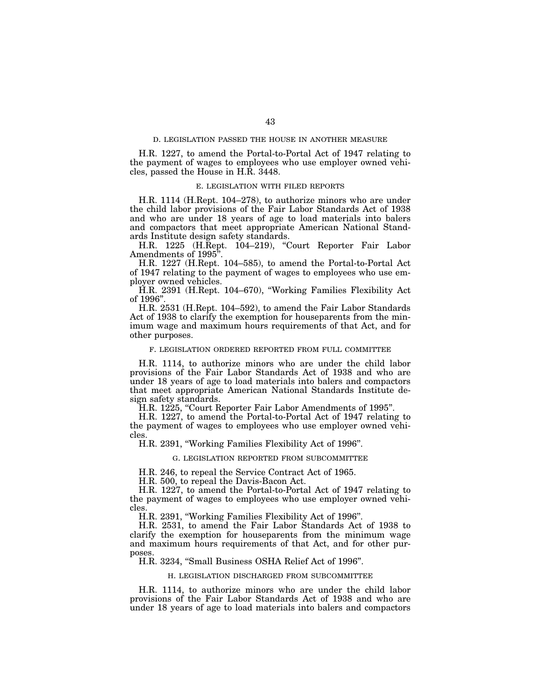### D. LEGISLATION PASSED THE HOUSE IN ANOTHER MEASURE

H.R. 1227, to amend the Portal-to-Portal Act of 1947 relating to the payment of wages to employees who use employer owned vehicles, passed the House in H.R. 3448.

#### E. LEGISLATION WITH FILED REPORTS

H.R. 1114 (H.Rept. 104–278), to authorize minors who are under the child labor provisions of the Fair Labor Standards Act of 1938 and who are under 18 years of age to load materials into balers and compactors that meet appropriate American National Standards Institute design safety standards.

H.R. 1225 (H.Rept. 104–219), ''Court Reporter Fair Labor Amendments of 1995''.

H.R. 1227 (H.Rept. 104–585), to amend the Portal-to-Portal Act of 1947 relating to the payment of wages to employees who use employer owned vehicles.

H.R. 2391 (H.Rept. 104–670), ''Working Families Flexibility Act of 1996''.

H.R. 2531 (H.Rept. 104–592), to amend the Fair Labor Standards Act of 1938 to clarify the exemption for houseparents from the minimum wage and maximum hours requirements of that Act, and for other purposes.

#### F. LEGISLATION ORDERED REPORTED FROM FULL COMMITTEE

H.R. 1114, to authorize minors who are under the child labor provisions of the Fair Labor Standards Act of 1938 and who are under 18 years of age to load materials into balers and compactors that meet appropriate American National Standards Institute design safety standards.

H.R. 1225, "Court Reporter Fair Labor Amendments of 1995".

H.R. 1227, to amend the Portal-to-Portal Act of 1947 relating to the payment of wages to employees who use employer owned vehicles.

H.R. 2391, ''Working Families Flexibility Act of 1996''.

# G. LEGISLATION REPORTED FROM SUBCOMMITTEE

H.R. 246, to repeal the Service Contract Act of 1965.

H.R. 500, to repeal the Davis-Bacon Act.

H.R. 1227, to amend the Portal-to-Portal Act of 1947 relating to the payment of wages to employees who use employer owned vehicles.

H.R. 2391, ''Working Families Flexibility Act of 1996''.

H.R. 2531, to amend the Fair Labor Standards Act of 1938 to clarify the exemption for houseparents from the minimum wage and maximum hours requirements of that Act, and for other purposes.

H.R. 3234, ''Small Business OSHA Relief Act of 1996''.

#### H. LEGISLATION DISCHARGED FROM SUBCOMMITTEE

H.R. 1114, to authorize minors who are under the child labor provisions of the Fair Labor Standards Act of 1938 and who are under 18 years of age to load materials into balers and compactors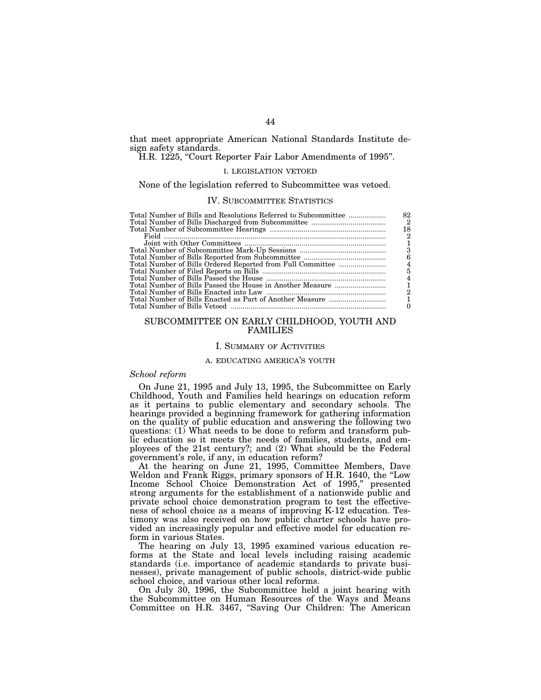that meet appropriate American National Standards Institute design safety standards.

H.R. 1225, "Court Reporter Fair Labor Amendments of 1995".

# I. LEGISLATION VETOED

None of the legislation referred to Subcommittee was vetoed.

## IV. SUBCOMMITTEE STATISTICS

| Total Number of Bills and Resolutions Referred to Subcommittee | 82           |
|----------------------------------------------------------------|--------------|
|                                                                | $^{\circ}$ 2 |
|                                                                | 18           |
|                                                                | 2            |
|                                                                |              |
|                                                                | 3            |
|                                                                | 6            |
|                                                                |              |
|                                                                | 5            |
|                                                                | 4            |
|                                                                |              |
|                                                                | 2            |
|                                                                |              |
|                                                                |              |

# SUBCOMMITTEE ON EARLY CHILDHOOD, YOUTH AND FAMILIES

# I. SUMMARY OF ACTIVITIES

#### A. EDUCATING AMERICA'S YOUTH

# *School reform*

On June 21, 1995 and July 13, 1995, the Subcommittee on Early Childhood, Youth and Families held hearings on education reform as it pertains to public elementary and secondary schools. The hearings provided a beginning framework for gathering information on the quality of public education and answering the following two questions: (1) What needs to be done to reform and transform public education so it meets the needs of families, students, and employees of the 21st century?; and (2) What should be the Federal government's role, if any, in education reform?

At the hearing on June 21, 1995, Committee Members, Dave Weldon and Frank Riggs, primary sponsors of H.R. 1640, the ''Low Income School Choice Demonstration Act of 1995,'' presented strong arguments for the establishment of a nationwide public and private school choice demonstration program to test the effectiveness of school choice as a means of improving K-12 education. Testimony was also received on how public charter schools have provided an increasingly popular and effective model for education reform in various States.

The hearing on July 13, 1995 examined various education reforms at the State and local levels including raising academic standards (i.e. importance of academic standards to private businesses), private management of public schools, district-wide public school choice, and various other local reforms.

On July 30, 1996, the Subcommittee held a joint hearing with the Subcommittee on Human Resources of the Ways and Means Committee on H.R. 3467, ''Saving Our Children: The American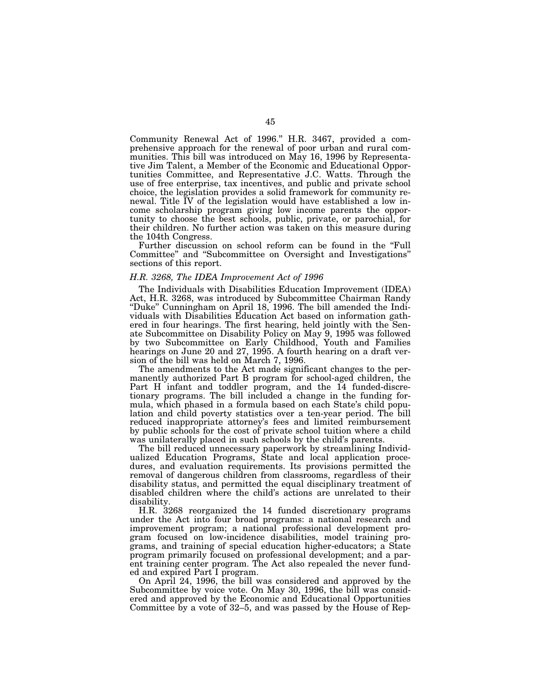Community Renewal Act of 1996.'' H.R. 3467, provided a comprehensive approach for the renewal of poor urban and rural communities. This bill was introduced on May 16, 1996 by Representative Jim Talent, a Member of the Economic and Educational Opportunities Committee, and Representative J.C. Watts. Through the use of free enterprise, tax incentives, and public and private school choice, the legislation provides a solid framework for community renewal. Title IV of the legislation would have established a low income scholarship program giving low income parents the opportunity to choose the best schools, public, private, or parochial, for their children. No further action was taken on this measure during the 104th Congress.

Further discussion on school reform can be found in the "Full" Committee'' and ''Subcommittee on Oversight and Investigations'' sections of this report.

# *H.R. 3268, The IDEA Improvement Act of 1996*

The Individuals with Disabilities Education Improvement (IDEA) Act, H.R. 3268, was introduced by Subcommittee Chairman Randy ''Duke'' Cunningham on April 18, 1996. The bill amended the Individuals with Disabilities Education Act based on information gathered in four hearings. The first hearing, held jointly with the Senate Subcommittee on Disability Policy on May 9, 1995 was followed by two Subcommittee on Early Childhood, Youth and Families hearings on June 20 and 27, 1995. A fourth hearing on a draft version of the bill was held on March 7, 1996.

The amendments to the Act made significant changes to the permanently authorized Part B program for school-aged children, the Part H infant and toddler program, and the 14 funded-discretionary programs. The bill included a change in the funding formula, which phased in a formula based on each State's child population and child poverty statistics over a ten-year period. The bill reduced inappropriate attorney's fees and limited reimbursement by public schools for the cost of private school tuition where a child was unilaterally placed in such schools by the child's parents.

The bill reduced unnecessary paperwork by streamlining Individualized Education Programs, State and local application procedures, and evaluation requirements. Its provisions permitted the removal of dangerous children from classrooms, regardless of their disability status, and permitted the equal disciplinary treatment of disabled children where the child's actions are unrelated to their disability.

H.R. 3268 reorganized the 14 funded discretionary programs under the Act into four broad programs: a national research and improvement program; a national professional development program focused on low-incidence disabilities, model training programs, and training of special education higher-educators; a State program primarily focused on professional development; and a parent training center program. The Act also repealed the never funded and expired Part I program.

On April 24, 1996, the bill was considered and approved by the Subcommittee by voice vote. On May 30, 1996, the bill was considered and approved by the Economic and Educational Opportunities Committee by a vote of 32–5, and was passed by the House of Rep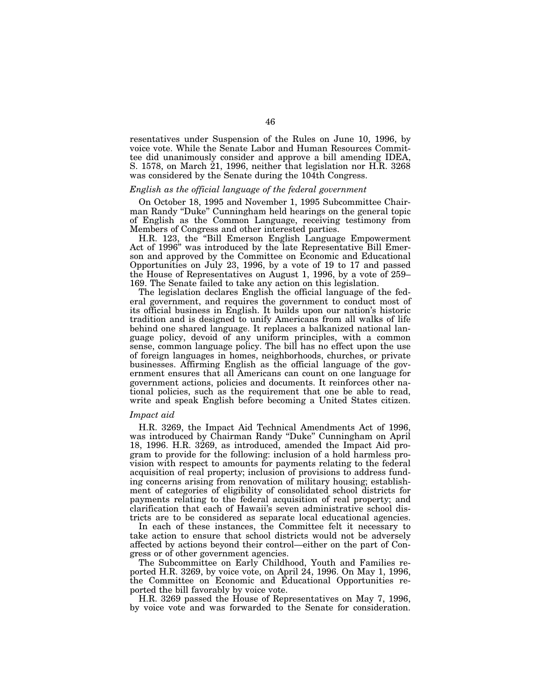resentatives under Suspension of the Rules on June 10, 1996, by voice vote. While the Senate Labor and Human Resources Committee did unanimously consider and approve a bill amending IDEA, S. 1578, on March 21, 1996, neither that legislation nor H.R.  $3268$ was considered by the Senate during the 104th Congress.

# *English as the official language of the federal government*

On October 18, 1995 and November 1, 1995 Subcommittee Chairman Randy ''Duke'' Cunningham held hearings on the general topic of English as the Common Language, receiving testimony from Members of Congress and other interested parties.

H.R. 123, the ''Bill Emerson English Language Empowerment Act of 1996'' was introduced by the late Representative Bill Emerson and approved by the Committee on Economic and Educational Opportunities on July 23, 1996, by a vote of 19 to 17 and passed the House of Representatives on August 1, 1996, by a vote of 259– 169. The Senate failed to take any action on this legislation.

The legislation declares English the official language of the federal government, and requires the government to conduct most of its official business in English. It builds upon our nation's historic tradition and is designed to unify Americans from all walks of life behind one shared language. It replaces a balkanized national language policy, devoid of any uniform principles, with a common sense, common language policy. The bill has no effect upon the use of foreign languages in homes, neighborhoods, churches, or private businesses. Affirming English as the official language of the government ensures that all Americans can count on one language for government actions, policies and documents. It reinforces other national policies, such as the requirement that one be able to read, write and speak English before becoming a United States citizen.

#### *Impact aid*

H.R. 3269, the Impact Aid Technical Amendments Act of 1996, was introduced by Chairman Randy ''Duke'' Cunningham on April 18, 1996. H.R. 3269, as introduced, amended the Impact Aid program to provide for the following: inclusion of a hold harmless provision with respect to amounts for payments relating to the federal acquisition of real property; inclusion of provisions to address funding concerns arising from renovation of military housing; establishment of categories of eligibility of consolidated school districts for payments relating to the federal acquisition of real property; and clarification that each of Hawaii's seven administrative school districts are to be considered as separate local educational agencies.

In each of these instances, the Committee felt it necessary to take action to ensure that school districts would not be adversely affected by actions beyond their control—either on the part of Congress or of other government agencies.

The Subcommittee on Early Childhood, Youth and Families reported H.R. 3269, by voice vote, on April 24, 1996. On May 1, 1996, the Committee on Economic and Educational Opportunities reported the bill favorably by voice vote.

H.R. 3269 passed the House of Representatives on May 7, 1996, by voice vote and was forwarded to the Senate for consideration.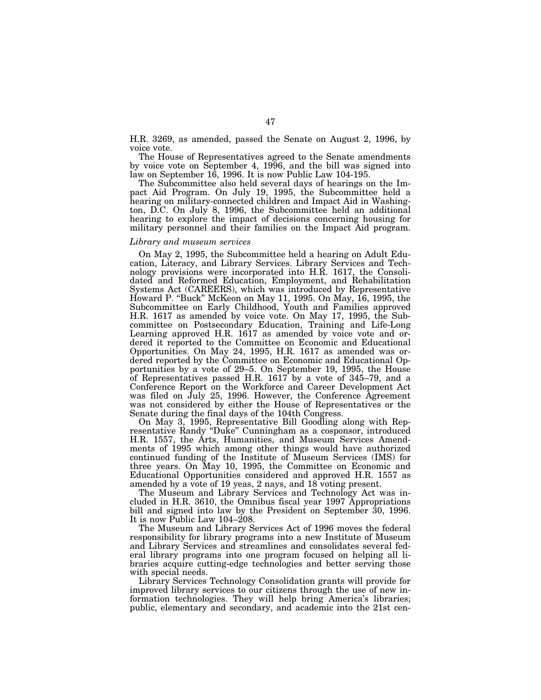H.R. 3269, as amended, passed the Senate on August 2, 1996, by voice vote.

The House of Representatives agreed to the Senate amendments by voice vote on September 4, 1996, and the bill was signed into law on September 16, 1996. It is now Public Law 104-195.

The Subcommittee also held several days of hearings on the Impact Aid Program. On July 19, 1995, the Subcommittee held a hearing on military-connected children and Impact Aid in Washington, D.C. On July 8, 1996, the Subcommittee held an additional hearing to explore the impact of decisions concerning housing for military personnel and their families on the Impact Aid program.

# *Library and museum services*

On May 2, 1995, the Subcommittee held a hearing on Adult Education, Literacy, and Library Services. Library Services and Technology provisions were incorporated into H.R. 1617, the Consolidated and Reformed Education, Employment, and Rehabilitation Systems Act (CAREERS), which was introduced by Representative Howard P. ''Buck'' McKeon on May 11, 1995. On May, 16, 1995, the Subcommittee on Early Childhood, Youth and Families approved H.R. 1617 as amended by voice vote. On May 17, 1995, the Subcommittee on Postsecondary Education, Training and Life-Long Learning approved H.R. 1617 as amended by voice vote and ordered it reported to the Committee on Economic and Educational Opportunities. On May 24, 1995, H.R. 1617 as amended was ordered reported by the Committee on Economic and Educational Opportunities by a vote of 29–5. On September 19, 1995, the House of Representatives passed H.R. 1617 by a vote of 345–79, and a Conference Report on the Workforce and Career Development Act was filed on July 25, 1996. However, the Conference Agreement was not considered by either the House of Representatives or the Senate during the final days of the 104th Congress.

On May 3, 1995, Representative Bill Goodling along with Representative Randy ''Duke'' Cunningham as a cosponsor, introduced H.R. 1557, the Arts, Humanities, and Museum Services Amendments of 1995 which among other things would have authorized continued funding of the Institute of Museum Services (IMS) for three years. On May 10, 1995, the Committee on Economic and Educational Opportunities considered and approved H.R. 1557 as amended by a vote of 19 yeas, 2 nays, and 18 voting present.

The Museum and Library Services and Technology Act was included in H.R. 3610, the Omnibus fiscal year 1997 Appropriations bill and signed into law by the President on September 30, 1996. It is now Public Law 104–208.

The Museum and Library Services Act of 1996 moves the federal responsibility for library programs into a new Institute of Museum and Library Services and streamlines and consolidates several federal library programs into one program focused on helping all libraries acquire cutting-edge technologies and better serving those with special needs.

Library Services Technology Consolidation grants will provide for improved library services to our citizens through the use of new information technologies. They will help bring America's libraries; public, elementary and secondary, and academic into the 21st cen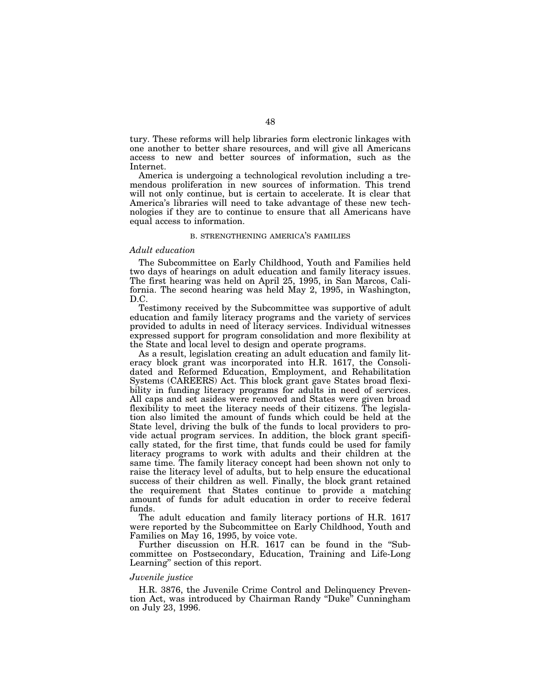tury. These reforms will help libraries form electronic linkages with one another to better share resources, and will give all Americans access to new and better sources of information, such as the Internet.

America is undergoing a technological revolution including a tremendous proliferation in new sources of information. This trend will not only continue, but is certain to accelerate. It is clear that America's libraries will need to take advantage of these new technologies if they are to continue to ensure that all Americans have equal access to information.

## B. STRENGTHENING AMERICA'S FAMILIES

# *Adult education*

The Subcommittee on Early Childhood, Youth and Families held two days of hearings on adult education and family literacy issues. The first hearing was held on April 25, 1995, in San Marcos, California. The second hearing was held May 2, 1995, in Washington, D.C.

Testimony received by the Subcommittee was supportive of adult education and family literacy programs and the variety of services provided to adults in need of literacy services. Individual witnesses expressed support for program consolidation and more flexibility at the State and local level to design and operate programs.

As a result, legislation creating an adult education and family literacy block grant was incorporated into H.R. 1617, the Consolidated and Reformed Education, Employment, and Rehabilitation Systems (CAREERS) Act. This block grant gave States broad flexibility in funding literacy programs for adults in need of services. All caps and set asides were removed and States were given broad flexibility to meet the literacy needs of their citizens. The legislation also limited the amount of funds which could be held at the State level, driving the bulk of the funds to local providers to provide actual program services. In addition, the block grant specifically stated, for the first time, that funds could be used for family literacy programs to work with adults and their children at the same time. The family literacy concept had been shown not only to raise the literacy level of adults, but to help ensure the educational success of their children as well. Finally, the block grant retained the requirement that States continue to provide a matching amount of funds for adult education in order to receive federal funds.

The adult education and family literacy portions of H.R. 1617 were reported by the Subcommittee on Early Childhood, Youth and Families on May 16, 1995, by voice vote.

Further discussion on H.R. 1617 can be found in the "Subcommittee on Postsecondary, Education, Training and Life-Long Learning'' section of this report.

# *Juvenile justice*

H.R. 3876, the Juvenile Crime Control and Delinquency Prevention Act, was introduced by Chairman Randy ''Duke'' Cunningham on July 23, 1996.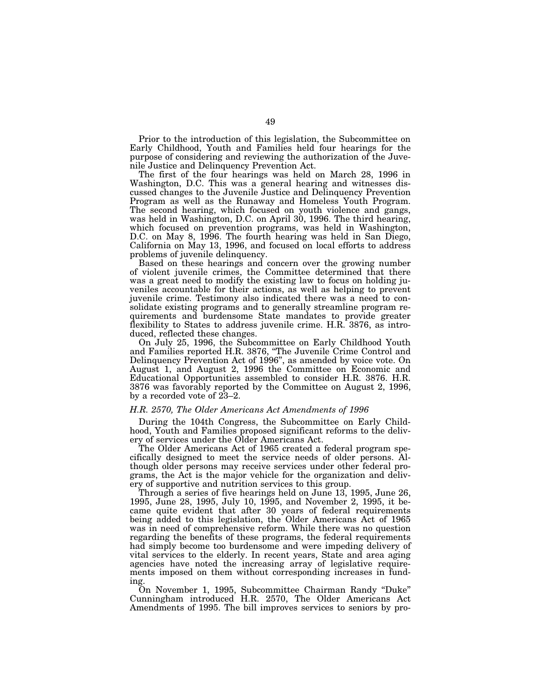Prior to the introduction of this legislation, the Subcommittee on Early Childhood, Youth and Families held four hearings for the purpose of considering and reviewing the authorization of the Juvenile Justice and Delinquency Prevention Act.

The first of the four hearings was held on March 28, 1996 in Washington, D.C. This was a general hearing and witnesses discussed changes to the Juvenile Justice and Delinquency Prevention Program as well as the Runaway and Homeless Youth Program. The second hearing, which focused on youth violence and gangs, was held in Washington, D.C. on April 30, 1996. The third hearing, which focused on prevention programs, was held in Washington, D.C. on May 8, 1996. The fourth hearing was held in San Diego, California on May 13, 1996, and focused on local efforts to address problems of juvenile delinquency.

Based on these hearings and concern over the growing number of violent juvenile crimes, the Committee determined that there was a great need to modify the existing law to focus on holding juveniles accountable for their actions, as well as helping to prevent juvenile crime. Testimony also indicated there was a need to consolidate existing programs and to generally streamline program requirements and burdensome State mandates to provide greater flexibility to States to address juvenile crime. H.R. 3876, as introduced, reflected these changes.

On July 25, 1996, the Subcommittee on Early Childhood Youth and Families reported H.R. 3876, ''The Juvenile Crime Control and Delinquency Prevention Act of 1996'', as amended by voice vote. On August 1, and August 2, 1996 the Committee on Economic and Educational Opportunities assembled to consider H.R. 3876. H.R. 3876 was favorably reported by the Committee on August 2, 1996, by a recorded vote of 23–2.

#### *H.R. 2570, The Older Americans Act Amendments of 1996*

During the 104th Congress, the Subcommittee on Early Childhood, Youth and Families proposed significant reforms to the delivery of services under the Older Americans Act.

The Older Americans Act of 1965 created a federal program specifically designed to meet the service needs of older persons. Although older persons may receive services under other federal programs, the Act is the major vehicle for the organization and delivery of supportive and nutrition services to this group.

Through a series of five hearings held on June 13, 1995, June 26, 1995, June 28, 1995, July 10, 1995, and November 2, 1995, it became quite evident that after 30 years of federal requirements being added to this legislation, the Older Americans Act of 1965 was in need of comprehensive reform. While there was no question regarding the benefits of these programs, the federal requirements had simply become too burdensome and were impeding delivery of vital services to the elderly. In recent years, State and area aging agencies have noted the increasing array of legislative requirements imposed on them without corresponding increases in funding.

On November 1, 1995, Subcommittee Chairman Randy ''Duke'' Cunningham introduced H.R. 2570, The Older Americans Act Amendments of 1995. The bill improves services to seniors by pro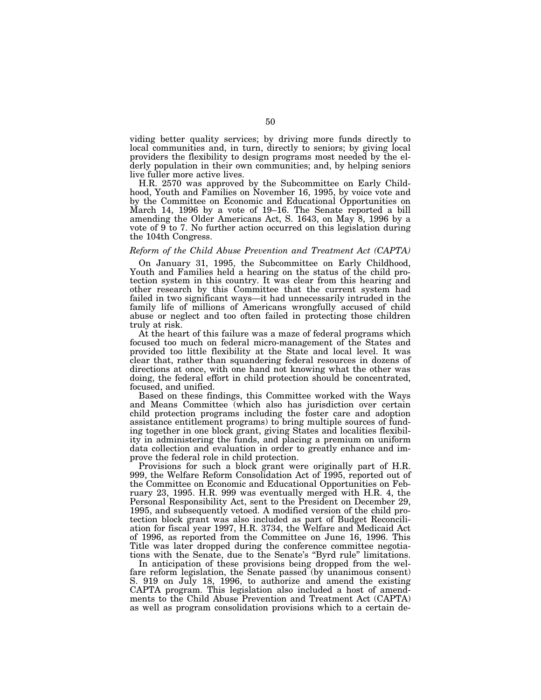viding better quality services; by driving more funds directly to local communities and, in turn, directly to seniors; by giving local providers the flexibility to design programs most needed by the elderly population in their own communities; and, by helping seniors live fuller more active lives.

H.R. 2570 was approved by the Subcommittee on Early Childhood, Youth and Families on November 16, 1995, by voice vote and by the Committee on Economic and Educational Opportunities on March 14, 1996 by a vote of 19–16. The Senate reported a bill amending the Older Americans Act, S. 1643, on May 8, 1996 by a vote of  $9$  to 7. No further action occurred on this legislation during the 104th Congress.

#### *Reform of the Child Abuse Prevention and Treatment Act (CAPTA)*

On January 31, 1995, the Subcommittee on Early Childhood, Youth and Families held a hearing on the status of the child protection system in this country. It was clear from this hearing and other research by this Committee that the current system had failed in two significant ways—it had unnecessarily intruded in the family life of millions of Americans wrongfully accused of child abuse or neglect and too often failed in protecting those children truly at risk.

At the heart of this failure was a maze of federal programs which focused too much on federal micro-management of the States and provided too little flexibility at the State and local level. It was clear that, rather than squandering federal resources in dozens of directions at once, with one hand not knowing what the other was doing, the federal effort in child protection should be concentrated, focused, and unified.

Based on these findings, this Committee worked with the Ways and Means Committee (which also has jurisdiction over certain child protection programs including the foster care and adoption assistance entitlement programs) to bring multiple sources of funding together in one block grant, giving States and localities flexibility in administering the funds, and placing a premium on uniform data collection and evaluation in order to greatly enhance and improve the federal role in child protection.

Provisions for such a block grant were originally part of H.R. 999, the Welfare Reform Consolidation Act of 1995, reported out of the Committee on Economic and Educational Opportunities on February 23, 1995. H.R. 999 was eventually merged with H.R. 4, the Personal Responsibility Act, sent to the President on December 29, 1995, and subsequently vetoed. A modified version of the child protection block grant was also included as part of Budget Reconciliation for fiscal year 1997, H.R. 3734, the Welfare and Medicaid Act of 1996, as reported from the Committee on June 16, 1996. This Title was later dropped during the conference committee negotiations with the Senate, due to the Senate's ''Byrd rule'' limitations.

In anticipation of these provisions being dropped from the welfare reform legislation, the Senate passed (by unanimous consent) S. 919 on July 18, 1996, to authorize and amend the existing CAPTA program. This legislation also included a host of amendments to the Child Abuse Prevention and Treatment Act (CAPTA) as well as program consolidation provisions which to a certain de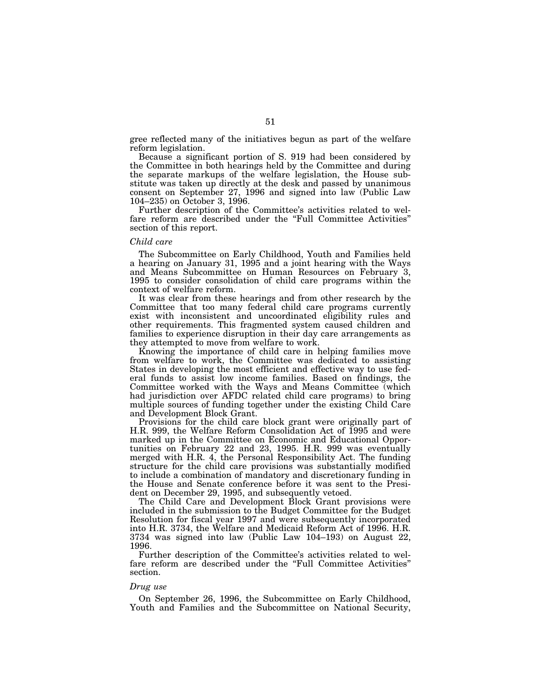gree reflected many of the initiatives begun as part of the welfare reform legislation.

Because a significant portion of S. 919 had been considered by the Committee in both hearings held by the Committee and during the separate markups of the welfare legislation, the House substitute was taken up directly at the desk and passed by unanimous consent on September 27, 1996 and signed into law (Public Law 104–235) on October 3, 1996.

Further description of the Committee's activities related to welfare reform are described under the ''Full Committee Activities'' section of this report.

## *Child care*

The Subcommittee on Early Childhood, Youth and Families held a hearing on January 31, 1995 and a joint hearing with the Ways and Means Subcommittee on Human Resources on February 3, 1995 to consider consolidation of child care programs within the context of welfare reform.

It was clear from these hearings and from other research by the Committee that too many federal child care programs currently exist with inconsistent and uncoordinated eligibility rules and other requirements. This fragmented system caused children and families to experience disruption in their day care arrangements as they attempted to move from welfare to work.

Knowing the importance of child care in helping families move from welfare to work, the Committee was dedicated to assisting States in developing the most efficient and effective way to use federal funds to assist low income families. Based on findings, the Committee worked with the Ways and Means Committee (which had jurisdiction over AFDC related child care programs) to bring multiple sources of funding together under the existing Child Care and Development Block Grant.

Provisions for the child care block grant were originally part of H.R. 999, the Welfare Reform Consolidation Act of 1995 and were marked up in the Committee on Economic and Educational Opportunities on February 22 and 23, 1995. H.R. 999 was eventually merged with H.R. 4, the Personal Responsibility Act. The funding structure for the child care provisions was substantially modified to include a combination of mandatory and discretionary funding in the House and Senate conference before it was sent to the President on December 29, 1995, and subsequently vetoed.

The Child Care and Development Block Grant provisions were included in the submission to the Budget Committee for the Budget Resolution for fiscal year 1997 and were subsequently incorporated into H.R. 3734, the Welfare and Medicaid Reform Act of 1996. H.R. 3734 was signed into law (Public Law 104–193) on August 22, 1996.

Further description of the Committee's activities related to welfare reform are described under the "Full Committee Activities" section.

### *Drug use*

On September 26, 1996, the Subcommittee on Early Childhood, Youth and Families and the Subcommittee on National Security,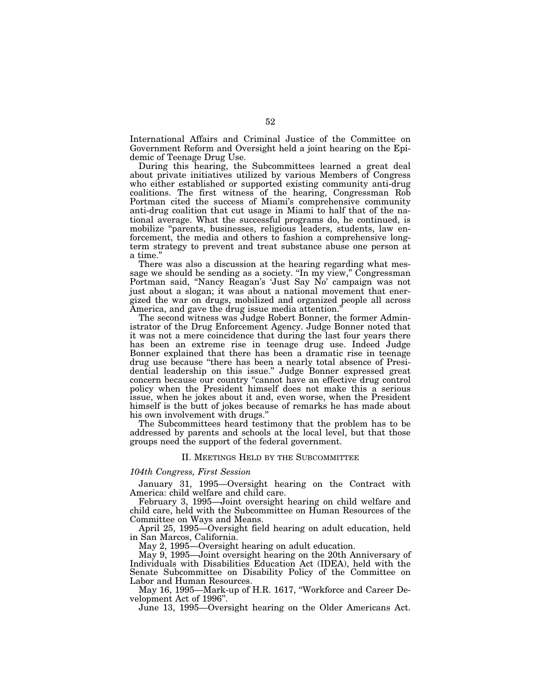International Affairs and Criminal Justice of the Committee on Government Reform and Oversight held a joint hearing on the Epidemic of Teenage Drug Use.

During this hearing, the Subcommittees learned a great deal about private initiatives utilized by various Members of Congress who either established or supported existing community anti-drug coalitions. The first witness of the hearing, Congressman Rob Portman cited the success of Miami's comprehensive community anti-drug coalition that cut usage in Miami to half that of the national average. What the successful programs do, he continued, is mobilize ''parents, businesses, religious leaders, students, law enforcement, the media and others to fashion a comprehensive longterm strategy to prevent and treat substance abuse one person at a time.''

There was also a discussion at the hearing regarding what message we should be sending as a society. "In my view," Congressman Portman said, ''Nancy Reagan's 'Just Say No' campaign was not just about a slogan; it was about a national movement that energized the war on drugs, mobilized and organized people all across America, and gave the drug issue media attention.''

The second witness was Judge Robert Bonner, the former Administrator of the Drug Enforcement Agency. Judge Bonner noted that it was not a mere coincidence that during the last four years there has been an extreme rise in teenage drug use. Indeed Judge Bonner explained that there has been a dramatic rise in teenage drug use because ''there has been a nearly total absence of Presidential leadership on this issue.'' Judge Bonner expressed great concern because our country ''cannot have an effective drug control policy when the President himself does not make this a serious issue, when he jokes about it and, even worse, when the President himself is the butt of jokes because of remarks he has made about his own involvement with drugs.'

The Subcommittees heard testimony that the problem has to be addressed by parents and schools at the local level, but that those groups need the support of the federal government.

# II. MEETINGS HELD BY THE SUBCOMMITTEE

# *104th Congress, First Session*

January 31, 1995—Oversight hearing on the Contract with America: child welfare and child care.

February 3, 1995—Joint oversight hearing on child welfare and child care, held with the Subcommittee on Human Resources of the Committee on Ways and Means.

April 25, 1995—Oversight field hearing on adult education, held in San Marcos, California.

May 2, 1995—Oversight hearing on adult education.

May 9, 1995—Joint oversight hearing on the 20th Anniversary of Individuals with Disabilities Education Act (IDEA), held with the Senate Subcommittee on Disability Policy of the Committee on Labor and Human Resources.

May 16, 1995—Mark-up of H.R. 1617, ''Workforce and Career Development Act of 1996''.

June 13, 1995—Oversight hearing on the Older Americans Act.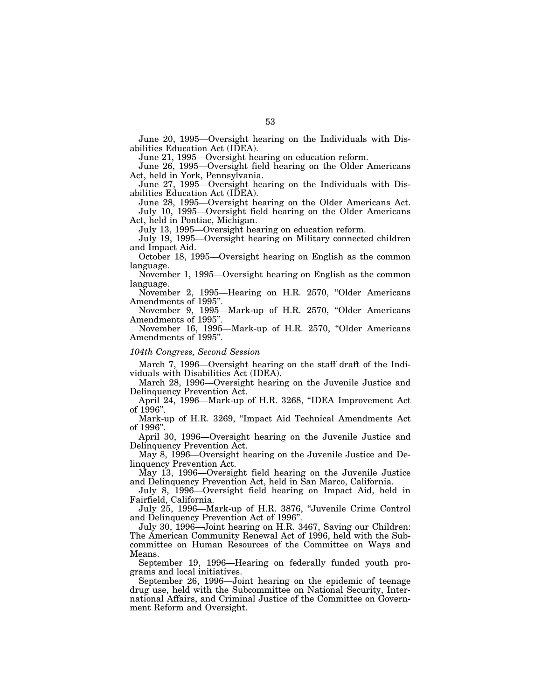June 20, 1995—Oversight hearing on the Individuals with Disabilities Education Act (IDEA).

June 21, 1995—Oversight hearing on education reform.

June 26, 1995—Oversight field hearing on the Older Americans Act, held in York, Pennsylvania.

June 27, 1995—Oversight hearing on the Individuals with Disabilities Education Act (IDEA).

June 28, 1995—Oversight hearing on the Older Americans Act. July 10, 1995—Oversight field hearing on the Older Americans Act, held in Pontiac, Michigan.

July 13, 1995—Oversight hearing on education reform.

July 19, 1995—Oversight hearing on Military connected children and Impact Aid.

October 18, 1995—Oversight hearing on English as the common language.

November 1, 1995—Oversight hearing on English as the common language.

November 2, 1995—Hearing on H.R. 2570, "Older Americans Amendments of 1995''.

November 9, 1995—Mark-up of H.R. 2570, "Older Americans Amendments of 1995''.

November 16, 1995—Mark-up of H.R. 2570, "Older Americans Amendments of 1995''.

#### *104th Congress, Second Session*

March 7, 1996—Oversight hearing on the staff draft of the Individuals with Disabilities Act (IDEA).

March 28, 1996—Oversight hearing on the Juvenile Justice and Delinquency Prevention Act.

April 24, 1996—Mark-up of H.R. 3268, ''IDEA Improvement Act of 1996''.

Mark-up of H.R. 3269, ''Impact Aid Technical Amendments Act of 1996''.

April 30, 1996—Oversight hearing on the Juvenile Justice and Delinquency Prevention Act.

May 8, 1996—Oversight hearing on the Juvenile Justice and Delinquency Prevention Act.

May 13, 1996—Oversight field hearing on the Juvenile Justice and Delinquency Prevention Act, held in San Marco, California.

July 8, 1996—Oversight field hearing on Impact Aid, held in Fairfield, California.

July 25, 1996—Mark-up of H.R. 3876, ''Juvenile Crime Control and Delinquency Prevention Act of 1996''.

July 30, 1996—Joint hearing on H.R. 3467, Saving our Children: The American Community Renewal Act of 1996, held with the Subcommittee on Human Resources of the Committee on Ways and Means.

September 19, 1996—Hearing on federally funded youth programs and local initiatives.

September 26, 1996—Joint hearing on the epidemic of teenage drug use, held with the Subcommittee on National Security, International Affairs, and Criminal Justice of the Committee on Government Reform and Oversight.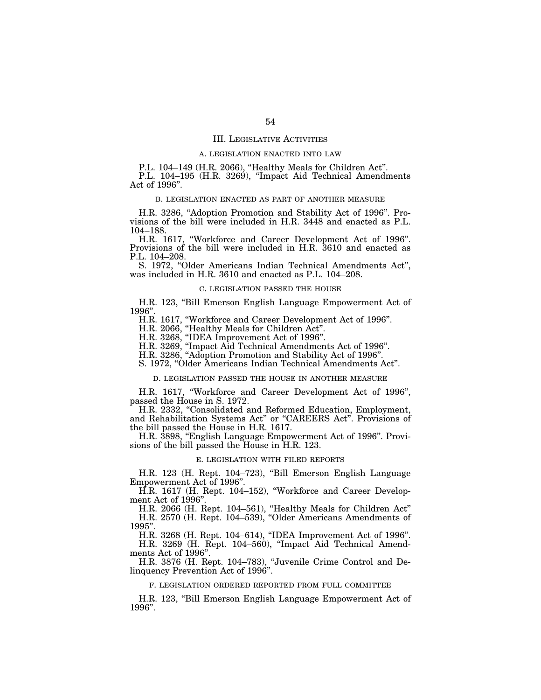## III. LEGISLATIVE ACTIVITIES

#### A. LEGISLATION ENACTED INTO LAW

P.L. 104–149 (H.R. 2066), "Healthy Meals for Children Act". P.L. 104-195 (H.R. 3269), "Impact Aid Technical Amendments Act of 1996''.

# B. LEGISLATION ENACTED AS PART OF ANOTHER MEASURE

H.R. 3286, "Adoption Promotion and Stability Act of 1996". Provisions of the bill were included in H.R. 3448 and enacted as P.L. 104–188.

H.R. 1617, ''Workforce and Career Development Act of 1996''. Provisions of the bill were included in H.R. 3610 and enacted as P.L. 104–208.

S. 1972, ''Older Americans Indian Technical Amendments Act'', was included in H.R. 3610 and enacted as P.L. 104–208.

#### C. LEGISLATION PASSED THE HOUSE

H.R. 123, ''Bill Emerson English Language Empowerment Act of 1996''.

H.R. 1617, ''Workforce and Career Development Act of 1996''.

H.R. 2066, ''Healthy Meals for Children Act''.

H.R. 3268, ''IDEA Improvement Act of 1996''.

H.R. 3269, ''Impact Aid Technical Amendments Act of 1996''.

H.R. 3286, ''Adoption Promotion and Stability Act of 1996''.

S. 1972, ''Older Americans Indian Technical Amendments Act''.

# D. LEGISLATION PASSED THE HOUSE IN ANOTHER MEASURE

H.R. 1617, ''Workforce and Career Development Act of 1996'', passed the House in S. 1972.

H.R. 2332, ''Consolidated and Reformed Education, Employment, and Rehabilitation Systems Act'' or ''CAREERS Act''. Provisions of the bill passed the House in H.R. 1617.

H.R. 3898, ''English Language Empowerment Act of 1996''. Provisions of the bill passed the House in H.R. 123.

#### E. LEGISLATION WITH FILED REPORTS

H.R. 123 (H. Rept. 104–723), ''Bill Emerson English Language Empowerment Act of 1996''.

H.R. 1617 (H. Rept. 104–152), ''Workforce and Career Development Act of 1996''.

H.R. 2066 (H. Rept. 104–561), ''Healthy Meals for Children Act'' H.R. 2570 (H. Rept. 104–539), ''Older Americans Amendments of 1995''.

H.R. 3268 (H. Rept. 104–614), ''IDEA Improvement Act of 1996''.

H.R. 3269 (H. Rept. 104–560), ''Impact Aid Technical Amendments Act of 1996''.

H.R. 3876 (H. Rept. 104–783), ''Juvenile Crime Control and Delinquency Prevention Act of 1996''.

#### F. LEGISLATION ORDERED REPORTED FROM FULL COMMITTEE

H.R. 123, ''Bill Emerson English Language Empowerment Act of 1996''.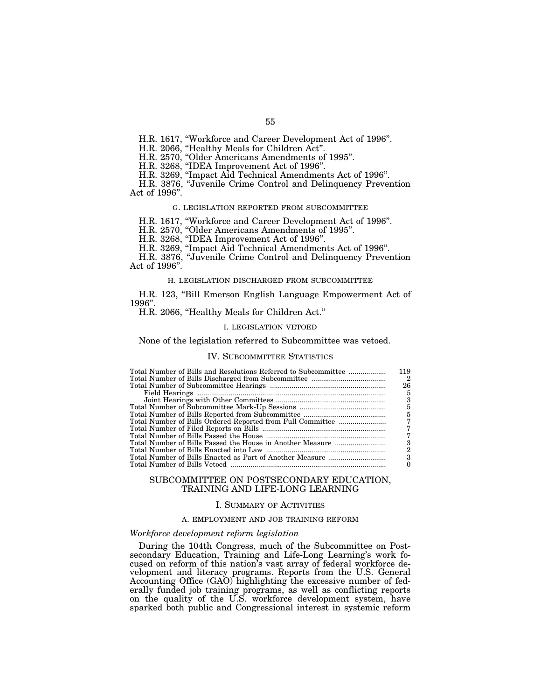H.R. 1617, ''Workforce and Career Development Act of 1996''.

H.R. 2066, ''Healthy Meals for Children Act''.

H.R. 2570, ''Older Americans Amendments of 1995''.

H.R. 3268, ''IDEA Improvement Act of 1996''.

H.R. 3269, ''Impact Aid Technical Amendments Act of 1996''.

H.R. 3876, ''Juvenile Crime Control and Delinquency Prevention Act of 1996''.

#### G. LEGISLATION REPORTED FROM SUBCOMMITTEE

H.R. 1617, ''Workforce and Career Development Act of 1996''.

H.R. 2570, ''Older Americans Amendments of 1995''.

H.R. 3268, ''IDEA Improvement Act of 1996''.

H.R. 3269, ''Impact Aid Technical Amendments Act of 1996''.

H.R. 3876, ''Juvenile Crime Control and Delinquency Prevention Act of 1996''.

# H. LEGISLATION DISCHARGED FROM SUBCOMMITTEE

H.R. 123, "Bill Emerson English Language Empowerment Act of 1996''.

## H.R. 2066, ''Healthy Meals for Children Act.''

# I. LEGISLATION VETOED

# None of the legislation referred to Subcommittee was vetoed.

# IV. SUBCOMMITTEE STATISTICS

| 119            |
|----------------|
| $\overline{2}$ |
| 26             |
| 5              |
| 3              |
| 5              |
| 5              |
|                |
|                |
| 7              |
| 3              |
| $\overline{2}$ |
| 3              |
|                |
|                |

# SUBCOMMITTEE ON POSTSECONDARY EDUCATION, TRAINING AND LIFE-LONG LEARNING

#### I. SUMMARY OF ACTIVITIES

# A. EMPLOYMENT AND JOB TRAINING REFORM

# *Workforce development reform legislation*

During the 104th Congress, much of the Subcommittee on Postsecondary Education, Training and Life-Long Learning's work focused on reform of this nation's vast array of federal workforce development and literacy programs. Reports from the U.S. General Accounting Office (GAO) highlighting the excessive number of federally funded job training programs, as well as conflicting reports on the quality of the U.S. workforce development system, have sparked both public and Congressional interest in systemic reform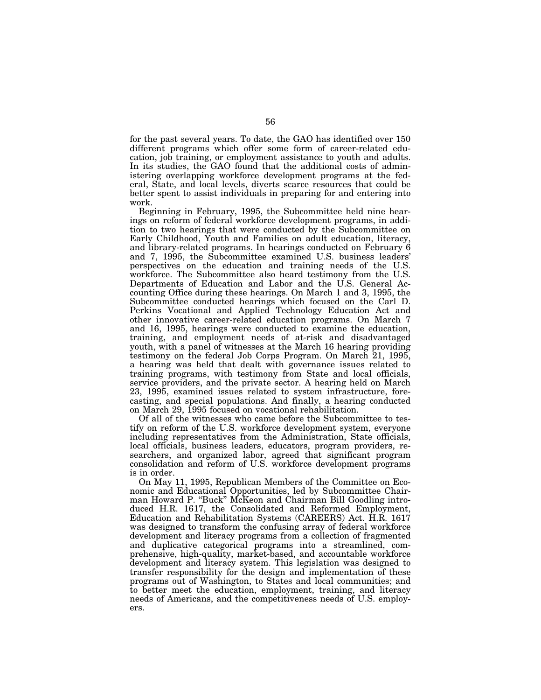for the past several years. To date, the GAO has identified over 150 different programs which offer some form of career-related education, job training, or employment assistance to youth and adults. In its studies, the GAO found that the additional costs of administering overlapping workforce development programs at the federal, State, and local levels, diverts scarce resources that could be better spent to assist individuals in preparing for and entering into work.

Beginning in February, 1995, the Subcommittee held nine hearings on reform of federal workforce development programs, in addition to two hearings that were conducted by the Subcommittee on Early Childhood, Youth and Families on adult education, literacy, and library-related programs. In hearings conducted on February 6 and 7, 1995, the Subcommittee examined U.S. business leaders' perspectives on the education and training needs of the U.S. workforce. The Subcommittee also heard testimony from the U.S. Departments of Education and Labor and the U.S. General Accounting Office during these hearings. On March 1 and 3, 1995, the Subcommittee conducted hearings which focused on the Carl D. Perkins Vocational and Applied Technology Education Act and other innovative career-related education programs. On March 7 and 16, 1995, hearings were conducted to examine the education, training, and employment needs of at-risk and disadvantaged youth, with a panel of witnesses at the March 16 hearing providing testimony on the federal Job Corps Program. On March 21, 1995, a hearing was held that dealt with governance issues related to training programs, with testimony from State and local officials, service providers, and the private sector. A hearing held on March 23, 1995, examined issues related to system infrastructure, forecasting, and special populations. And finally, a hearing conducted on March 29, 1995 focused on vocational rehabilitation.

Of all of the witnesses who came before the Subcommittee to testify on reform of the U.S. workforce development system, everyone including representatives from the Administration, State officials, local officials, business leaders, educators, program providers, researchers, and organized labor, agreed that significant program consolidation and reform of U.S. workforce development programs is in order.

On May 11, 1995, Republican Members of the Committee on Economic and Educational Opportunities, led by Subcommittee Chairman Howard P. ''Buck'' McKeon and Chairman Bill Goodling introduced H.R. 1617, the Consolidated and Reformed Employment, Education and Rehabilitation Systems (CAREERS) Act. H.R. 1617 was designed to transform the confusing array of federal workforce development and literacy programs from a collection of fragmented and duplicative categorical programs into a streamlined, comprehensive, high-quality, market-based, and accountable workforce development and literacy system. This legislation was designed to transfer responsibility for the design and implementation of these programs out of Washington, to States and local communities; and to better meet the education, employment, training, and literacy needs of Americans, and the competitiveness needs of U.S. employers.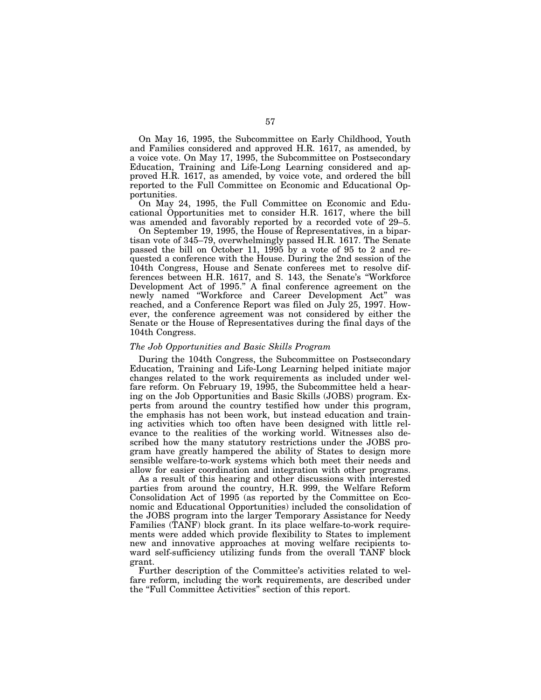On May 16, 1995, the Subcommittee on Early Childhood, Youth and Families considered and approved H.R. 1617, as amended, by a voice vote. On May 17, 1995, the Subcommittee on Postsecondary Education, Training and Life-Long Learning considered and approved H.R. 1617, as amended, by voice vote, and ordered the bill reported to the Full Committee on Economic and Educational Opportunities.

On May 24, 1995, the Full Committee on Economic and Educational Opportunities met to consider H.R. 1617, where the bill was amended and favorably reported by a recorded vote of 29–5.

On September 19, 1995, the House of Representatives, in a bipartisan vote of 345–79, overwhelmingly passed H.R. 1617. The Senate passed the bill on October 11, 1995 by a vote of 95 to 2 and requested a conference with the House. During the 2nd session of the 104th Congress, House and Senate conferees met to resolve differences between H.R. 1617, and S. 143, the Senate's ''Workforce Development Act of 1995.'' A final conference agreement on the newly named ''Workforce and Career Development Act'' was reached, and a Conference Report was filed on July 25, 1997. However, the conference agreement was not considered by either the Senate or the House of Representatives during the final days of the 104th Congress.

#### *The Job Opportunities and Basic Skills Program*

During the 104th Congress, the Subcommittee on Postsecondary Education, Training and Life-Long Learning helped initiate major changes related to the work requirements as included under welfare reform. On February 19, 1995, the Subcommittee held a hearing on the Job Opportunities and Basic Skills (JOBS) program. Experts from around the country testified how under this program, the emphasis has not been work, but instead education and training activities which too often have been designed with little relevance to the realities of the working world. Witnesses also described how the many statutory restrictions under the JOBS program have greatly hampered the ability of States to design more sensible welfare-to-work systems which both meet their needs and allow for easier coordination and integration with other programs.

As a result of this hearing and other discussions with interested parties from around the country, H.R. 999, the Welfare Reform Consolidation Act of 1995 (as reported by the Committee on Economic and Educational Opportunities) included the consolidation of the JOBS program into the larger Temporary Assistance for Needy Families (TANF) block grant. In its place welfare-to-work requirements were added which provide flexibility to States to implement new and innovative approaches at moving welfare recipients toward self-sufficiency utilizing funds from the overall TANF block grant.

Further description of the Committee's activities related to welfare reform, including the work requirements, are described under the ''Full Committee Activities'' section of this report.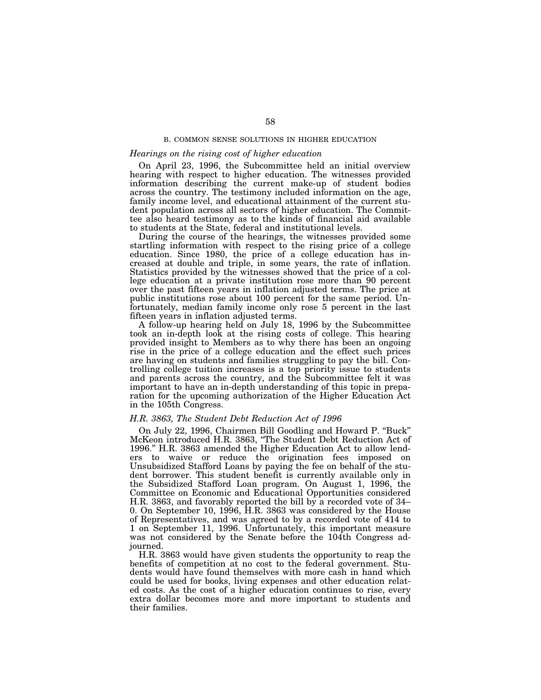# B. COMMON SENSE SOLUTIONS IN HIGHER EDUCATION

# *Hearings on the rising cost of higher education*

On April 23, 1996, the Subcommittee held an initial overview hearing with respect to higher education. The witnesses provided information describing the current make-up of student bodies across the country. The testimony included information on the age, family income level, and educational attainment of the current student population across all sectors of higher education. The Committee also heard testimony as to the kinds of financial aid available to students at the State, federal and institutional levels.

During the course of the hearings, the witnesses provided some startling information with respect to the rising price of a college education. Since 1980, the price of a college education has increased at double and triple, in some years, the rate of inflation. Statistics provided by the witnesses showed that the price of a college education at a private institution rose more than 90 percent over the past fifteen years in inflation adjusted terms. The price at public institutions rose about 100 percent for the same period. Unfortunately, median family income only rose 5 percent in the last fifteen years in inflation adjusted terms.

A follow-up hearing held on July 18, 1996 by the Subcommittee took an in-depth look at the rising costs of college. This hearing provided insight to Members as to why there has been an ongoing rise in the price of a college education and the effect such prices are having on students and families struggling to pay the bill. Controlling college tuition increases is a top priority issue to students and parents across the country, and the Subcommittee felt it was important to have an in-depth understanding of this topic in preparation for the upcoming authorization of the Higher Education Act in the 105th Congress.

# *H.R. 3863, The Student Debt Reduction Act of 1996*

On July 22, 1996, Chairmen Bill Goodling and Howard P. ''Buck'' McKeon introduced H.R. 3863, ''The Student Debt Reduction Act of 1996.'' H.R. 3863 amended the Higher Education Act to allow lenders to waive or reduce the origination fees imposed on Unsubsidized Stafford Loans by paying the fee on behalf of the student borrower. This student benefit is currently available only in the Subsidized Stafford Loan program. On August 1, 1996, the Committee on Economic and Educational Opportunities considered H.R. 3863, and favorably reported the bill by a recorded vote of 34– 0. On September 10, 1996, H.R. 3863 was considered by the House of Representatives, and was agreed to by a recorded vote of 414 to 1 on September 11, 1996. Unfortunately, this important measure was not considered by the Senate before the 104th Congress adjourned.

H.R. 3863 would have given students the opportunity to reap the benefits of competition at no cost to the federal government. Students would have found themselves with more cash in hand which could be used for books, living expenses and other education related costs. As the cost of a higher education continues to rise, every extra dollar becomes more and more important to students and their families.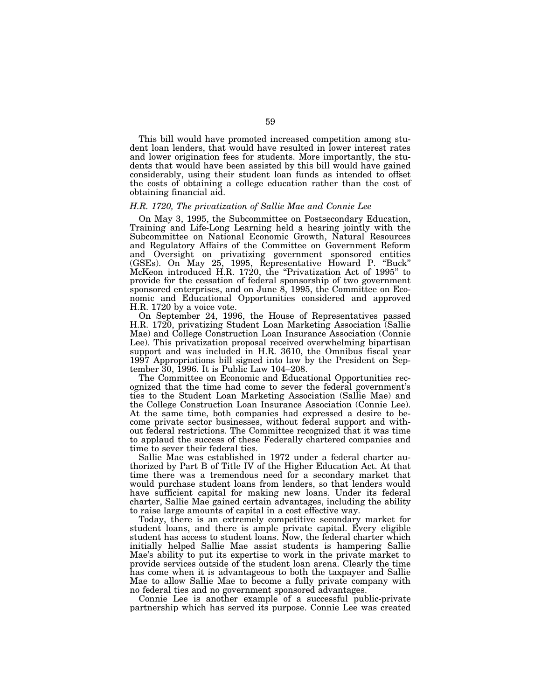This bill would have promoted increased competition among student loan lenders, that would have resulted in lower interest rates and lower origination fees for students. More importantly, the students that would have been assisted by this bill would have gained considerably, using their student loan funds as intended to offset the costs of obtaining a college education rather than the cost of obtaining financial aid.

#### *H.R. 1720, The privatization of Sallie Mae and Connie Lee*

On May 3, 1995, the Subcommittee on Postsecondary Education, Training and Life-Long Learning held a hearing jointly with the Subcommittee on National Economic Growth, Natural Resources and Regulatory Affairs of the Committee on Government Reform and Oversight on privatizing government sponsored entities (GSEs). On May 25, 1995, Representative Howard P. ''Buck'' McKeon introduced H.R. 1720, the "Privatization Act of 1995" to provide for the cessation of federal sponsorship of two government sponsored enterprises, and on June 8, 1995, the Committee on Economic and Educational Opportunities considered and approved H.R. 1720 by a voice vote.

On September 24, 1996, the House of Representatives passed H.R. 1720, privatizing Student Loan Marketing Association (Sallie Mae) and College Construction Loan Insurance Association (Connie Lee). This privatization proposal received overwhelming bipartisan support and was included in H.R. 3610, the Omnibus fiscal year 1997 Appropriations bill signed into law by the President on September 30, 1996. It is Public Law 104–208.

The Committee on Economic and Educational Opportunities recognized that the time had come to sever the federal government's ties to the Student Loan Marketing Association (Sallie Mae) and the College Construction Loan Insurance Association (Connie Lee). At the same time, both companies had expressed a desire to become private sector businesses, without federal support and without federal restrictions. The Committee recognized that it was time to applaud the success of these Federally chartered companies and time to sever their federal ties.

Sallie Mae was established in 1972 under a federal charter authorized by Part B of Title IV of the Higher Education Act. At that time there was a tremendous need for a secondary market that would purchase student loans from lenders, so that lenders would have sufficient capital for making new loans. Under its federal charter, Sallie Mae gained certain advantages, including the ability to raise large amounts of capital in a cost effective way.

Today, there is an extremely competitive secondary market for student loans, and there is ample private capital. Every eligible student has access to student loans. Now, the federal charter which initially helped Sallie Mae assist students is hampering Sallie Mae's ability to put its expertise to work in the private market to provide services outside of the student loan arena. Clearly the time has come when it is advantageous to both the taxpayer and Sallie Mae to allow Sallie Mae to become a fully private company with no federal ties and no government sponsored advantages.

Connie Lee is another example of a successful public-private partnership which has served its purpose. Connie Lee was created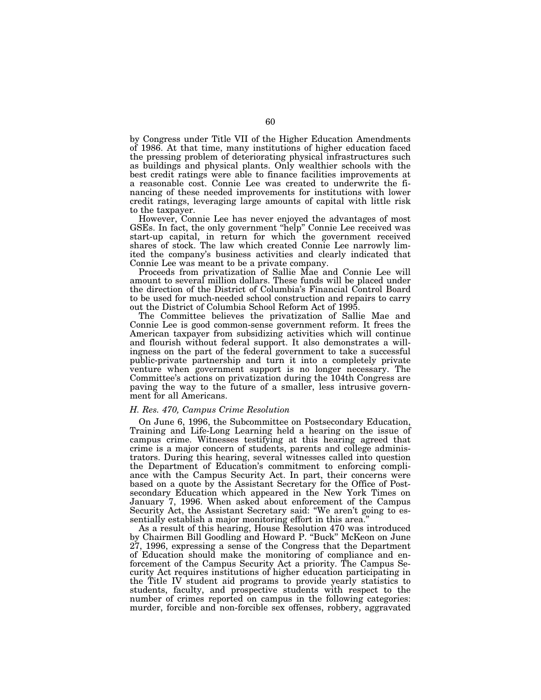by Congress under Title VII of the Higher Education Amendments of 1986. At that time, many institutions of higher education faced the pressing problem of deteriorating physical infrastructures such as buildings and physical plants. Only wealthier schools with the best credit ratings were able to finance facilities improvements at a reasonable cost. Connie Lee was created to underwrite the financing of these needed improvements for institutions with lower credit ratings, leveraging large amounts of capital with little risk to the taxpayer.

However, Connie Lee has never enjoyed the advantages of most GSEs. In fact, the only government ''help'' Connie Lee received was start-up capital, in return for which the government received shares of stock. The law which created Connie Lee narrowly limited the company's business activities and clearly indicated that Connie Lee was meant to be a private company.

Proceeds from privatization of Sallie Mae and Connie Lee will amount to several million dollars. These funds will be placed under the direction of the District of Columbia's Financial Control Board to be used for much-needed school construction and repairs to carry out the District of Columbia School Reform Act of 1995.

The Committee believes the privatization of Sallie Mae and Connie Lee is good common-sense government reform. It frees the American taxpayer from subsidizing activities which will continue and flourish without federal support. It also demonstrates a willingness on the part of the federal government to take a successful public-private partnership and turn it into a completely private venture when government support is no longer necessary. The Committee's actions on privatization during the 104th Congress are paving the way to the future of a smaller, less intrusive government for all Americans.

#### *H. Res. 470, Campus Crime Resolution*

On June 6, 1996, the Subcommittee on Postsecondary Education, Training and Life-Long Learning held a hearing on the issue of campus crime. Witnesses testifying at this hearing agreed that crime is a major concern of students, parents and college administrators. During this hearing, several witnesses called into question the Department of Education's commitment to enforcing compliance with the Campus Security Act. In part, their concerns were based on a quote by the Assistant Secretary for the Office of Postsecondary Education which appeared in the New York Times on January 7, 1996. When asked about enforcement of the Campus Security Act, the Assistant Secretary said: "We aren't going to essentially establish a major monitoring effort in this area.''

As a result of this hearing, House Resolution 470 was introduced by Chairmen Bill Goodling and Howard P. ''Buck'' McKeon on June 27, 1996, expressing a sense of the Congress that the Department of Education should make the monitoring of compliance and enforcement of the Campus Security Act a priority. The Campus Security Act requires institutions of higher education participating in the Title IV student aid programs to provide yearly statistics to students, faculty, and prospective students with respect to the number of crimes reported on campus in the following categories: murder, forcible and non-forcible sex offenses, robbery, aggravated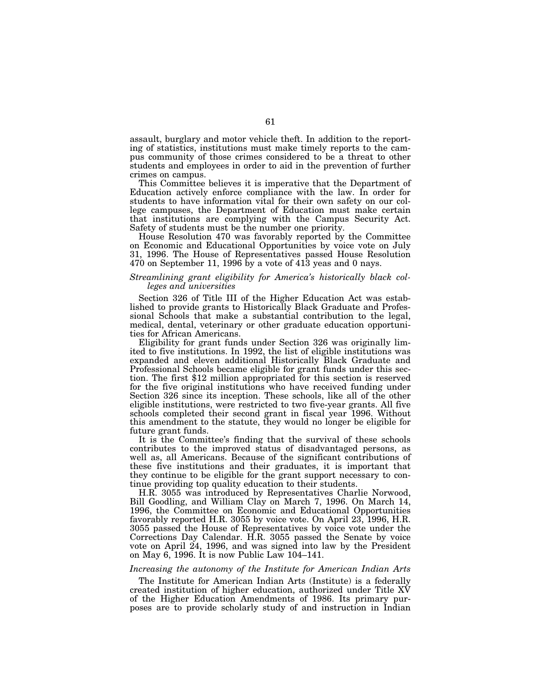assault, burglary and motor vehicle theft. In addition to the reporting of statistics, institutions must make timely reports to the campus community of those crimes considered to be a threat to other students and employees in order to aid in the prevention of further crimes on campus.

This Committee believes it is imperative that the Department of Education actively enforce compliance with the law. In order for students to have information vital for their own safety on our college campuses, the Department of Education must make certain that institutions are complying with the Campus Security Act. Safety of students must be the number one priority.

House Resolution 470 was favorably reported by the Committee on Economic and Educational Opportunities by voice vote on July 31, 1996. The House of Representatives passed House Resolution  $470$  on September 11, 1996 by a vote of  $41\overline{3}$  yeas and 0 nays.

# *Streamlining grant eligibility for America's historically black colleges and universities*

Section 326 of Title III of the Higher Education Act was established to provide grants to Historically Black Graduate and Professional Schools that make a substantial contribution to the legal, medical, dental, veterinary or other graduate education opportunities for African Americans.

Eligibility for grant funds under Section 326 was originally limited to five institutions. In 1992, the list of eligible institutions was expanded and eleven additional Historically Black Graduate and Professional Schools became eligible for grant funds under this section. The first \$12 million appropriated for this section is reserved for the five original institutions who have received funding under Section 326 since its inception. These schools, like all of the other eligible institutions, were restricted to two five-year grants. All five schools completed their second grant in fiscal year 1996. Without this amendment to the statute, they would no longer be eligible for future grant funds.

It is the Committee's finding that the survival of these schools contributes to the improved status of disadvantaged persons, as well as, all Americans. Because of the significant contributions of these five institutions and their graduates, it is important that they continue to be eligible for the grant support necessary to continue providing top quality education to their students.

H.R. 3055 was introduced by Representatives Charlie Norwood, Bill Goodling, and William Clay on March 7, 1996. On March 14, 1996, the Committee on Economic and Educational Opportunities favorably reported H.R. 3055 by voice vote. On April 23, 1996, H.R. 3055 passed the House of Representatives by voice vote under the Corrections Day Calendar. H.R. 3055 passed the Senate by voice vote on April 24, 1996, and was signed into law by the President on May 6, 1996. It is now Public Law 104–141.

#### *Increasing the autonomy of the Institute for American Indian Arts*

The Institute for American Indian Arts (Institute) is a federally created institution of higher education, authorized under Title XV of the Higher Education Amendments of 1986. Its primary purposes are to provide scholarly study of and instruction in Indian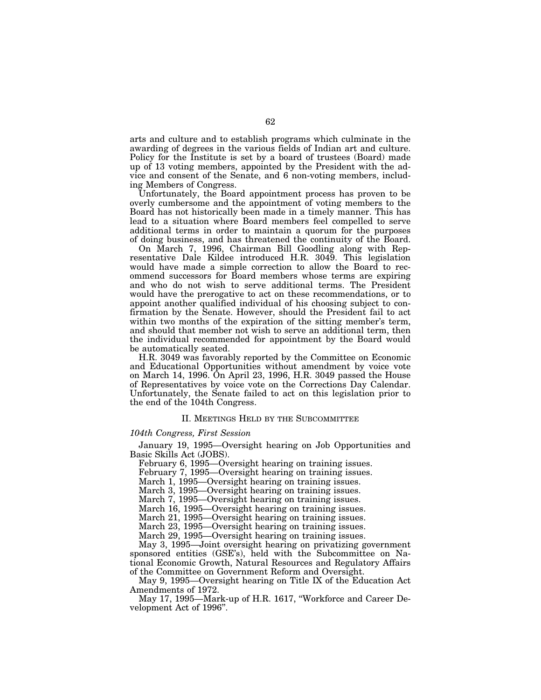arts and culture and to establish programs which culminate in the awarding of degrees in the various fields of Indian art and culture. Policy for the Institute is set by a board of trustees (Board) made up of 13 voting members, appointed by the President with the advice and consent of the Senate, and 6 non-voting members, including Members of Congress.

Unfortunately, the Board appointment process has proven to be overly cumbersome and the appointment of voting members to the Board has not historically been made in a timely manner. This has lead to a situation where Board members feel compelled to serve additional terms in order to maintain a quorum for the purposes of doing business, and has threatened the continuity of the Board.

On March 7, 1996, Chairman Bill Goodling along with Representative Dale Kildee introduced H.R. 3049. This legislation would have made a simple correction to allow the Board to recommend successors for Board members whose terms are expiring and who do not wish to serve additional terms. The President would have the prerogative to act on these recommendations, or to appoint another qualified individual of his choosing subject to confirmation by the Senate. However, should the President fail to act within two months of the expiration of the sitting member's term, and should that member not wish to serve an additional term, then the individual recommended for appointment by the Board would be automatically seated.

H.R. 3049 was favorably reported by the Committee on Economic and Educational Opportunities without amendment by voice vote on March 14, 1996. On April 23, 1996, H.R. 3049 passed the House of Representatives by voice vote on the Corrections Day Calendar. Unfortunately, the Senate failed to act on this legislation prior to the end of the 104th Congress.

#### II. MEETINGS HELD BY THE SUBCOMMITTEE

# *104th Congress, First Session*

January 19, 1995—Oversight hearing on Job Opportunities and Basic Skills Act (JOBS).

February 6, 1995—Oversight hearing on training issues.

February 7, 1995—Oversight hearing on training issues.

March 1, 1995—Oversight hearing on training issues.

March 3, 1995—Oversight hearing on training issues.

March 7, 1995—Oversight hearing on training issues.

March 16, 1995—Oversight hearing on training issues.

March 21, 1995—Oversight hearing on training issues.

March 23, 1995—Oversight hearing on training issues.

March 29, 1995—Oversight hearing on training issues.

May 3, 1995—Joint oversight hearing on privatizing government sponsored entities (GSE's), held with the Subcommittee on National Economic Growth, Natural Resources and Regulatory Affairs of the Committee on Government Reform and Oversight.

May 9, 1995—Oversight hearing on Title IX of the Education Act Amendments of 1972.

May 17, 1995—Mark-up of H.R. 1617, ''Workforce and Career Development Act of 1996''.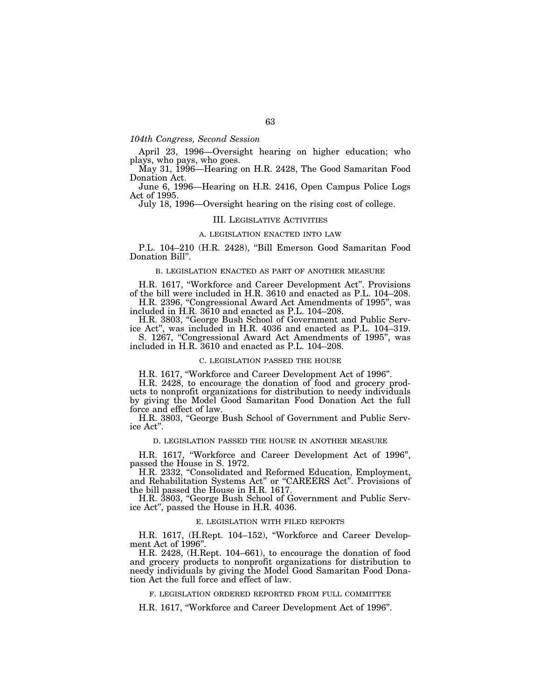# *104th Congress, Second Session*

April 23, 1996—Oversight hearing on higher education; who plays, who pays, who goes.

May 31, 1996—Hearing on H.R. 2428, The Good Samaritan Food Donation Act.

June 6, 1996—Hearing on H.R. 2416, Open Campus Police Logs Act of 1995.

July 18, 1996—Oversight hearing on the rising cost of college.

## III. LEGISLATIVE ACTIVITIES

# A. LEGISLATION ENACTED INTO LAW

P.L. 104–210 (H.R. 2428), ''Bill Emerson Good Samaritan Food Donation Bill''.

### B. LEGISLATION ENACTED AS PART OF ANOTHER MEASURE

H.R. 1617, ''Workforce and Career Development Act''. Provisions of the bill were included in H.R. 3610 and enacted as P.L. 104–208.

H.R. 2396, "Congressional Award Act Amendments of 1995", was included in H.R. 3610 and enacted as P.L. 104–208.

H.R. 3803, ''George Bush School of Government and Public Service Act'', was included in H.R. 4036 and enacted as P.L. 104–319.

S. 1267, "Congressional Award Act Amendments of 1995", was included in H.R. 3610 and enacted as P.L. 104–208.

### C. LEGISLATION PASSED THE HOUSE

H.R. 1617, ''Workforce and Career Development Act of 1996''.

H.R. 2428, to encourage the donation of food and grocery products to nonprofit organizations for distribution to needy individuals by giving the Model Good Samaritan Food Donation Act the full force and effect of law.

H.R. 3803, "George Bush School of Government and Public Service Act''.

#### D. LEGISLATION PASSED THE HOUSE IN ANOTHER MEASURE

H.R. 1617, ''Workforce and Career Development Act of 1996'', passed the House in S. 1972.

H.R. 2332, "Consolidated and Reformed Education, Employment, and Rehabilitation Systems Act'' or ''CAREERS Act''. Provisions of the bill passed the House in H.R. 1617.

H.R. 3803, ''George Bush School of Government and Public Service Act'', passed the House in H.R. 4036.

### E. LEGISLATION WITH FILED REPORTS

H.R. 1617, (H.Rept. 104–152), "Workforce and Career Development Act of 1996".

H.R. 2428, (H.Rept. 104–661), to encourage the donation of food and grocery products to nonprofit organizations for distribution to needy individuals by giving the Model Good Samaritan Food Donation Act the full force and effect of law.

F. LEGISLATION ORDERED REPORTED FROM FULL COMMITTEE

H.R. 1617, ''Workforce and Career Development Act of 1996''.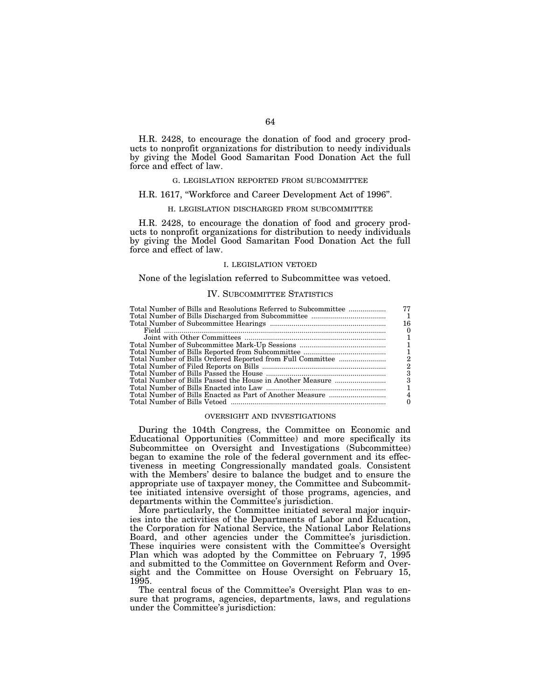H.R. 2428, to encourage the donation of food and grocery products to nonprofit organizations for distribution to needy individuals by giving the Model Good Samaritan Food Donation Act the full force and effect of law.

### G. LEGISLATION REPORTED FROM SUBCOMMITTEE

# H.R. 1617, ''Workforce and Career Development Act of 1996''.

### H. LEGISLATION DISCHARGED FROM SUBCOMMITTEE

H.R. 2428, to encourage the donation of food and grocery products to nonprofit organizations for distribution to needy individuals by giving the Model Good Samaritan Food Donation Act the full force and effect of law.

## I. LEGISLATION VETOED

#### None of the legislation referred to Subcommittee was vetoed.

# IV. SUBCOMMITTEE STATISTICS

| Total Number of Bills and Resolutions Referred to Subcommittee | 77 |
|----------------------------------------------------------------|----|
|                                                                |    |
|                                                                | 16 |
|                                                                |    |
|                                                                |    |
|                                                                |    |
|                                                                |    |
| Total Number of Bills Ordered Reported from Full Committee     | 2  |
|                                                                | 2  |
|                                                                | З  |
|                                                                | 3  |
|                                                                |    |
|                                                                |    |
|                                                                |    |

#### OVERSIGHT AND INVESTIGATIONS

During the 104th Congress, the Committee on Economic and Educational Opportunities (Committee) and more specifically its Subcommittee on Oversight and Investigations (Subcommittee) began to examine the role of the federal government and its effectiveness in meeting Congressionally mandated goals. Consistent with the Members' desire to balance the budget and to ensure the appropriate use of taxpayer money, the Committee and Subcommittee initiated intensive oversight of those programs, agencies, and departments within the Committee's jurisdiction.

More particularly, the Committee initiated several major inquiries into the activities of the Departments of Labor and Education, the Corporation for National Service, the National Labor Relations Board, and other agencies under the Committee's jurisdiction. These inquiries were consistent with the Committee's Oversight Plan which was adopted by the Committee on February 7, 1995 and submitted to the Committee on Government Reform and Oversight and the Committee on House Oversight on February 15, 1995.

The central focus of the Committee's Oversight Plan was to ensure that programs, agencies, departments, laws, and regulations under the Committee's jurisdiction: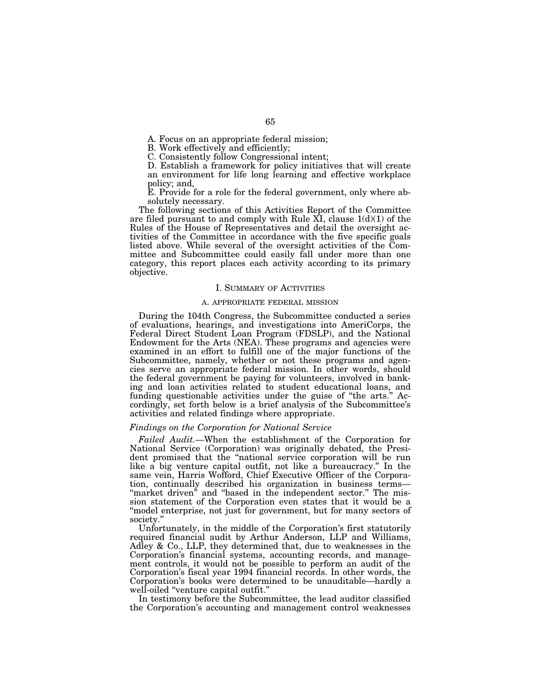A. Focus on an appropriate federal mission;

B. Work effectively and efficiently;

C. Consistently follow Congressional intent;

D. Establish a framework for policy initiatives that will create an environment for life long learning and effective workplace policy; and,

E. Provide for a role for the federal government, only where absolutely necessary.

The following sections of this Activities Report of the Committee are filed pursuant to and comply with Rule  $X$ I, clause  $1(d)(1)$  of the Rules of the House of Representatives and detail the oversight activities of the Committee in accordance with the five specific goals listed above. While several of the oversight activities of the Committee and Subcommittee could easily fall under more than one category, this report places each activity according to its primary objective.

#### I. SUMMARY OF ACTIVITIES

#### A. APPROPRIATE FEDERAL MISSION

During the 104th Congress, the Subcommittee conducted a series of evaluations, hearings, and investigations into AmeriCorps, the Federal Direct Student Loan Program (FDSLP), and the National Endowment for the Arts (NEA). These programs and agencies were examined in an effort to fulfill one of the major functions of the Subcommittee, namely, whether or not these programs and agencies serve an appropriate federal mission. In other words, should the federal government be paying for volunteers, involved in banking and loan activities related to student educational loans, and funding questionable activities under the guise of ''the arts.'' Accordingly, set forth below is a brief analysis of the Subcommittee's activities and related findings where appropriate.

# *Findings on the Corporation for National Service*

*Failed Audit.*—When the establishment of the Corporation for National Service (Corporation) was originally debated, the President promised that the ''national service corporation will be run like a big venture capital outfit, not like a bureaucracy.'' In the same vein, Harris Wofford, Chief Executive Officer of the Corporation, continually described his organization in business terms— "market driven" and "based in the independent sector." The mission statement of the Corporation even states that it would be a "model enterprise, not just for government, but for many sectors of society.'

Unfortunately, in the middle of the Corporation's first statutorily required financial audit by Arthur Anderson, LLP and Williams, Adley & Co., LLP, they determined that, due to weaknesses in the Corporation's financial systems, accounting records, and management controls, it would not be possible to perform an audit of the Corporation's fiscal year 1994 financial records. In other words, the Corporation's books were determined to be unauditable—hardly a well-oiled ''venture capital outfit.''

In testimony before the Subcommittee, the lead auditor classified the Corporation's accounting and management control weaknesses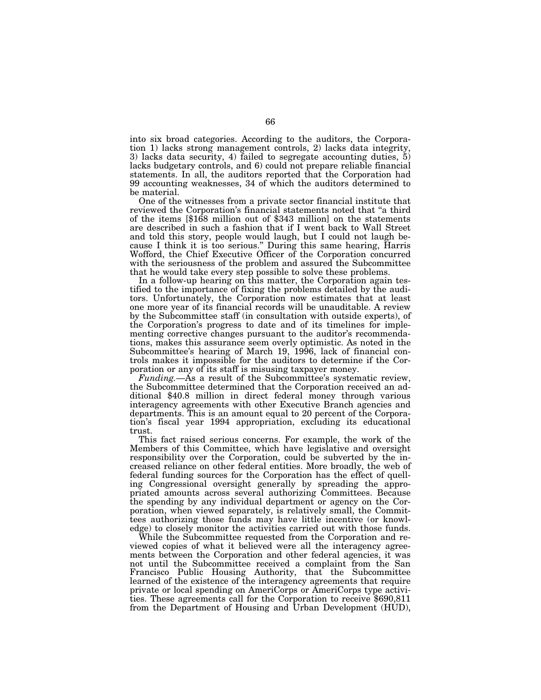into six broad categories. According to the auditors, the Corporation 1) lacks strong management controls, 2) lacks data integrity, 3) lacks data security, 4) failed to segregate accounting duties, 5) lacks budgetary controls, and 6) could not prepare reliable financial statements. In all, the auditors reported that the Corporation had 99 accounting weaknesses, 34 of which the auditors determined to be material.

One of the witnesses from a private sector financial institute that reviewed the Corporation's financial statements noted that ''a third of the items [\$168 million out of \$343 million] on the statements are described in such a fashion that if I went back to Wall Street and told this story, people would laugh, but I could not laugh because I think it is too serious.'' During this same hearing, Harris Wofford, the Chief Executive Officer of the Corporation concurred with the seriousness of the problem and assured the Subcommittee that he would take every step possible to solve these problems.

In a follow-up hearing on this matter, the Corporation again testified to the importance of fixing the problems detailed by the auditors. Unfortunately, the Corporation now estimates that at least one more year of its financial records will be unauditable. A review by the Subcommittee staff (in consultation with outside experts), of the Corporation's progress to date and of its timelines for implementing corrective changes pursuant to the auditor's recommendations, makes this assurance seem overly optimistic. As noted in the Subcommittee's hearing of March 19, 1996, lack of financial controls makes it impossible for the auditors to determine if the Corporation or any of its staff is misusing taxpayer money.

*Funding.*—As a result of the Subcommittee's systematic review, the Subcommittee determined that the Corporation received an additional \$40.8 million in direct federal money through various interagency agreements with other Executive Branch agencies and departments. This is an amount equal to 20 percent of the Corporation's fiscal year 1994 appropriation, excluding its educational trust.

This fact raised serious concerns. For example, the work of the Members of this Committee, which have legislative and oversight responsibility over the Corporation, could be subverted by the increased reliance on other federal entities. More broadly, the web of federal funding sources for the Corporation has the effect of quelling Congressional oversight generally by spreading the appropriated amounts across several authorizing Committees. Because the spending by any individual department or agency on the Corporation, when viewed separately, is relatively small, the Committees authorizing those funds may have little incentive (or knowledge) to closely monitor the activities carried out with those funds.

While the Subcommittee requested from the Corporation and reviewed copies of what it believed were all the interagency agreements between the Corporation and other federal agencies, it was not until the Subcommittee received a complaint from the San Francisco Public Housing Authority, that the Subcommittee learned of the existence of the interagency agreements that require private or local spending on AmeriCorps or AmeriCorps type activities. These agreements call for the Corporation to receive \$690,811 from the Department of Housing and Urban Development (HUD),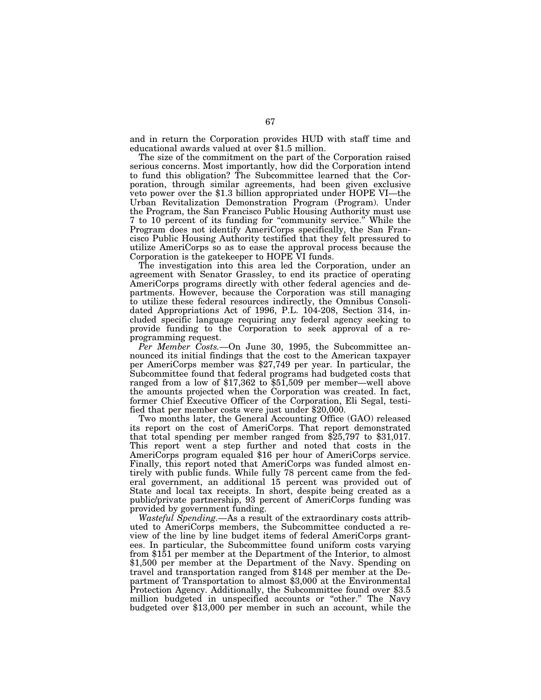and in return the Corporation provides HUD with staff time and educational awards valued at over \$1.5 million.

The size of the commitment on the part of the Corporation raised serious concerns. Most importantly, how did the Corporation intend to fund this obligation? The Subcommittee learned that the Corporation, through similar agreements, had been given exclusive veto power over the \$1.3 billion appropriated under HOPE VI—the Urban Revitalization Demonstration Program (Program). Under the Program, the San Francisco Public Housing Authority must use 7 to 10 percent of its funding for ''community service.'' While the Program does not identify AmeriCorps specifically, the San Francisco Public Housing Authority testified that they felt pressured to utilize AmeriCorps so as to ease the approval process because the Corporation is the gatekeeper to HOPE VI funds.

The investigation into this area led the Corporation, under an agreement with Senator Grassley, to end its practice of operating AmeriCorps programs directly with other federal agencies and departments. However, because the Corporation was still managing to utilize these federal resources indirectly, the Omnibus Consolidated Appropriations Act of 1996, P.L. 104-208, Section 314, included specific language requiring any federal agency seeking to provide funding to the Corporation to seek approval of a reprogramming request.

*Per Member Costs.—*On June 30, 1995, the Subcommittee announced its initial findings that the cost to the American taxpayer per AmeriCorps member was \$27,749 per year. In particular, the Subcommittee found that federal programs had budgeted costs that ranged from a low of \$17,362 to \$51,509 per member—well above the amounts projected when the Corporation was created. In fact, former Chief Executive Officer of the Corporation, Eli Segal, testified that per member costs were just under \$20,000.

Two months later, the General Accounting Office (GAO) released its report on the cost of AmeriCorps. That report demonstrated that total spending per member ranged from \$25,797 to \$31,017. This report went a step further and noted that costs in the AmeriCorps program equaled \$16 per hour of AmeriCorps service. Finally, this report noted that AmeriCorps was funded almost entirely with public funds. While fully 78 percent came from the federal government, an additional 15 percent was provided out of State and local tax receipts. In short, despite being created as a public/private partnership, 93 percent of AmeriCorps funding was provided by government funding.

*Wasteful Spending.—*As a result of the extraordinary costs attributed to AmeriCorps members, the Subcommittee conducted a review of the line by line budget items of federal AmeriCorps grantees. In particular, the Subcommittee found uniform costs varying from \$151 per member at the Department of the Interior, to almost \$1,500 per member at the Department of the Navy. Spending on travel and transportation ranged from \$148 per member at the Department of Transportation to almost \$3,000 at the Environmental Protection Agency. Additionally, the Subcommittee found over \$3.5 million budgeted in unspecified accounts or ''other.'' The Navy budgeted over \$13,000 per member in such an account, while the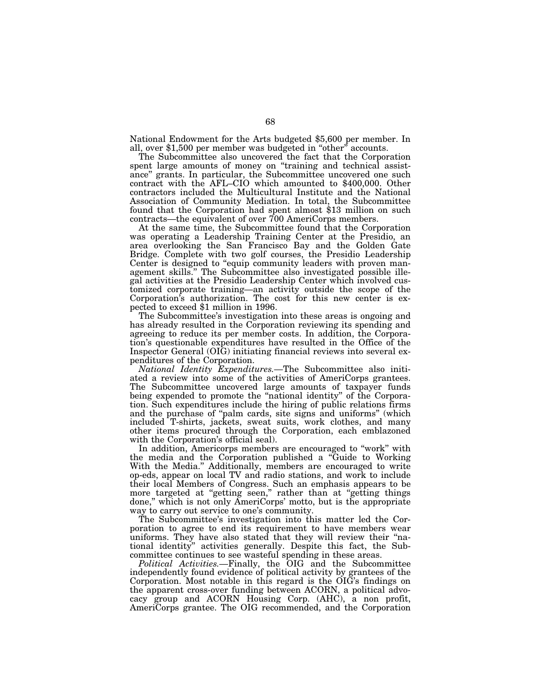National Endowment for the Arts budgeted \$5,600 per member. In all, over \$1,500 per member was budgeted in ''other'' accounts.

The Subcommittee also uncovered the fact that the Corporation spent large amounts of money on "training and technical assistance'' grants. In particular, the Subcommittee uncovered one such contract with the AFL–CIO which amounted to \$400,000. Other contractors included the Multicultural Institute and the National Association of Community Mediation. In total, the Subcommittee found that the Corporation had spent almost \$13 million on such contracts—the equivalent of over 700 AmeriCorps members.

At the same time, the Subcommittee found that the Corporation was operating a Leadership Training Center at the Presidio, an area overlooking the San Francisco Bay and the Golden Gate Bridge. Complete with two golf courses, the Presidio Leadership Center is designed to "equip community leaders with proven management skills.'' The Subcommittee also investigated possible illegal activities at the Presidio Leadership Center which involved customized corporate training—an activity outside the scope of the Corporation's authorization. The cost for this new center is expected to exceed \$1 million in 1996.

The Subcommittee's investigation into these areas is ongoing and has already resulted in the Corporation reviewing its spending and agreeing to reduce its per member costs. In addition, the Corporation's questionable expenditures have resulted in the Office of the Inspector General (OIG) initiating financial reviews into several expenditures of the Corporation.

*National Identity Expenditures.—*The Subcommittee also initiated a review into some of the activities of AmeriCorps grantees. The Subcommittee uncovered large amounts of taxpayer funds being expended to promote the ''national identity'' of the Corporation. Such expenditures include the hiring of public relations firms and the purchase of ''palm cards, site signs and uniforms'' (which included T-shirts, jackets, sweat suits, work clothes, and many other items procured through the Corporation, each emblazoned with the Corporation's official seal).

In addition, Americorps members are encouraged to "work" with the media and the Corporation published a ''Guide to Working With the Media.'' Additionally, members are encouraged to write op-eds, appear on local TV and radio stations, and work to include their local Members of Congress. Such an emphasis appears to be more targeted at "getting seen," rather than at "getting things done," which is not only AmeriCorps' motto, but is the appropriate way to carry out service to one's community.

The Subcommittee's investigation into this matter led the Corporation to agree to end its requirement to have members wear uniforms. They have also stated that they will review their ''national identity'' activities generally. Despite this fact, the Subcommittee continues to see wasteful spending in these areas.

*Political Activities.—*Finally, the OIG and the Subcommittee independently found evidence of political activity by grantees of the Corporation. Most notable in this regard is the OIG's findings on the apparent cross-over funding between ACORN, a political advocacy group and ACORN Housing Corp. (AHC), a non profit, AmeriCorps grantee. The OIG recommended, and the Corporation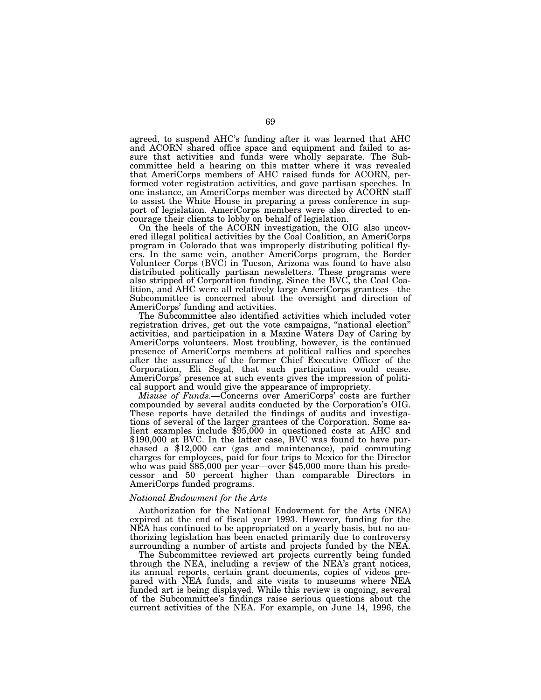agreed, to suspend AHC's funding after it was learned that AHC and ACORN shared office space and equipment and failed to assure that activities and funds were wholly separate. The Subcommittee held a hearing on this matter where it was revealed that AmeriCorps members of AHC raised funds for ACORN, performed voter registration activities, and gave partisan speeches. In one instance, an AmeriCorps member was directed by ACORN staff to assist the White House in preparing a press conference in support of legislation. AmeriCorps members were also directed to encourage their clients to lobby on behalf of legislation.

On the heels of the ACORN investigation, the OIG also uncovered illegal political activities by the Coal Coalition, an AmeriCorps program in Colorado that was improperly distributing political flyers. In the same vein, another AmeriCorps program, the Border Volunteer Corps (BVC) in Tucson, Arizona was found to have also distributed politically partisan newsletters. These programs were also stripped of Corporation funding. Since the BVC, the Coal Coalition, and AHC were all relatively large AmeriCorps grantees—the Subcommittee is concerned about the oversight and direction of AmeriCorps' funding and activities.

The Subcommittee also identified activities which included voter registration drives, get out the vote campaigns, "national election" activities, and participation in a Maxine Waters Day of Caring by AmeriCorps volunteers. Most troubling, however, is the continued presence of AmeriCorps members at political rallies and speeches after the assurance of the former Chief Executive Officer of the Corporation, Eli Segal, that such participation would cease. AmeriCorps' presence at such events gives the impression of political support and would give the appearance of impropriety.

*Misuse of Funds.—*Concerns over AmeriCorps' costs are further compounded by several audits conducted by the Corporation's OIG. These reports have detailed the findings of audits and investigations of several of the larger grantees of the Corporation. Some salient examples include \$95,000 in questioned costs at AHC and \$190,000 at BVC. In the latter case, BVC was found to have purchased a \$12,000 car (gas and maintenance), paid commuting charges for employees, paid for four trips to Mexico for the Director who was paid \$85,000 per year—over \$45,000 more than his predecessor and 50 percent higher than comparable Directors in AmeriCorps funded programs.

#### *National Endowment for the Arts*

Authorization for the National Endowment for the Arts (NEA) expired at the end of fiscal year 1993. However, funding for the NEA has continued to be appropriated on a yearly basis, but no authorizing legislation has been enacted primarily due to controversy surrounding a number of artists and projects funded by the NEA.

The Subcommittee reviewed art projects currently being funded through the NEA, including a review of the NEA's grant notices, its annual reports, certain grant documents, copies of videos prepared with NEA funds, and site visits to museums where NEA funded art is being displayed. While this review is ongoing, several of the Subcommittee's findings raise serious questions about the current activities of the NEA. For example, on June 14, 1996, the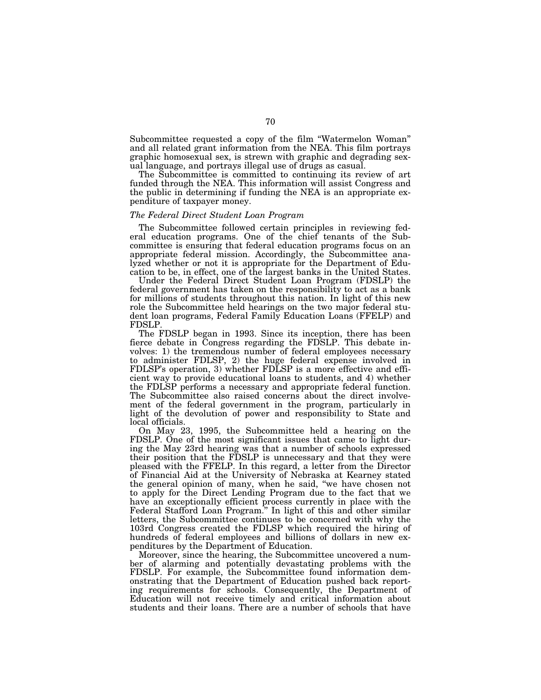Subcommittee requested a copy of the film ''Watermelon Woman'' and all related grant information from the NEA. This film portrays graphic homosexual sex, is strewn with graphic and degrading sexual language, and portrays illegal use of drugs as casual.

The Subcommittee is committed to continuing its review of art funded through the NEA. This information will assist Congress and the public in determining if funding the NEA is an appropriate expenditure of taxpayer money.

## *The Federal Direct Student Loan Program*

The Subcommittee followed certain principles in reviewing federal education programs. One of the chief tenants of the Subcommittee is ensuring that federal education programs focus on an appropriate federal mission. Accordingly, the Subcommittee analyzed whether or not it is appropriate for the Department of Education to be, in effect, one of the largest banks in the United States.

Under the Federal Direct Student Loan Program (FDSLP) the federal government has taken on the responsibility to act as a bank for millions of students throughout this nation. In light of this new role the Subcommittee held hearings on the two major federal student loan programs, Federal Family Education Loans (FFELP) and FDSLP.

The FDSLP began in 1993. Since its inception, there has been fierce debate in Congress regarding the FDSLP. This debate involves: 1) the tremendous number of federal employees necessary to administer FDLSP, 2) the huge federal expense involved in FDLSP's operation, 3) whether FDLSP is a more effective and efficient way to provide educational loans to students, and 4) whether the FDLSP performs a necessary and appropriate federal function. The Subcommittee also raised concerns about the direct involvement of the federal government in the program, particularly in light of the devolution of power and responsibility to State and local officials.

On May 23, 1995, the Subcommittee held a hearing on the FDSLP. One of the most significant issues that came to light during the May 23rd hearing was that a number of schools expressed their position that the FDSLP is unnecessary and that they were pleased with the FFELP. In this regard, a letter from the Director of Financial Aid at the University of Nebraska at Kearney stated the general opinion of many, when he said, ''we have chosen not to apply for the Direct Lending Program due to the fact that we have an exceptionally efficient process currently in place with the Federal Stafford Loan Program.'' In light of this and other similar letters, the Subcommittee continues to be concerned with why the 103rd Congress created the FDLSP which required the hiring of hundreds of federal employees and billions of dollars in new expenditures by the Department of Education.

Moreover, since the hearing, the Subcommittee uncovered a number of alarming and potentially devastating problems with the FDSLP. For example, the Subcommittee found information demonstrating that the Department of Education pushed back reporting requirements for schools. Consequently, the Department of Education will not receive timely and critical information about students and their loans. There are a number of schools that have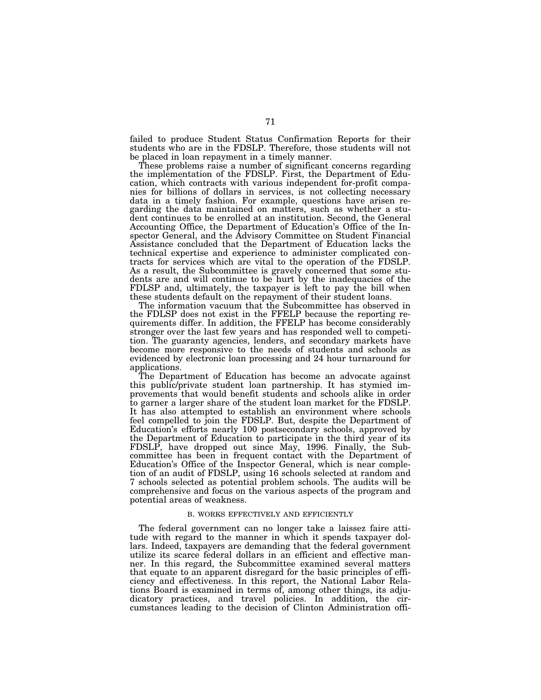failed to produce Student Status Confirmation Reports for their students who are in the FDSLP. Therefore, those students will not be placed in loan repayment in a timely manner.

These problems raise a number of significant concerns regarding the implementation of the FDSLP. First, the Department of Education, which contracts with various independent for-profit companies for billions of dollars in services, is not collecting necessary data in a timely fashion. For example, questions have arisen regarding the data maintained on matters, such as whether a student continues to be enrolled at an institution. Second, the General Accounting Office, the Department of Education's Office of the Inspector General, and the Advisory Committee on Student Financial Assistance concluded that the Department of Education lacks the technical expertise and experience to administer complicated contracts for services which are vital to the operation of the FDSLP. As a result, the Subcommittee is gravely concerned that some students are and will continue to be hurt by the inadequacies of the FDLSP and, ultimately, the taxpayer is left to pay the bill when these students default on the repayment of their student loans.

The information vacuum that the Subcommittee has observed in the FDLSP does not exist in the FFELP because the reporting requirements differ. In addition, the FFELP has become considerably stronger over the last few years and has responded well to competition. The guaranty agencies, lenders, and secondary markets have become more responsive to the needs of students and schools as evidenced by electronic loan processing and 24 hour turnaround for applications.

The Department of Education has become an advocate against this public/private student loan partnership. It has stymied improvements that would benefit students and schools alike in order to garner a larger share of the student loan market for the FDSLP. It has also attempted to establish an environment where schools feel compelled to join the FDSLP. But, despite the Department of Education's efforts nearly 100 postsecondary schools, approved by the Department of Education to participate in the third year of its FDSLP, have dropped out since May, 1996. Finally, the Subcommittee has been in frequent contact with the Department of Education's Office of the Inspector General, which is near completion of an audit of FDSLP, using 16 schools selected at random and 7 schools selected as potential problem schools. The audits will be comprehensive and focus on the various aspects of the program and potential areas of weakness.

## B. WORKS EFFECTIVELY AND EFFICIENTLY

The federal government can no longer take a laissez faire attitude with regard to the manner in which it spends taxpayer dollars. Indeed, taxpayers are demanding that the federal government utilize its scarce federal dollars in an efficient and effective manner. In this regard, the Subcommittee examined several matters that equate to an apparent disregard for the basic principles of efficiency and effectiveness. In this report, the National Labor Relations Board is examined in terms of, among other things, its adjudicatory practices, and travel policies. In addition, the circumstances leading to the decision of Clinton Administration offi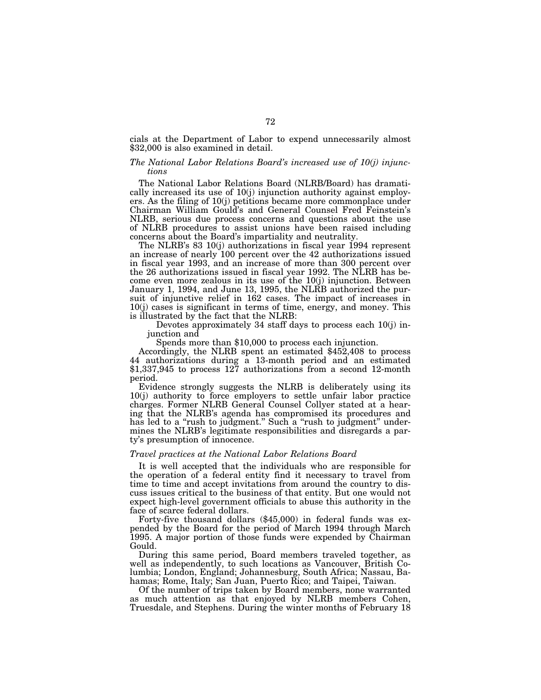cials at the Department of Labor to expend unnecessarily almost \$32,000 is also examined in detail.

# *The National Labor Relations Board's increased use of 10(j) injunctions*

The National Labor Relations Board (NLRB/Board) has dramatically increased its use of 10(j) injunction authority against employers. As the filing of 10(j) petitions became more commonplace under Chairman William Gould's and General Counsel Fred Feinstein's NLRB, serious due process concerns and questions about the use of NLRB procedures to assist unions have been raised including concerns about the Board's impartiality and neutrality.

The NLRB's 83 10(j) authorizations in fiscal year 1994 represent an increase of nearly 100 percent over the 42 authorizations issued in fiscal year 1993, and an increase of more than 300 percent over the 26 authorizations issued in fiscal year 1992. The NLRB has become even more zealous in its use of the 10(j) injunction. Between January 1, 1994, and June 13, 1995, the NLRB authorized the pursuit of injunctive relief in 162 cases. The impact of increases in 10(j) cases is significant in terms of time, energy, and money. This is illustrated by the fact that the NLRB:

Devotes approximately 34 staff days to process each 10(j) in-

Spends more than \$10,000 to process each injunction.<br>Accordingly, the NLRB spent an estimated \$452,408 to process 44 authorizations during a 13-month period and an estimated \$1,337,945 to process 127 authorizations from a second 12-month period.

Evidence strongly suggests the NLRB is deliberately using its 10(j) authority to force employers to settle unfair labor practice charges. Former NLRB General Counsel Collyer stated at a hearing that the NLRB's agenda has compromised its procedures and has led to a "rush to judgment." Such a "rush to judgment" undermines the NLRB's legitimate responsibilities and disregards a party's presumption of innocence.

# *Travel practices at the National Labor Relations Board*

It is well accepted that the individuals who are responsible for the operation of a federal entity find it necessary to travel from time to time and accept invitations from around the country to discuss issues critical to the business of that entity. But one would not expect high-level government officials to abuse this authority in the face of scarce federal dollars.

Forty-five thousand dollars (\$45,000) in federal funds was expended by the Board for the period of March 1994 through March 1995. A major portion of those funds were expended by Chairman Gould.

During this same period, Board members traveled together, as well as independently, to such locations as Vancouver, British Columbia; London, England; Johannesburg, South Africa; Nassau, Bahamas; Rome, Italy; San Juan, Puerto Rico; and Taipei, Taiwan.

Of the number of trips taken by Board members, none warranted as much attention as that enjoyed by NLRB members Cohen, Truesdale, and Stephens. During the winter months of February 18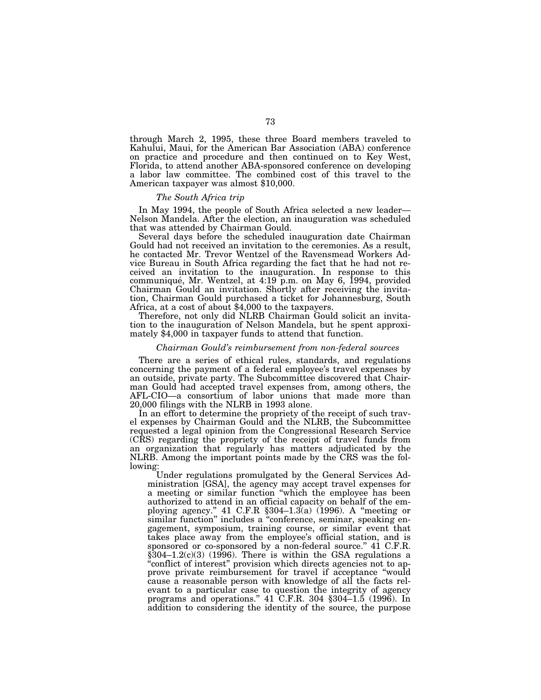through March 2, 1995, these three Board members traveled to Kahului, Maui, for the American Bar Association (ABA) conference on practice and procedure and then continued on to Key West, Florida, to attend another ABA-sponsored conference on developing a labor law committee. The combined cost of this travel to the American taxpayer was almost \$10,000.

# *The South Africa trip*

In May 1994, the people of South Africa selected a new leader— Nelson Mandela. After the election, an inauguration was scheduled that was attended by Chairman Gould.

Several days before the scheduled inauguration date Chairman Gould had not received an invitation to the ceremonies. As a result, he contacted Mr. Trevor Wentzel of the Ravensmead Workers Advice Bureau in South Africa regarding the fact that he had not received an invitation to the inauguration. In response to this communiqué, Mr. Wentzel, at 4:19 p.m. on May 6, 1994, provided Chairman Gould an invitation. Shortly after receiving the invitation, Chairman Gould purchased a ticket for Johannesburg, South Africa, at a cost of about \$4,000 to the taxpayers.

Therefore, not only did NLRB Chairman Gould solicit an invitation to the inauguration of Nelson Mandela, but he spent approximately \$4,000 in taxpayer funds to attend that function.

#### *Chairman Gould's reimbursement from non-federal sources*

There are a series of ethical rules, standards, and regulations concerning the payment of a federal employee's travel expenses by an outside, private party. The Subcommittee discovered that Chairman Gould had accepted travel expenses from, among others, the AFL-CIO—a consortium of labor unions that made more than 20,000 filings with the NLRB in 1993 alone.

In an effort to determine the propriety of the receipt of such travel expenses by Chairman Gould and the NLRB, the Subcommittee requested a legal opinion from the Congressional Research Service (CRS) regarding the propriety of the receipt of travel funds from an organization that regularly has matters adjudicated by the NLRB. Among the important points made by the CRS was the following:

Under regulations promulgated by the General Services Administration [GSA], the agency may accept travel expenses for a meeting or similar function ''which the employee has been authorized to attend in an official capacity on behalf of the employing agency.'' 41 C.F.R §304–1.3(a) (1996). A ''meeting or similar function" includes a "conference, seminar, speaking engagement, symposium, training course, or similar event that takes place away from the employee's official station, and is sponsored or co-sponsored by a non-federal source.'' 41 C.F.R.  $\S304-1.2(c)(3)$  (1996). There is within the GSA regulations a "conflict of interest" provision which directs agencies not to approve private reimbursement for travel if acceptance ''would cause a reasonable person with knowledge of all the facts relevant to a particular case to question the integrity of agency programs and operations."  $41$  C.F.R. 304  $\S 304-1.5$  (1996). In addition to considering the identity of the source, the purpose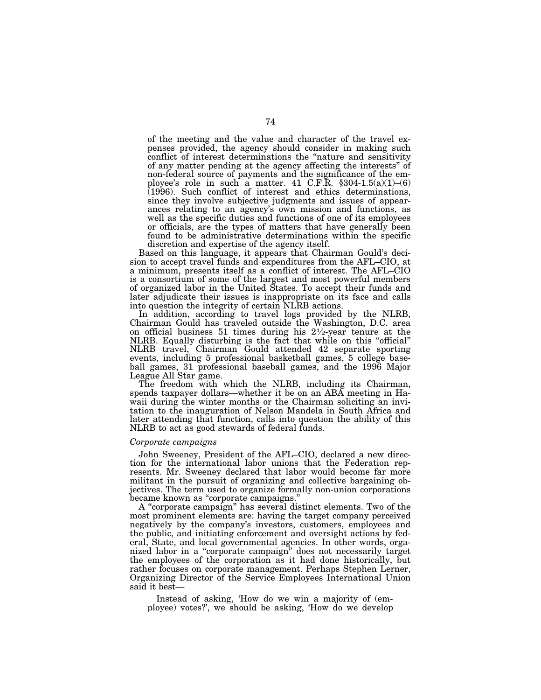of the meeting and the value and character of the travel expenses provided, the agency should consider in making such conflict of interest determinations the "nature and sensitivity of any matter pending at the agency affecting the interests'' of non-federal source of payments and the significance of the employee's role in such a matter. 41 C.F.R. §304-1.5(a)(1)–(6) (1996). Such conflict of interest and ethics determinations, since they involve subjective judgments and issues of appearances relating to an agency's own mission and functions, as well as the specific duties and functions of one of its employees or officials, are the types of matters that have generally been found to be administrative determinations within the specific discretion and expertise of the agency itself.

Based on this language, it appears that Chairman Gould's decision to accept travel funds and expenditures from the AFL–CIO, at a minimum, presents itself as a conflict of interest. The AFL–CIO is a consortium of some of the largest and most powerful members of organized labor in the United States. To accept their funds and later adjudicate their issues is inappropriate on its face and calls into question the integrity of certain NLRB actions.

In addition, according to travel logs provided by the NLRB, Chairman Gould has traveled outside the Washington, D.C. area on official business 51 times during his 21⁄2-year tenure at the NLRB. Equally disturbing is the fact that while on this "official" NLRB travel, Chairman Gould attended 42 separate sporting events, including 5 professional basketball games, 5 college baseball games, 31 professional baseball games, and the 1996 Major League All Star game.

The freedom with which the NLRB, including its Chairman, spends taxpayer dollars—whether it be on an ABA meeting in Hawaii during the winter months or the Chairman soliciting an invitation to the inauguration of Nelson Mandela in South Africa and later attending that function, calls into question the ability of this NLRB to act as good stewards of federal funds.

#### *Corporate campaigns*

John Sweeney, President of the AFL–CIO, declared a new direction for the international labor unions that the Federation represents. Mr. Sweeney declared that labor would become far more militant in the pursuit of organizing and collective bargaining objectives. The term used to organize formally non-union corporations became known as ''corporate campaigns.''

A ''corporate campaign'' has several distinct elements. Two of the most prominent elements are: having the target company perceived negatively by the company's investors, customers, employees and the public, and initiating enforcement and oversight actions by federal, State, and local governmental agencies. In other words, organized labor in a ''corporate campaign'' does not necessarily target the employees of the corporation as it had done historically, but rather focuses on corporate management. Perhaps Stephen Lerner, Organizing Director of the Service Employees International Union said it best—

Instead of asking, 'How do we win a majority of (employee) votes?', we should be asking, 'How do we develop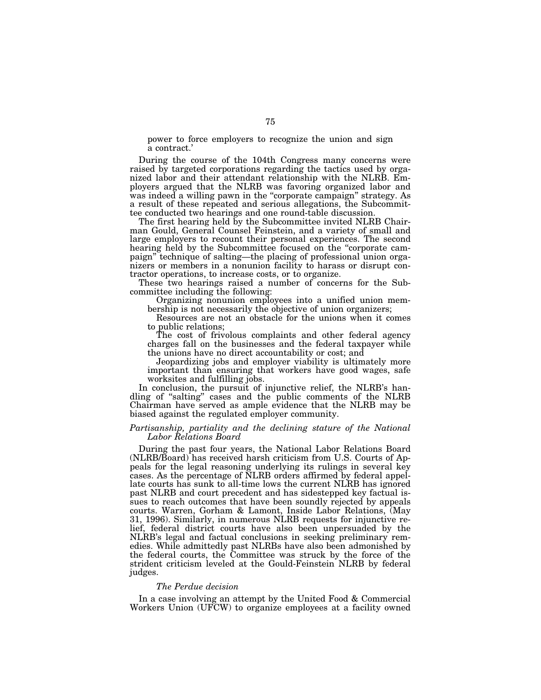power to force employers to recognize the union and sign a contract.'

During the course of the 104th Congress many concerns were raised by targeted corporations regarding the tactics used by organized labor and their attendant relationship with the NLRB. Employers argued that the NLRB was favoring organized labor and was indeed a willing pawn in the ''corporate campaign'' strategy. As a result of these repeated and serious allegations, the Subcommittee conducted two hearings and one round-table discussion.

The first hearing held by the Subcommittee invited NLRB Chairman Gould, General Counsel Feinstein, and a variety of small and large employers to recount their personal experiences. The second hearing held by the Subcommittee focused on the "corporate campaign'' technique of salting—the placing of professional union organizers or members in a nonunion facility to harass or disrupt contractor operations, to increase costs, or to organize.

These two hearings raised a number of concerns for the Subcommittee including the following:

Organizing nonunion employees into a unified union membership is not necessarily the objective of union organizers;

Resources are not an obstacle for the unions when it comes to public relations;

The cost of frivolous complaints and other federal agency charges fall on the businesses and the federal taxpayer while the unions have no direct accountability or cost; and

Jeopardizing jobs and employer viability is ultimately more important than ensuring that workers have good wages, safe worksites and fulfilling jobs.

In conclusion, the pursuit of injunctive relief, the NLRB's handling of ''salting'' cases and the public comments of the NLRB Chairman have served as ample evidence that the NLRB may be biased against the regulated employer community.

# *Partisanship, partiality and the declining stature of the National Labor Relations Board*

During the past four years, the National Labor Relations Board (NLRB/Board) has received harsh criticism from U.S. Courts of Appeals for the legal reasoning underlying its rulings in several key cases. As the percentage of NLRB orders affirmed by federal appellate courts has sunk to all-time lows the current NLRB has ignored past NLRB and court precedent and has sidestepped key factual issues to reach outcomes that have been soundly rejected by appeals courts. Warren, Gorham & Lamont, Inside Labor Relations, (May 31, 1996). Similarly, in numerous NLRB requests for injunctive relief, federal district courts have also been unpersuaded by the NLRB's legal and factual conclusions in seeking preliminary remedies. While admittedly past NLRBs have also been admonished by the federal courts, the Committee was struck by the force of the strident criticism leveled at the Gould-Feinstein NLRB by federal judges.

# *The Perdue decision*

In a case involving an attempt by the United Food & Commercial Workers Union (UFCW) to organize employees at a facility owned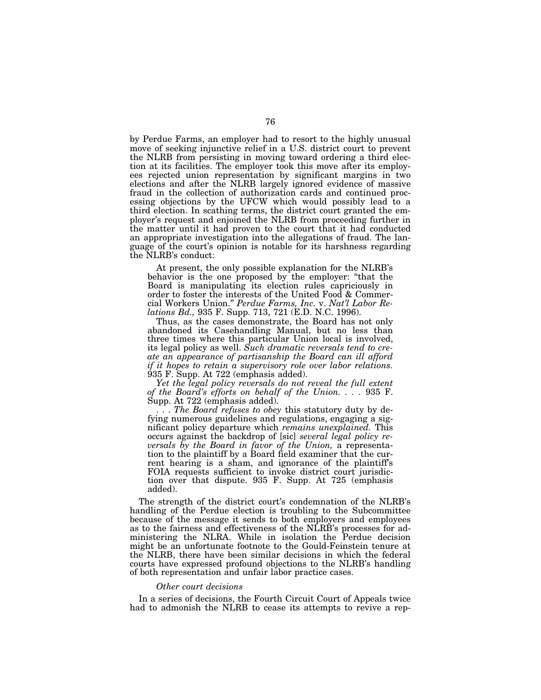by Perdue Farms, an employer had to resort to the highly unusual move of seeking injunctive relief in a U.S. district court to prevent the NLRB from persisting in moving toward ordering a third election at its facilities. The employer took this move after its employees rejected union representation by significant margins in two elections and after the NLRB largely ignored evidence of massive fraud in the collection of authorization cards and continued processing objections by the UFCW which would possibly lead to a third election. In scathing terms, the district court granted the employer's request and enjoined the NLRB from proceeding further in the matter until it had proven to the court that it had conducted an appropriate investigation into the allegations of fraud. The language of the court's opinion is notable for its harshness regarding the NLRB's conduct:

At present, the only possible explanation for the NLRB's behavior is the one proposed by the employer: ''that the Board is manipulating its election rules capriciously in order to foster the interests of the United Food & Commercial Workers Union.'' *Perdue Farms, Inc.* v. *Nat'l Labor Relations Bd.,* 935 F. Supp. 713, 721 (E.D. N.C. 1996).

Thus, as the cases demonstrate, the Board has not only abandoned its Casehandling Manual, but no less than three times where this particular Union local is involved, its legal policy as well. *Such dramatic reversals tend to create an appearance of partisanship the Board can ill afford if it hopes to retain a supervisory role over labor relations.* 935 F. Supp. At 722 (emphasis added).

*Yet the legal policy reversals do not reveal the full extent of the Board's efforts on behalf of the Union. . . .* 935 F. Supp. At 722 (emphasis added).

. . . *The Board refuses to obey* this statutory duty by defying numerous guidelines and regulations, engaging a significant policy departure which *remains unexplained.* This occurs against the backdrop of [sic] *several legal policy reversals by the Board in favor of the Union,* a representation to the plaintiff by a Board field examiner that the current hearing is a sham, and ignorance of the plaintiff's FOIA requests sufficient to invoke district court jurisdiction over that dispute. 935 F. Supp. At 725 (emphasis added).

The strength of the district court's condemnation of the NLRB's handling of the Perdue election is troubling to the Subcommittee because of the message it sends to both employers and employees as to the fairness and effectiveness of the NLRB's processes for administering the NLRA. While in isolation the Perdue decision might be an unfortunate footnote to the Gould-Feinstein tenure at the NLRB, there have been similar decisions in which the federal courts have expressed profound objections to the NLRB's handling of both representation and unfair labor practice cases.

#### *Other court decisions*

In a series of decisions, the Fourth Circuit Court of Appeals twice had to admonish the NLRB to cease its attempts to revive a rep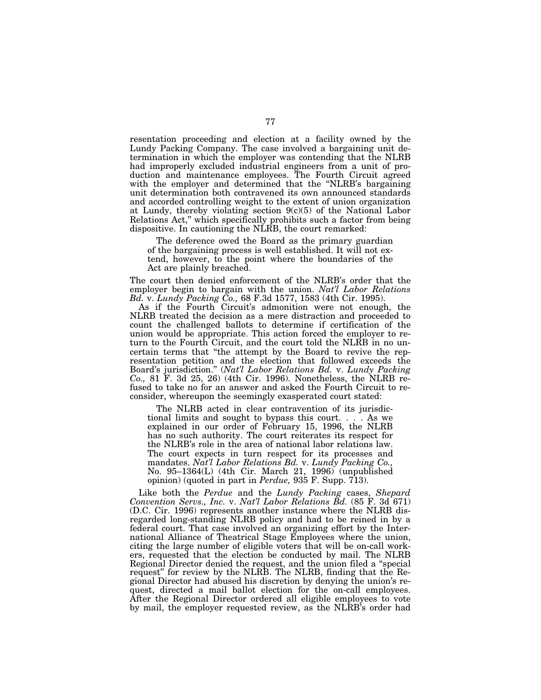resentation proceeding and election at a facility owned by the Lundy Packing Company. The case involved a bargaining unit determination in which the employer was contending that the NLRB had improperly excluded industrial engineers from a unit of production and maintenance employees. The Fourth Circuit agreed with the employer and determined that the "NLRB's bargaining unit determination both contravened its own announced standards and accorded controlling weight to the extent of union organization at Lundy, thereby violating section 9(c)(5) of the National Labor Relations Act,'' which specifically prohibits such a factor from being dispositive. In cautioning the NLRB, the court remarked:

The deference owed the Board as the primary guardian of the bargaining process is well established. It will not extend, however, to the point where the boundaries of the Act are plainly breached.

The court then denied enforcement of the NLRB's order that the employer begin to bargain with the union. *Nat'l Labor Relations Bd.* v. *Lundy Packing Co.,* 68 F.3d 1577, 1583 (4th Cir. 1995).

As if the Fourth Circuit's admonition were not enough, the NLRB treated the decision as a mere distraction and proceeded to count the challenged ballots to determine if certification of the union would be appropriate. This action forced the employer to return to the Fourth Circuit, and the court told the NLRB in no uncertain terms that ''the attempt by the Board to revive the representation petition and the election that followed exceeds the Board's jurisdiction.'' (*Nat'l Labor Relations Bd.* v. *Lundy Packing Co.,* 81 F. 3d 25, 26) (4th Cir. 1996). Nonetheless, the NLRB refused to take no for an answer and asked the Fourth Circuit to reconsider, whereupon the seemingly exasperated court stated:

The NLRB acted in clear contravention of its jurisdictional limits and sought to bypass this court. . . . As we explained in our order of February 15, 1996, the NLRB has no such authority. The court reiterates its respect for the NLRB's role in the area of national labor relations law. The court expects in turn respect for its processes and mandates. *Nat'l Labor Relations Bd.* v. *Lundy Packing Co.,* No. 95–1364(L) (4th Cir. March 21, 1996) (unpublished opinion) (quoted in part in *Perdue,* 935 F. Supp. 713).

Like both the *Perdue* and the *Lundy Packing* cases, *Shepard Convention Servs., Inc.* v. *Nat'l Labor Relations Bd.* (85 F. 3d 671) (D.C. Cir. 1996) represents another instance where the NLRB disregarded long-standing NLRB policy and had to be reined in by a federal court. That case involved an organizing effort by the International Alliance of Theatrical Stage Employees where the union, citing the large number of eligible voters that will be on-call workers, requested that the election be conducted by mail. The NLRB Regional Director denied the request, and the union filed a ''special request'' for review by the NLRB. The NLRB, finding that the Regional Director had abused his discretion by denying the union's request, directed a mail ballot election for the on-call employees. After the Regional Director ordered all eligible employees to vote by mail, the employer requested review, as the NLRB's order had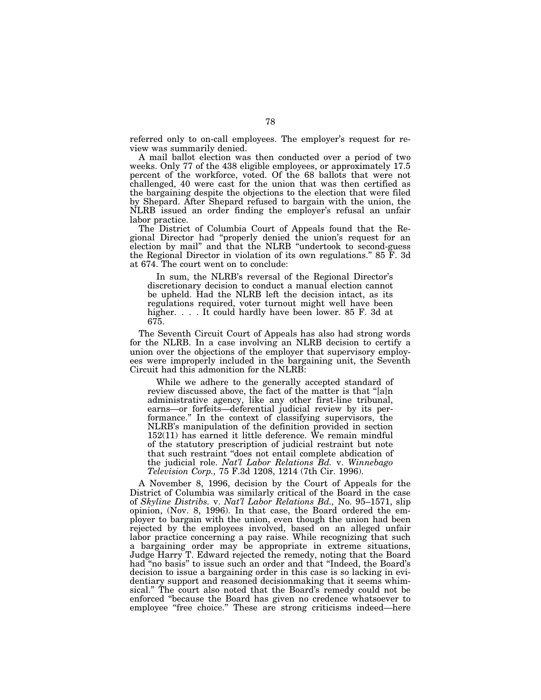referred only to on-call employees. The employer's request for review was summarily denied.

A mail ballot election was then conducted over a period of two weeks. Only 77 of the 438 eligible employees, or approximately 17.5 percent of the workforce, voted. Of the 68 ballots that were not challenged, 40 were cast for the union that was then certified as the bargaining despite the objections to the election that were filed by Shepard. After Shepard refused to bargain with the union, the NLRB issued an order finding the employer's refusal an unfair labor practice.

The District of Columbia Court of Appeals found that the Regional Director had ''properly denied the union's request for an election by mail'' and that the NLRB ''undertook to second-guess the Regional Director in violation of its own regulations.'' 85 F. 3d at 674. The court went on to conclude:

In sum, the NLRB's reversal of the Regional Director's discretionary decision to conduct a manual election cannot be upheld. Had the NLRB left the decision intact, as its regulations required, voter turnout might well have been higher. . . . It could hardly have been lower. 85 F. 3d at 675.

The Seventh Circuit Court of Appeals has also had strong words for the NLRB. In a case involving an NLRB decision to certify a union over the objections of the employer that supervisory employees were improperly included in the bargaining unit, the Seventh Circuit had this admonition for the NLRB:

While we adhere to the generally accepted standard of review discussed above, the fact of the matter is that ''[a]n administrative agency, like any other first-line tribunal, earns—or forfeits—deferential judicial review by its performance.'' In the context of classifying supervisors, the NLRB's manipulation of the definition provided in section 152(11) has earned it little deference. We remain mindful of the statutory prescription of judicial restraint but note that such restraint ''does not entail complete abdication of the judicial role. *Nat'l Labor Relations Bd.* v. *Winnebago Television Corp.,* 75 F.3d 1208, 1214 (7th Cir. 1996).

A November 8, 1996, decision by the Court of Appeals for the District of Columbia was similarly critical of the Board in the case of *Skyline Distribs.* v. *Nat'l Labor Relations Bd.,* No. 95–1571, slip opinion, (Nov. 8, 1996). In that case, the Board ordered the employer to bargain with the union, even though the union had been rejected by the employees involved, based on an alleged unfair labor practice concerning a pay raise. While recognizing that such a bargaining order may be appropriate in extreme situations, Judge Harry T. Edward rejected the remedy, noting that the Board had ''no basis'' to issue such an order and that ''Indeed, the Board's decision to issue a bargaining order in this case is so lacking in evidentiary support and reasoned decisionmaking that it seems whimsical." The court also noted that the Board's remedy could not be enforced ''because the Board has given no credence whatsoever to employee "free choice." These are strong criticisms indeed—here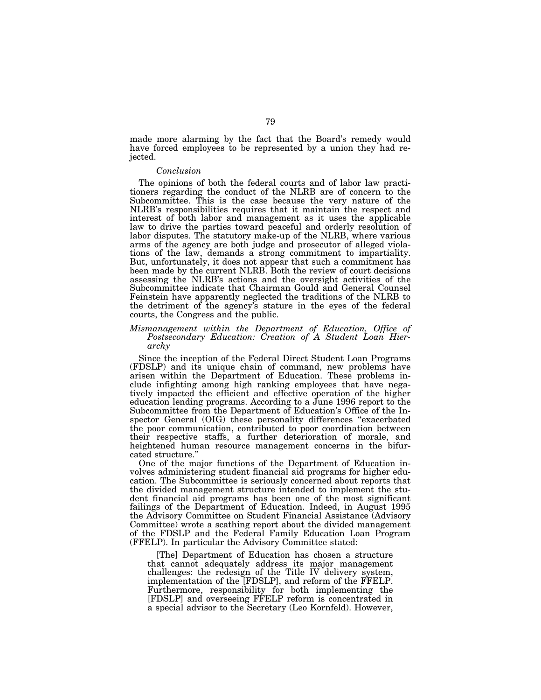made more alarming by the fact that the Board's remedy would have forced employees to be represented by a union they had rejected.

# *Conclusion*

The opinions of both the federal courts and of labor law practitioners regarding the conduct of the NLRB are of concern to the Subcommittee. This is the case because the very nature of the NLRB's responsibilities requires that it maintain the respect and interest of both labor and management as it uses the applicable law to drive the parties toward peaceful and orderly resolution of labor disputes. The statutory make-up of the NLRB, where various arms of the agency are both judge and prosecutor of alleged violations of the law, demands a strong commitment to impartiality. But, unfortunately, it does not appear that such a commitment has been made by the current NLRB. Both the review of court decisions assessing the NLRB's actions and the oversight activities of the Subcommittee indicate that Chairman Gould and General Counsel Feinstein have apparently neglected the traditions of the NLRB to the detriment of the agency's stature in the eyes of the federal courts, the Congress and the public.

#### *Mismanagement within the Department of Education, Office of Postsecondary Education: Creation of A Student Loan Hierarchy*

Since the inception of the Federal Direct Student Loan Programs (FDSLP) and its unique chain of command, new problems have arisen within the Department of Education. These problems include infighting among high ranking employees that have negatively impacted the efficient and effective operation of the higher education lending programs. According to a June 1996 report to the Subcommittee from the Department of Education's Office of the Inspector General (OIG) these personality differences ''exacerbated the poor communication, contributed to poor coordination between their respective staffs, a further deterioration of morale, and heightened human resource management concerns in the bifurcated structure.''

One of the major functions of the Department of Education involves administering student financial aid programs for higher education. The Subcommittee is seriously concerned about reports that the divided management structure intended to implement the student financial aid programs has been one of the most significant failings of the Department of Education. Indeed, in August 1995 the Advisory Committee on Student Financial Assistance (Advisory Committee) wrote a scathing report about the divided management of the FDSLP and the Federal Family Education Loan Program (FFELP). In particular the Advisory Committee stated:

[The] Department of Education has chosen a structure that cannot adequately address its major management challenges: the redesign of the Title IV delivery system, implementation of the [FDSLP], and reform of the FFELP. Furthermore, responsibility for both implementing the [FDSLP] and overseeing FFELP reform is concentrated in a special advisor to the Secretary (Leo Kornfeld). However,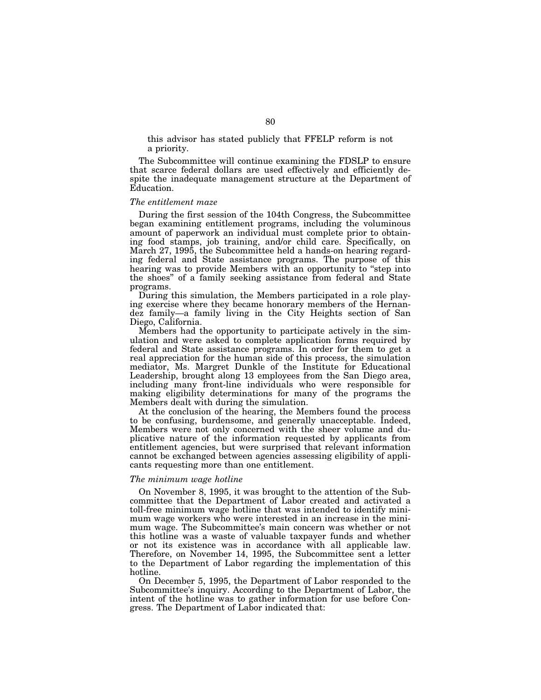this advisor has stated publicly that FFELP reform is not a priority.

The Subcommittee will continue examining the FDSLP to ensure that scarce federal dollars are used effectively and efficiently despite the inadequate management structure at the Department of Education.

#### *The entitlement maze*

During the first session of the 104th Congress, the Subcommittee began examining entitlement programs, including the voluminous amount of paperwork an individual must complete prior to obtaining food stamps, job training, and/or child care. Specifically, on March 27, 1995, the Subcommittee held a hands-on hearing regarding federal and State assistance programs. The purpose of this hearing was to provide Members with an opportunity to "step into the shoes'' of a family seeking assistance from federal and State programs.

During this simulation, the Members participated in a role playing exercise where they became honorary members of the Hernandez family—a family living in the City Heights section of San Diego, California.

Members had the opportunity to participate actively in the simulation and were asked to complete application forms required by federal and State assistance programs. In order for them to get a real appreciation for the human side of this process, the simulation mediator, Ms. Margret Dunkle of the Institute for Educational Leadership, brought along 13 employees from the San Diego area, including many front-line individuals who were responsible for making eligibility determinations for many of the programs the Members dealt with during the simulation.

At the conclusion of the hearing, the Members found the process to be confusing, burdensome, and generally unacceptable. Indeed, Members were not only concerned with the sheer volume and duplicative nature of the information requested by applicants from entitlement agencies, but were surprised that relevant information cannot be exchanged between agencies assessing eligibility of applicants requesting more than one entitlement.

# *The minimum wage hotline*

On November 8, 1995, it was brought to the attention of the Subcommittee that the Department of Labor created and activated a toll-free minimum wage hotline that was intended to identify minimum wage workers who were interested in an increase in the minimum wage. The Subcommittee's main concern was whether or not this hotline was a waste of valuable taxpayer funds and whether or not its existence was in accordance with all applicable law. Therefore, on November 14, 1995, the Subcommittee sent a letter to the Department of Labor regarding the implementation of this hotline.

On December 5, 1995, the Department of Labor responded to the Subcommittee's inquiry. According to the Department of Labor, the intent of the hotline was to gather information for use before Congress. The Department of Labor indicated that: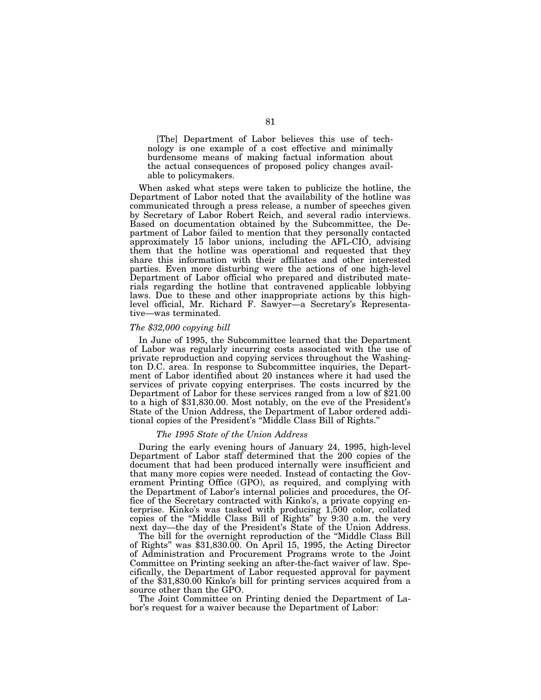[The] Department of Labor believes this use of technology is one example of a cost effective and minimally burdensome means of making factual information about the actual consequences of proposed policy changes available to policymakers.

When asked what steps were taken to publicize the hotline, the Department of Labor noted that the availability of the hotline was communicated through a press release, a number of speeches given by Secretary of Labor Robert Reich, and several radio interviews. Based on documentation obtained by the Subcommittee, the Department of Labor failed to mention that they personally contacted approximately 15 labor unions, including the AFL-CIO, advising them that the hotline was operational and requested that they share this information with their affiliates and other interested parties. Even more disturbing were the actions of one high-level Department of Labor official who prepared and distributed materials regarding the hotline that contravened applicable lobbying laws. Due to these and other inappropriate actions by this highlevel official, Mr. Richard F. Sawyer—a Secretary's Representative—was terminated.

#### *The \$32,000 copying bill*

In June of 1995, the Subcommittee learned that the Department of Labor was regularly incurring costs associated with the use of private reproduction and copying services throughout the Washington D.C. area. In response to Subcommittee inquiries, the Department of Labor identified about 20 instances where it had used the services of private copying enterprises. The costs incurred by the Department of Labor for these services ranged from a low of \$21.00 to a high of \$31,830.00. Most notably, on the eve of the President's State of the Union Address, the Department of Labor ordered additional copies of the President's ''Middle Class Bill of Rights.''

#### *The 1995 State of the Union Address*

During the early evening hours of January 24, 1995, high-level Department of Labor staff determined that the 200 copies of the document that had been produced internally were insufficient and that many more copies were needed. Instead of contacting the Government Printing Office (GPO), as required, and complying with the Department of Labor's internal policies and procedures, the Office of the Secretary contracted with Kinko's, a private copying enterprise. Kinko's was tasked with producing 1,500 color, collated copies of the ''Middle Class Bill of Rights'' by 9:30 a.m. the very next day—the day of the President's State of the Union Address.

The bill for the overnight reproduction of the ''Middle Class Bill of Rights'' was \$31,830.00. On April 15, 1995, the Acting Director of Administration and Procurement Programs wrote to the Joint Committee on Printing seeking an after-the-fact waiver of law. Specifically, the Department of Labor requested approval for payment of the \$31,830.00 Kinko's bill for printing services acquired from a source other than the GPO.

The Joint Committee on Printing denied the Department of Labor's request for a waiver because the Department of Labor: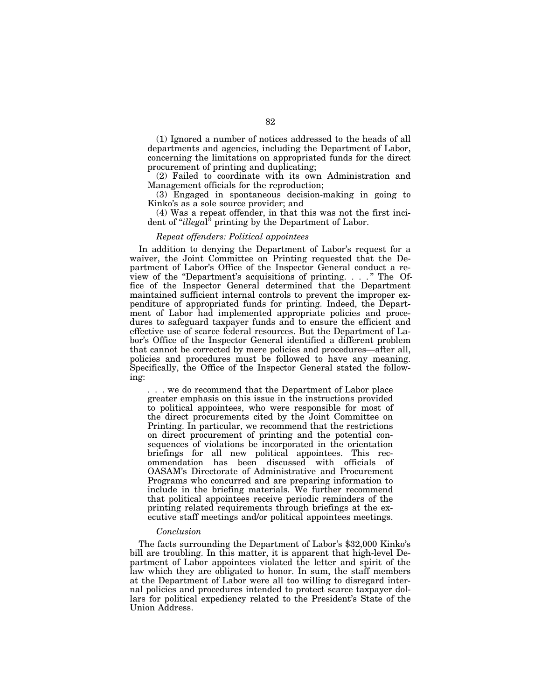(1) Ignored a number of notices addressed to the heads of all departments and agencies, including the Department of Labor, concerning the limitations on appropriated funds for the direct procurement of printing and duplicating;

(2) Failed to coordinate with its own Administration and Management officials for the reproduction;

(3) Engaged in spontaneous decision-making in going to Kinko's as a sole source provider; and

(4) Was a repeat offender, in that this was not the first incident of ''*illega*l'' printing by the Department of Labor.

## *Repeat offenders: Political appointees*

In addition to denying the Department of Labor's request for a waiver, the Joint Committee on Printing requested that the Department of Labor's Office of the Inspector General conduct a review of the "Department's acquisitions of printing. . . ." The Office of the Inspector General determined that the Department maintained sufficient internal controls to prevent the improper expenditure of appropriated funds for printing. Indeed, the Department of Labor had implemented appropriate policies and procedures to safeguard taxpayer funds and to ensure the efficient and effective use of scarce federal resources. But the Department of Labor's Office of the Inspector General identified a different problem that cannot be corrected by mere policies and procedures—after all, policies and procedures must be followed to have any meaning. Specifically, the Office of the Inspector General stated the following:

. . . we do recommend that the Department of Labor place greater emphasis on this issue in the instructions provided to political appointees, who were responsible for most of the direct procurements cited by the Joint Committee on Printing. In particular, we recommend that the restrictions on direct procurement of printing and the potential consequences of violations be incorporated in the orientation briefings for all new political appointees. This recommendation has been discussed with officials of OASAM's Directorate of Administrative and Procurement Programs who concurred and are preparing information to include in the briefing materials. We further recommend that political appointees receive periodic reminders of the printing related requirements through briefings at the executive staff meetings and/or political appointees meetings.

#### *Conclusion*

The facts surrounding the Department of Labor's \$32,000 Kinko's bill are troubling. In this matter, it is apparent that high-level Department of Labor appointees violated the letter and spirit of the law which they are obligated to honor. In sum, the staff members at the Department of Labor were all too willing to disregard internal policies and procedures intended to protect scarce taxpayer dollars for political expediency related to the President's State of the Union Address.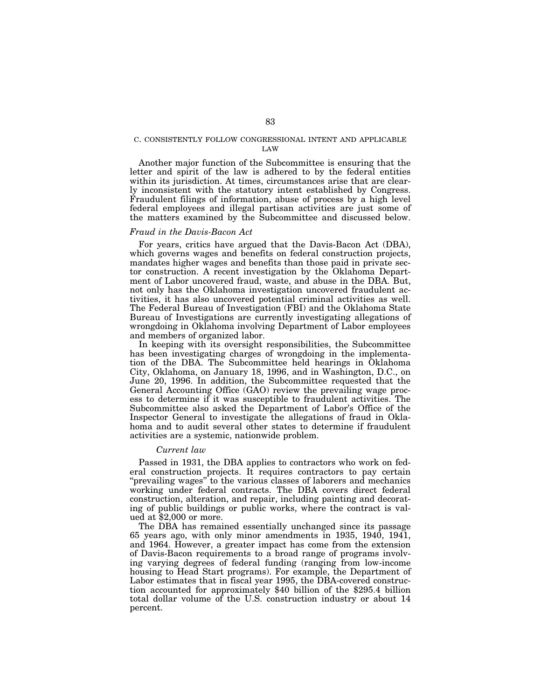#### C. CONSISTENTLY FOLLOW CONGRESSIONAL INTENT AND APPLICABLE LAW

Another major function of the Subcommittee is ensuring that the letter and spirit of the law is adhered to by the federal entities within its jurisdiction. At times, circumstances arise that are clearly inconsistent with the statutory intent established by Congress. Fraudulent filings of information, abuse of process by a high level federal employees and illegal partisan activities are just some of the matters examined by the Subcommittee and discussed below.

## *Fraud in the Davis-Bacon Act*

For years, critics have argued that the Davis-Bacon Act (DBA), which governs wages and benefits on federal construction projects, mandates higher wages and benefits than those paid in private sector construction. A recent investigation by the Oklahoma Department of Labor uncovered fraud, waste, and abuse in the DBA. But, not only has the Oklahoma investigation uncovered fraudulent activities, it has also uncovered potential criminal activities as well. The Federal Bureau of Investigation (FBI) and the Oklahoma State Bureau of Investigations are currently investigating allegations of wrongdoing in Oklahoma involving Department of Labor employees and members of organized labor.

In keeping with its oversight responsibilities, the Subcommittee has been investigating charges of wrongdoing in the implementation of the DBA. The Subcommittee held hearings in Oklahoma City, Oklahoma, on January 18, 1996, and in Washington, D.C., on June 20, 1996. In addition, the Subcommittee requested that the General Accounting Office (GAO) review the prevailing wage process to determine if it was susceptible to fraudulent activities. The Subcommittee also asked the Department of Labor's Office of the Inspector General to investigate the allegations of fraud in Oklahoma and to audit several other states to determine if fraudulent activities are a systemic, nationwide problem.

#### *Current law*

Passed in 1931, the DBA applies to contractors who work on federal construction projects. It requires contractors to pay certain ''prevailing wages'' to the various classes of laborers and mechanics working under federal contracts. The DBA covers direct federal construction, alteration, and repair, including painting and decorating of public buildings or public works, where the contract is valued at \$2,000 or more.

The DBA has remained essentially unchanged since its passage 65 years ago, with only minor amendments in 1935, 1940, 1941, and 1964. However, a greater impact has come from the extension of Davis-Bacon requirements to a broad range of programs involving varying degrees of federal funding (ranging from low-income housing to Head Start programs). For example, the Department of Labor estimates that in fiscal year 1995, the DBA-covered construction accounted for approximately \$40 billion of the \$295.4 billion total dollar volume of the U.S. construction industry or about 14 percent.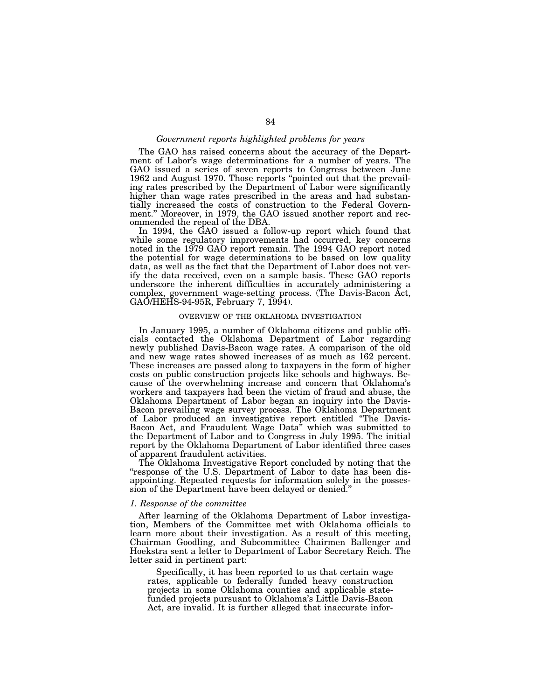# *Government reports highlighted problems for years*

The GAO has raised concerns about the accuracy of the Department of Labor's wage determinations for a number of years. The GAO issued a series of seven reports to Congress between June 1962 and August 1970. Those reports "pointed out that the prevailing rates prescribed by the Department of Labor were significantly higher than wage rates prescribed in the areas and had substantially increased the costs of construction to the Federal Government.'' Moreover, in 1979, the GAO issued another report and recommended the repeal of the DBA.

In 1994, the GAO issued a follow-up report which found that while some regulatory improvements had occurred, key concerns noted in the 1979 GAO report remain. The 1994 GAO report noted the potential for wage determinations to be based on low quality data, as well as the fact that the Department of Labor does not verify the data received, even on a sample basis. These GAO reports underscore the inherent difficulties in accurately administering a complex, government wage-setting process. (The Davis-Bacon Act, GAO/HEHS-94-95R, February 7, 1994).

# OVERVIEW OF THE OKLAHOMA INVESTIGATION

In January 1995, a number of Oklahoma citizens and public officials contacted the Oklahoma Department of Labor regarding newly published Davis-Bacon wage rates. A comparison of the old and new wage rates showed increases of as much as 162 percent. These increases are passed along to taxpayers in the form of higher costs on public construction projects like schools and highways. Because of the overwhelming increase and concern that Oklahoma's workers and taxpayers had been the victim of fraud and abuse, the Oklahoma Department of Labor began an inquiry into the Davis-Bacon prevailing wage survey process. The Oklahoma Department of Labor produced an investigative report entitled ''The Davis-Bacon Act, and Fraudulent Wage Data<sup>"</sup> which was submitted to the Department of Labor and to Congress in July 1995. The initial report by the Oklahoma Department of Labor identified three cases of apparent fraudulent activities.

The Oklahoma Investigative Report concluded by noting that the "response of the U.S. Department of Labor to date has been disappointing. Repeated requests for information solely in the possession of the Department have been delayed or denied.''

#### *1. Response of the committee*

After learning of the Oklahoma Department of Labor investigation, Members of the Committee met with Oklahoma officials to learn more about their investigation. As a result of this meeting, Chairman Goodling, and Subcommittee Chairmen Ballenger and Hoekstra sent a letter to Department of Labor Secretary Reich. The letter said in pertinent part:

Specifically, it has been reported to us that certain wage rates, applicable to federally funded heavy construction projects in some Oklahoma counties and applicable statefunded projects pursuant to Oklahoma's Little Davis-Bacon Act, are invalid. It is further alleged that inaccurate infor-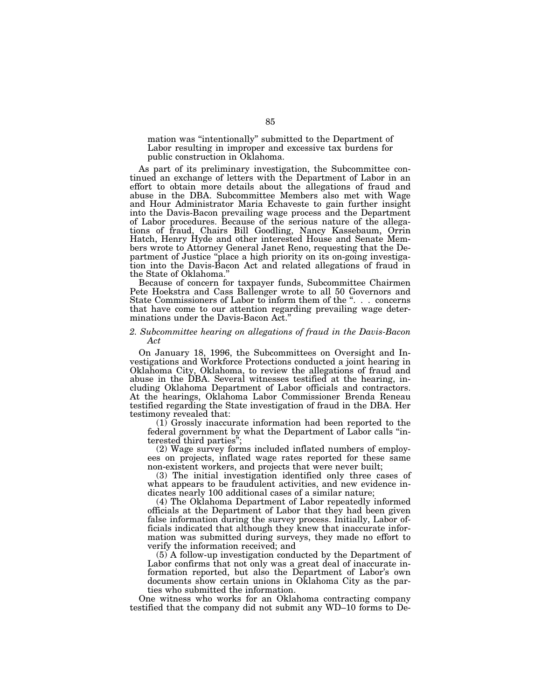mation was ''intentionally'' submitted to the Department of Labor resulting in improper and excessive tax burdens for public construction in Oklahoma.

As part of its preliminary investigation, the Subcommittee continued an exchange of letters with the Department of Labor in an effort to obtain more details about the allegations of fraud and abuse in the DBA. Subcommittee Members also met with Wage and Hour Administrator Maria Echaveste to gain further insight into the Davis-Bacon prevailing wage process and the Department of Labor procedures. Because of the serious nature of the allegations of fraud, Chairs Bill Goodling, Nancy Kassebaum, Orrin Hatch, Henry Hyde and other interested House and Senate Members wrote to Attorney General Janet Reno, requesting that the Department of Justice ''place a high priority on its on-going investigation into the Davis-Bacon Act and related allegations of fraud in the State of Oklahoma.''

Because of concern for taxpayer funds, Subcommittee Chairmen Pete Hoekstra and Cass Ballenger wrote to all 50 Governors and State Commissioners of Labor to inform them of the ". . . concerns that have come to our attention regarding prevailing wage determinations under the Davis-Bacon Act.''

# *2. Subcommittee hearing on allegations of fraud in the Davis-Bacon Act*

On January 18, 1996, the Subcommittees on Oversight and Investigations and Workforce Protections conducted a joint hearing in Oklahoma City, Oklahoma, to review the allegations of fraud and abuse in the DBA. Several witnesses testified at the hearing, including Oklahoma Department of Labor officials and contractors. At the hearings, Oklahoma Labor Commissioner Brenda Reneau testified regarding the State investigation of fraud in the DBA. Her testimony revealed that:

(1) Grossly inaccurate information had been reported to the federal government by what the Department of Labor calls ''interested third parties'';

(2) Wage survey forms included inflated numbers of employees on projects, inflated wage rates reported for these same non-existent workers, and projects that were never built;

(3) The initial investigation identified only three cases of what appears to be fraudulent activities, and new evidence indicates nearly 100 additional cases of a similar nature;

(4) The Oklahoma Department of Labor repeatedly informed officials at the Department of Labor that they had been given false information during the survey process. Initially, Labor officials indicated that although they knew that inaccurate information was submitted during surveys, they made no effort to verify the information received; and

(5) A follow-up investigation conducted by the Department of Labor confirms that not only was a great deal of inaccurate information reported, but also the Department of Labor's own documents show certain unions in Oklahoma City as the parties who submitted the information.

One witness who works for an Oklahoma contracting company testified that the company did not submit any WD–10 forms to De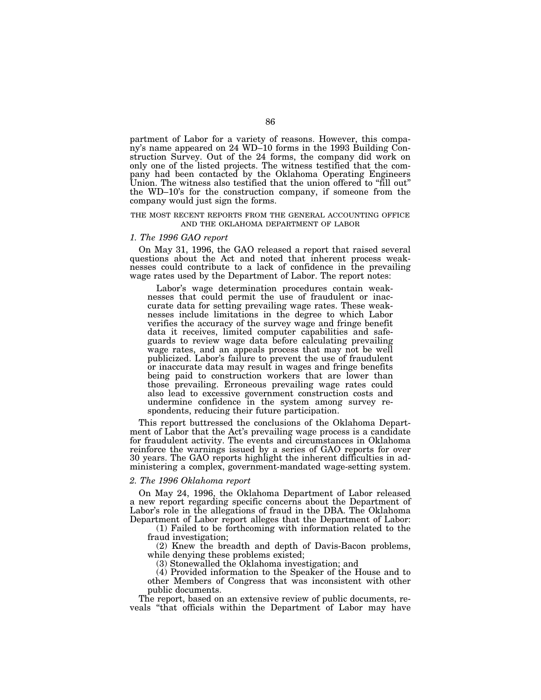partment of Labor for a variety of reasons. However, this company's name appeared on 24 WD–10 forms in the 1993 Building Construction Survey. Out of the 24 forms, the company did work on only one of the listed projects. The witness testified that the company had been contacted by the Oklahoma Operating Engineers Union. The witness also testified that the union offered to "fill out" the WD–10's for the construction company, if someone from the company would just sign the forms.

## THE MOST RECENT REPORTS FROM THE GENERAL ACCOUNTING OFFICE AND THE OKLAHOMA DEPARTMENT OF LABOR

#### *1. The 1996 GAO report*

On May 31, 1996, the GAO released a report that raised several questions about the Act and noted that inherent process weaknesses could contribute to a lack of confidence in the prevailing wage rates used by the Department of Labor. The report notes:

Labor's wage determination procedures contain weaknesses that could permit the use of fraudulent or inaccurate data for setting prevailing wage rates. These weaknesses include limitations in the degree to which Labor verifies the accuracy of the survey wage and fringe benefit data it receives, limited computer capabilities and safeguards to review wage data before calculating prevailing wage rates, and an appeals process that may not be well publicized. Labor's failure to prevent the use of fraudulent or inaccurate data may result in wages and fringe benefits being paid to construction workers that are lower than those prevailing. Erroneous prevailing wage rates could also lead to excessive government construction costs and undermine confidence in the system among survey respondents, reducing their future participation.

This report buttressed the conclusions of the Oklahoma Department of Labor that the Act's prevailing wage process is a candidate for fraudulent activity. The events and circumstances in Oklahoma reinforce the warnings issued by a series of GAO reports for over 30 years. The GAO reports highlight the inherent difficulties in administering a complex, government-mandated wage-setting system.

## *2. The 1996 Oklahoma report*

On May 24, 1996, the Oklahoma Department of Labor released a new report regarding specific concerns about the Department of Labor's role in the allegations of fraud in the DBA. The Oklahoma Department of Labor report alleges that the Department of Labor:

(1) Failed to be forthcoming with information related to the fraud investigation;

(2) Knew the breadth and depth of Davis-Bacon problems, while denying these problems existed;

(3) Stonewalled the Oklahoma investigation; and

(4) Provided information to the Speaker of the House and to other Members of Congress that was inconsistent with other public documents.

The report, based on an extensive review of public documents, reveals ''that officials within the Department of Labor may have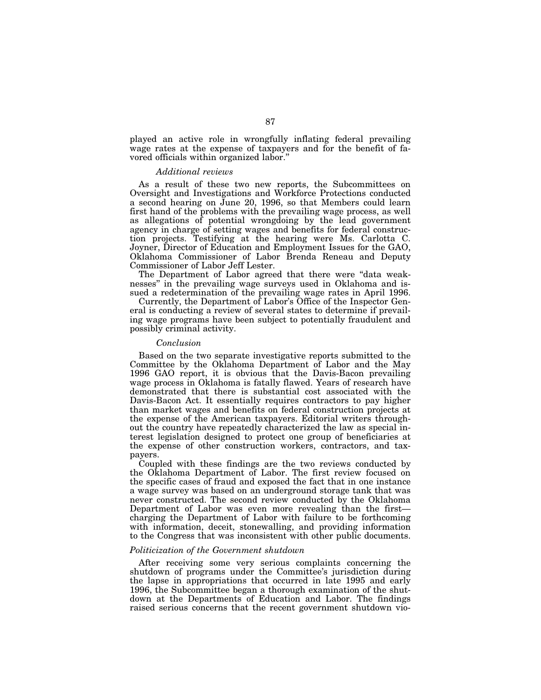played an active role in wrongfully inflating federal prevailing wage rates at the expense of taxpayers and for the benefit of favored officials within organized labor.''

## *Additional reviews*

As a result of these two new reports, the Subcommittees on Oversight and Investigations and Workforce Protections conducted a second hearing on June 20, 1996, so that Members could learn first hand of the problems with the prevailing wage process, as well as allegations of potential wrongdoing by the lead government agency in charge of setting wages and benefits for federal construction projects. Testifying at the hearing were Ms. Carlotta C. Joyner, Director of Education and Employment Issues for the GAO, Oklahoma Commissioner of Labor Brenda Reneau and Deputy Commissioner of Labor Jeff Lester.

The Department of Labor agreed that there were ''data weaknesses'' in the prevailing wage surveys used in Oklahoma and issued a redetermination of the prevailing wage rates in April 1996.

Currently, the Department of Labor's Office of the Inspector General is conducting a review of several states to determine if prevailing wage programs have been subject to potentially fraudulent and possibly criminal activity.

# *Conclusion*

Based on the two separate investigative reports submitted to the Committee by the Oklahoma Department of Labor and the May 1996 GAO report, it is obvious that the Davis-Bacon prevailing wage process in Oklahoma is fatally flawed. Years of research have demonstrated that there is substantial cost associated with the Davis-Bacon Act. It essentially requires contractors to pay higher than market wages and benefits on federal construction projects at the expense of the American taxpayers. Editorial writers throughout the country have repeatedly characterized the law as special interest legislation designed to protect one group of beneficiaries at the expense of other construction workers, contractors, and taxpayers.

Coupled with these findings are the two reviews conducted by the Oklahoma Department of Labor. The first review focused on the specific cases of fraud and exposed the fact that in one instance a wage survey was based on an underground storage tank that was never constructed. The second review conducted by the Oklahoma Department of Labor was even more revealing than the first charging the Department of Labor with failure to be forthcoming with information, deceit, stonewalling, and providing information to the Congress that was inconsistent with other public documents.

# *Politicization of the Government shutdown*

After receiving some very serious complaints concerning the shutdown of programs under the Committee's jurisdiction during the lapse in appropriations that occurred in late 1995 and early 1996, the Subcommittee began a thorough examination of the shutdown at the Departments of Education and Labor. The findings raised serious concerns that the recent government shutdown vio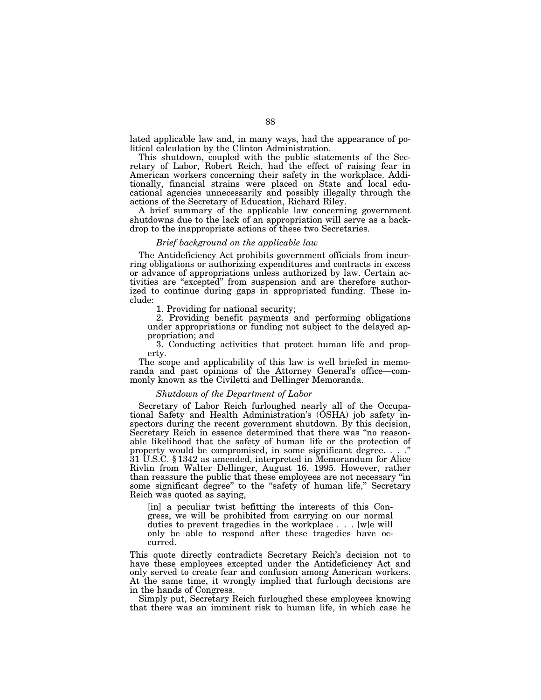lated applicable law and, in many ways, had the appearance of political calculation by the Clinton Administration.

This shutdown, coupled with the public statements of the Secretary of Labor, Robert Reich, had the effect of raising fear in American workers concerning their safety in the workplace. Additionally, financial strains were placed on State and local educational agencies unnecessarily and possibly illegally through the actions of the Secretary of Education, Richard Riley.

A brief summary of the applicable law concerning government shutdowns due to the lack of an appropriation will serve as a backdrop to the inappropriate actions of these two Secretaries.

# *Brief background on the applicable law*

The Antideficiency Act prohibits government officials from incurring obligations or authorizing expenditures and contracts in excess or advance of appropriations unless authorized by law. Certain activities are ''excepted'' from suspension and are therefore authorized to continue during gaps in appropriated funding. These include:

1. Providing for national security;

2. Providing benefit payments and performing obligations under appropriations or funding not subject to the delayed appropriation; and

3. Conducting activities that protect human life and property.

The scope and applicability of this law is well briefed in memoranda and past opinions of the Attorney General's office—commonly known as the Civiletti and Dellinger Memoranda.

# *Shutdown of the Department of Labor*

Secretary of Labor Reich furloughed nearly all of the Occupational Safety and Health Administration's (OSHA) job safety inspectors during the recent government shutdown. By this decision, Secretary Reich in essence determined that there was "no reasonable likelihood that the safety of human life or the protection of property would be compromised, in some significant degree. . . ." 31 U.S.C. § 1342 as amended, interpreted in Memorandum for Alice Rivlin from Walter Dellinger, August 16, 1995. However, rather than reassure the public that these employees are not necessary ''in some significant degree" to the "safety of human life," Secretary Reich was quoted as saying,

[in] a peculiar twist befitting the interests of this Congress, we will be prohibited from carrying on our normal duties to prevent tragedies in the workplace . . . [w]e will only be able to respond after these tragedies have occurred.

This quote directly contradicts Secretary Reich's decision not to have these employees excepted under the Antideficiency Act and only served to create fear and confusion among American workers. At the same time, it wrongly implied that furlough decisions are in the hands of Congress.

Simply put, Secretary Reich furloughed these employees knowing that there was an imminent risk to human life, in which case he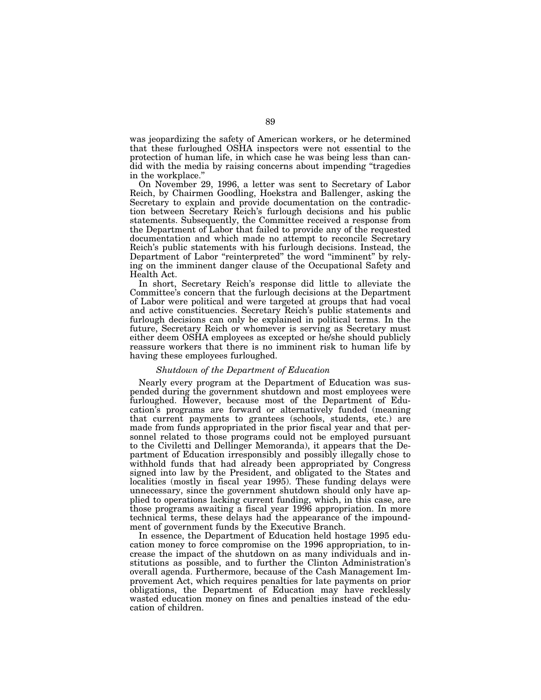was jeopardizing the safety of American workers, or he determined that these furloughed OSHA inspectors were not essential to the protection of human life, in which case he was being less than candid with the media by raising concerns about impending ''tragedies in the workplace.''

On November 29, 1996, a letter was sent to Secretary of Labor Reich, by Chairmen Goodling, Hoekstra and Ballenger, asking the Secretary to explain and provide documentation on the contradiction between Secretary Reich's furlough decisions and his public statements. Subsequently, the Committee received a response from the Department of Labor that failed to provide any of the requested documentation and which made no attempt to reconcile Secretary Reich's public statements with his furlough decisions. Instead, the Department of Labor "reinterpreted" the word "imminent" by relying on the imminent danger clause of the Occupational Safety and Health Act.

In short, Secretary Reich's response did little to alleviate the Committee's concern that the furlough decisions at the Department of Labor were political and were targeted at groups that had vocal and active constituencies. Secretary Reich's public statements and furlough decisions can only be explained in political terms. In the future, Secretary Reich or whomever is serving as Secretary must either deem OSHA employees as excepted or he/she should publicly reassure workers that there is no imminent risk to human life by having these employees furloughed.

#### *Shutdown of the Department of Education*

Nearly every program at the Department of Education was suspended during the government shutdown and most employees were furloughed. However, because most of the Department of Education's programs are forward or alternatively funded (meaning that current payments to grantees (schools, students, etc.) are made from funds appropriated in the prior fiscal year and that personnel related to those programs could not be employed pursuant to the Civiletti and Dellinger Memoranda), it appears that the Department of Education irresponsibly and possibly illegally chose to withhold funds that had already been appropriated by Congress signed into law by the President, and obligated to the States and localities (mostly in fiscal year 1995). These funding delays were unnecessary, since the government shutdown should only have applied to operations lacking current funding, which, in this case, are those programs awaiting a fiscal year 1996 appropriation. In more technical terms, these delays had the appearance of the impoundment of government funds by the Executive Branch.

In essence, the Department of Education held hostage 1995 education money to force compromise on the 1996 appropriation, to increase the impact of the shutdown on as many individuals and institutions as possible, and to further the Clinton Administration's overall agenda. Furthermore, because of the Cash Management Improvement Act, which requires penalties for late payments on prior obligations, the Department of Education may have recklessly wasted education money on fines and penalties instead of the education of children.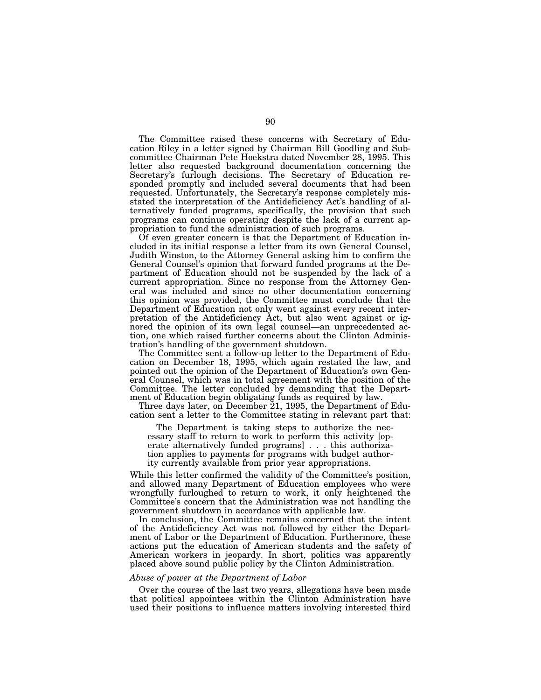The Committee raised these concerns with Secretary of Education Riley in a letter signed by Chairman Bill Goodling and Subcommittee Chairman Pete Hoekstra dated November 28, 1995. This letter also requested background documentation concerning the Secretary's furlough decisions. The Secretary of Education responded promptly and included several documents that had been requested. Unfortunately, the Secretary's response completely misstated the interpretation of the Antideficiency Act's handling of alternatively funded programs, specifically, the provision that such programs can continue operating despite the lack of a current appropriation to fund the administration of such programs.

Of even greater concern is that the Department of Education included in its initial response a letter from its own General Counsel, Judith Winston, to the Attorney General asking him to confirm the General Counsel's opinion that forward funded programs at the Department of Education should not be suspended by the lack of a current appropriation. Since no response from the Attorney General was included and since no other documentation concerning this opinion was provided, the Committee must conclude that the Department of Education not only went against every recent interpretation of the Antideficiency Act, but also went against or ignored the opinion of its own legal counsel—an unprecedented action, one which raised further concerns about the Clinton Administration's handling of the government shutdown.

The Committee sent a follow-up letter to the Department of Education on December 18, 1995, which again restated the law, and pointed out the opinion of the Department of Education's own General Counsel, which was in total agreement with the position of the Committee. The letter concluded by demanding that the Department of Education begin obligating funds as required by law.

Three days later, on December 21, 1995, the Department of Education sent a letter to the Committee stating in relevant part that:

The Department is taking steps to authorize the necessary staff to return to work to perform this activity [operate alternatively funded programs] . . . this authorization applies to payments for programs with budget authority currently available from prior year appropriations.

While this letter confirmed the validity of the Committee's position, and allowed many Department of Education employees who were wrongfully furloughed to return to work, it only heightened the Committee's concern that the Administration was not handling the government shutdown in accordance with applicable law.

In conclusion, the Committee remains concerned that the intent of the Antideficiency Act was not followed by either the Department of Labor or the Department of Education. Furthermore, these actions put the education of American students and the safety of American workers in jeopardy. In short, politics was apparently placed above sound public policy by the Clinton Administration.

# *Abuse of power at the Department of Labor*

Over the course of the last two years, allegations have been made that political appointees within the Clinton Administration have used their positions to influence matters involving interested third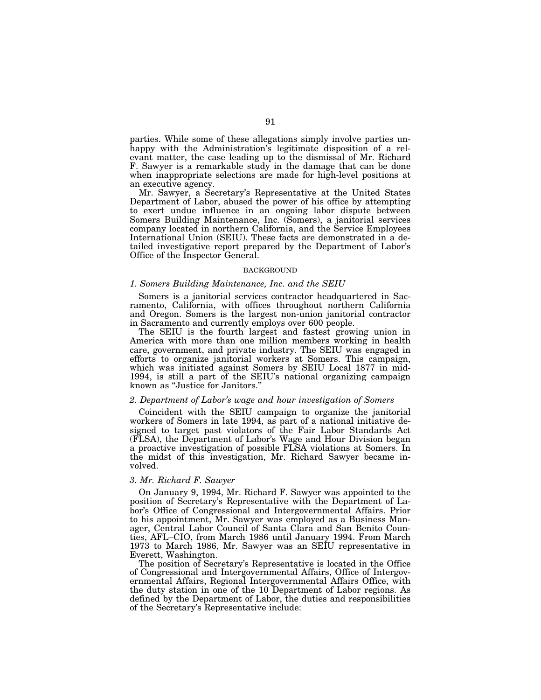parties. While some of these allegations simply involve parties unhappy with the Administration's legitimate disposition of a relevant matter, the case leading up to the dismissal of Mr. Richard F. Sawyer is a remarkable study in the damage that can be done when inappropriate selections are made for high-level positions at an executive agency.

Mr. Sawyer, a Secretary's Representative at the United States Department of Labor, abused the power of his office by attempting to exert undue influence in an ongoing labor dispute between Somers Building Maintenance, Inc. (Somers), a janitorial services company located in northern California, and the Service Employees International Union (SEIU). These facts are demonstrated in a detailed investigative report prepared by the Department of Labor's Office of the Inspector General.

#### BACKGROUND

#### *1. Somers Building Maintenance, Inc. and the SEIU*

Somers is a janitorial services contractor headquartered in Sacramento, California, with offices throughout northern California and Oregon. Somers is the largest non-union janitorial contractor in Sacramento and currently employs over 600 people.

The SEIU is the fourth largest and fastest growing union in America with more than one million members working in health care, government, and private industry. The SEIU was engaged in efforts to organize janitorial workers at Somers. This campaign, which was initiated against Somers by SEIU Local 1877 in mid-1994, is still a part of the SEIU's national organizing campaign known as ''Justice for Janitors.''

# *2. Department of Labor's wage and hour investigation of Somers*

Coincident with the SEIU campaign to organize the janitorial workers of Somers in late 1994, as part of a national initiative designed to target past violators of the Fair Labor Standards Act (FLSA), the Department of Labor's Wage and Hour Division began a proactive investigation of possible FLSA violations at Somers. In the midst of this investigation, Mr. Richard Sawyer became involved.

# *3. Mr. Richard F. Sawyer*

On January 9, 1994, Mr. Richard F. Sawyer was appointed to the position of Secretary's Representative with the Department of Labor's Office of Congressional and Intergovernmental Affairs. Prior to his appointment, Mr. Sawyer was employed as a Business Manager, Central Labor Council of Santa Clara and San Benito Counties, AFL–CIO, from March 1986 until January 1994. From March 1973 to March 1986, Mr. Sawyer was an SEIU representative in Everett, Washington.

The position of Secretary's Representative is located in the Office of Congressional and Intergovernmental Affairs, Office of Intergovernmental Affairs, Regional Intergovernmental Affairs Office, with the duty station in one of the 10 Department of Labor regions. As defined by the Department of Labor, the duties and responsibilities of the Secretary's Representative include: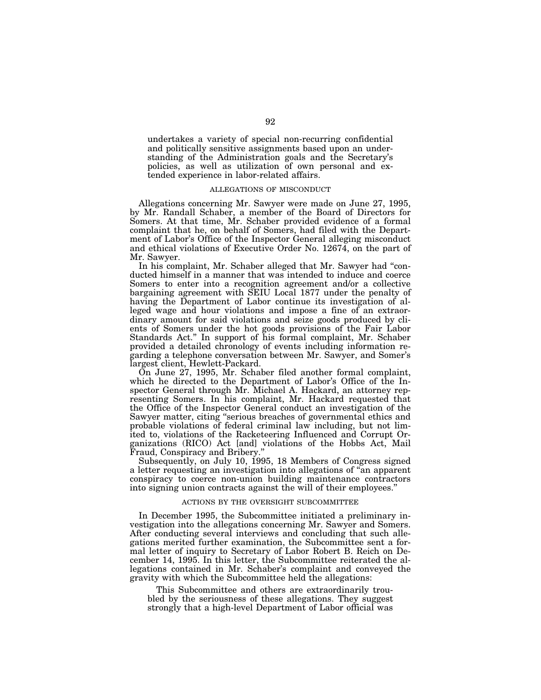undertakes a variety of special non-recurring confidential and politically sensitive assignments based upon an understanding of the Administration goals and the Secretary's policies, as well as utilization of own personal and extended experience in labor-related affairs.

# ALLEGATIONS OF MISCONDUCT

Allegations concerning Mr. Sawyer were made on June 27, 1995, by Mr. Randall Schaber, a member of the Board of Directors for Somers. At that time, Mr. Schaber provided evidence of a formal complaint that he, on behalf of Somers, had filed with the Department of Labor's Office of the Inspector General alleging misconduct and ethical violations of Executive Order No. 12674, on the part of Mr. Sawyer.

In his complaint, Mr. Schaber alleged that Mr. Sawyer had "conducted himself in a manner that was intended to induce and coerce Somers to enter into a recognition agreement and/or a collective bargaining agreement with SEIU Local 1877 under the penalty of having the Department of Labor continue its investigation of alleged wage and hour violations and impose a fine of an extraordinary amount for said violations and seize goods produced by clients of Somers under the hot goods provisions of the Fair Labor Standards Act.'' In support of his formal complaint, Mr. Schaber provided a detailed chronology of events including information regarding a telephone conversation between Mr. Sawyer, and Somer's largest client, Hewlett-Packard.

On June 27, 1995, Mr. Schaber filed another formal complaint, which he directed to the Department of Labor's Office of the Inspector General through Mr. Michael A. Hackard, an attorney representing Somers. In his complaint, Mr. Hackard requested that the Office of the Inspector General conduct an investigation of the Sawyer matter, citing ''serious breaches of governmental ethics and probable violations of federal criminal law including, but not limited to, violations of the Racketeering Influenced and Corrupt Organizations (RICO) Act [and] violations of the Hobbs Act, Mail Fraud, Conspiracy and Bribery.

Subsequently, on July 10, 1995, 18 Members of Congress signed a letter requesting an investigation into allegations of ''an apparent conspiracy to coerce non-union building maintenance contractors into signing union contracts against the will of their employees.''

#### ACTIONS BY THE OVERSIGHT SUBCOMMITTEE

In December 1995, the Subcommittee initiated a preliminary investigation into the allegations concerning Mr. Sawyer and Somers. After conducting several interviews and concluding that such allegations merited further examination, the Subcommittee sent a formal letter of inquiry to Secretary of Labor Robert B. Reich on December 14, 1995. In this letter, the Subcommittee reiterated the allegations contained in Mr. Schaber's complaint and conveyed the gravity with which the Subcommittee held the allegations:

This Subcommittee and others are extraordinarily troubled by the seriousness of these allegations. They suggest strongly that a high-level Department of Labor official was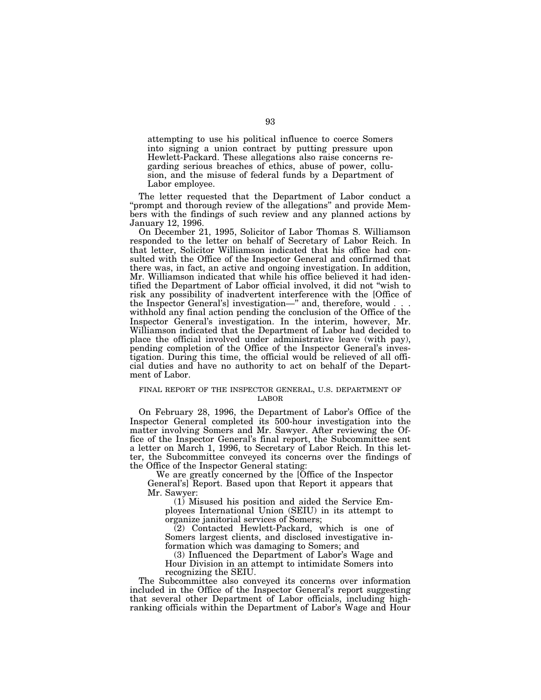attempting to use his political influence to coerce Somers into signing a union contract by putting pressure upon Hewlett-Packard. These allegations also raise concerns regarding serious breaches of ethics, abuse of power, collusion, and the misuse of federal funds by a Department of Labor employee.

The letter requested that the Department of Labor conduct a ''prompt and thorough review of the allegations'' and provide Members with the findings of such review and any planned actions by January 12, 1996.

On December 21, 1995, Solicitor of Labor Thomas S. Williamson responded to the letter on behalf of Secretary of Labor Reich. In that letter, Solicitor Williamson indicated that his office had consulted with the Office of the Inspector General and confirmed that there was, in fact, an active and ongoing investigation. In addition, Mr. Williamson indicated that while his office believed it had identified the Department of Labor official involved, it did not ''wish to risk any possibility of inadvertent interference with the [Office of the Inspector General's] investigation—" and, therefore, would . withhold any final action pending the conclusion of the Office of the Inspector General's investigation. In the interim, however, Mr. Williamson indicated that the Department of Labor had decided to place the official involved under administrative leave (with pay), pending completion of the Office of the Inspector General's investigation. During this time, the official would be relieved of all official duties and have no authority to act on behalf of the Department of Labor.

# FINAL REPORT OF THE INSPECTOR GENERAL, U.S. DEPARTMENT OF LABOR

On February 28, 1996, the Department of Labor's Office of the Inspector General completed its 500-hour investigation into the matter involving Somers and Mr. Sawyer. After reviewing the Office of the Inspector General's final report, the Subcommittee sent a letter on March 1, 1996, to Secretary of Labor Reich. In this letter, the Subcommittee conveyed its concerns over the findings of the Office of the Inspector General stating:

We are greatly concerned by the [Office of the Inspector General's] Report. Based upon that Report it appears that Mr. Sawyer:

(1) Misused his position and aided the Service Employees International Union (SEIU) in its attempt to organize janitorial services of Somers;

 $(2)$  Contacted Hewlett-Packard, which is one of Somers largest clients, and disclosed investigative information which was damaging to Somers; and

(3) Influenced the Department of Labor's Wage and Hour Division in an attempt to intimidate Somers into recognizing the SEIU.

The Subcommittee also conveyed its concerns over information included in the Office of the Inspector General's report suggesting that several other Department of Labor officials, including highranking officials within the Department of Labor's Wage and Hour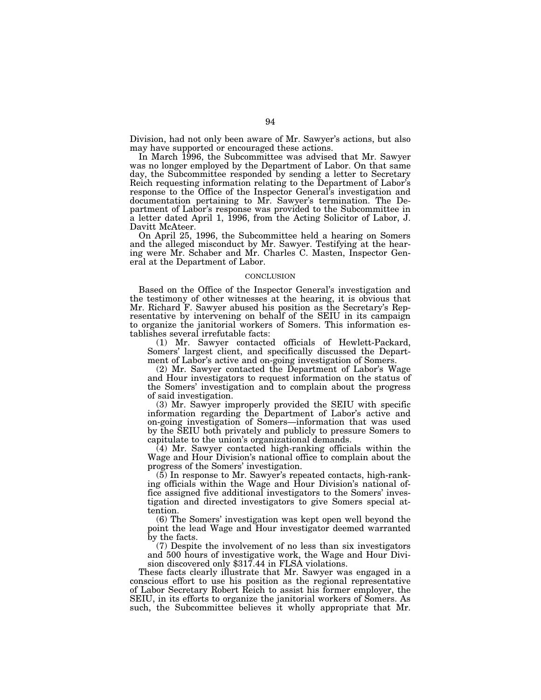Division, had not only been aware of Mr. Sawyer's actions, but also may have supported or encouraged these actions.

In March 1996, the Subcommittee was advised that Mr. Sawyer was no longer employed by the Department of Labor. On that same day, the Subcommittee responded by sending a letter to Secretary Reich requesting information relating to the Department of Labor's response to the Office of the Inspector General's investigation and documentation pertaining to Mr. Sawyer's termination. The Department of Labor's response was provided to the Subcommittee in a letter dated April 1, 1996, from the Acting Solicitor of Labor, J. Davitt McAteer.

On April 25, 1996, the Subcommittee held a hearing on Somers and the alleged misconduct by Mr. Sawyer. Testifying at the hearing were Mr. Schaber and Mr. Charles C. Masten, Inspector General at the Department of Labor.

#### CONCLUSION

Based on the Office of the Inspector General's investigation and the testimony of other witnesses at the hearing, it is obvious that Mr. Richard F. Sawyer abused his position as the Secretary's Representative by intervening on behalf of the SEIU in its campaign to organize the janitorial workers of Somers. This information establishes several irrefutable facts:

(1) Mr. Sawyer contacted officials of Hewlett-Packard, Somers' largest client, and specifically discussed the Department of Labor's active and on-going investigation of Somers.

(2) Mr. Sawyer contacted the Department of Labor's Wage and Hour investigators to request information on the status of the Somers' investigation and to complain about the progress of said investigation.

(3) Mr. Sawyer improperly provided the SEIU with specific information regarding the Department of Labor's active and on-going investigation of Somers—information that was used by the SEIU both privately and publicly to pressure Somers to capitulate to the union's organizational demands.

(4) Mr. Sawyer contacted high-ranking officials within the Wage and Hour Division's national office to complain about the progress of the Somers' investigation.

(5) In response to Mr. Sawyer's repeated contacts, high-ranking officials within the Wage and Hour Division's national office assigned five additional investigators to the Somers' investigation and directed investigators to give Somers special attention.

(6) The Somers' investigation was kept open well beyond the point the lead Wage and Hour investigator deemed warranted by the facts.

(7) Despite the involvement of no less than six investigators and 500 hours of investigative work, the Wage and Hour Division discovered only \$317.44 in FLSA violations.

These facts clearly illustrate that Mr. Sawyer was engaged in a conscious effort to use his position as the regional representative of Labor Secretary Robert Reich to assist his former employer, the SEIU, in its efforts to organize the janitorial workers of Somers. As such, the Subcommittee believes it wholly appropriate that Mr.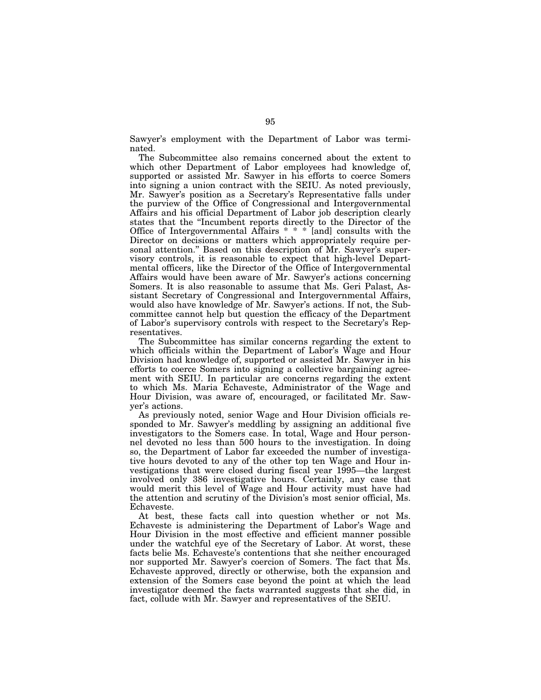Sawyer's employment with the Department of Labor was terminated.

The Subcommittee also remains concerned about the extent to which other Department of Labor employees had knowledge of, supported or assisted Mr. Sawyer in his efforts to coerce Somers into signing a union contract with the SEIU. As noted previously, Mr. Sawyer's position as a Secretary's Representative falls under the purview of the Office of Congressional and Intergovernmental Affairs and his official Department of Labor job description clearly states that the ''Incumbent reports directly to the Director of the Office of Intergovernmental Affairs \* \* \* [and] consults with the Director on decisions or matters which appropriately require personal attention.'' Based on this description of Mr. Sawyer's supervisory controls, it is reasonable to expect that high-level Departmental officers, like the Director of the Office of Intergovernmental Affairs would have been aware of Mr. Sawyer's actions concerning Somers. It is also reasonable to assume that Ms. Geri Palast, Assistant Secretary of Congressional and Intergovernmental Affairs, would also have knowledge of Mr. Sawyer's actions. If not, the Subcommittee cannot help but question the efficacy of the Department of Labor's supervisory controls with respect to the Secretary's Representatives.

The Subcommittee has similar concerns regarding the extent to which officials within the Department of Labor's Wage and Hour Division had knowledge of, supported or assisted Mr. Sawyer in his efforts to coerce Somers into signing a collective bargaining agreement with SEIU. In particular are concerns regarding the extent to which Ms. Maria Echaveste, Administrator of the Wage and Hour Division, was aware of, encouraged, or facilitated Mr. Sawyer's actions.

As previously noted, senior Wage and Hour Division officials responded to Mr. Sawyer's meddling by assigning an additional five investigators to the Somers case. In total, Wage and Hour personnel devoted no less than 500 hours to the investigation. In doing so, the Department of Labor far exceeded the number of investigative hours devoted to any of the other top ten Wage and Hour investigations that were closed during fiscal year 1995—the largest involved only 386 investigative hours. Certainly, any case that would merit this level of Wage and Hour activity must have had the attention and scrutiny of the Division's most senior official, Ms. Echaveste.

At best, these facts call into question whether or not Ms. Echaveste is administering the Department of Labor's Wage and Hour Division in the most effective and efficient manner possible under the watchful eye of the Secretary of Labor. At worst, these facts belie Ms. Echaveste's contentions that she neither encouraged nor supported Mr. Sawyer's coercion of Somers. The fact that Ms. Echaveste approved, directly or otherwise, both the expansion and extension of the Somers case beyond the point at which the lead investigator deemed the facts warranted suggests that she did, in fact, collude with Mr. Sawyer and representatives of the SEIU.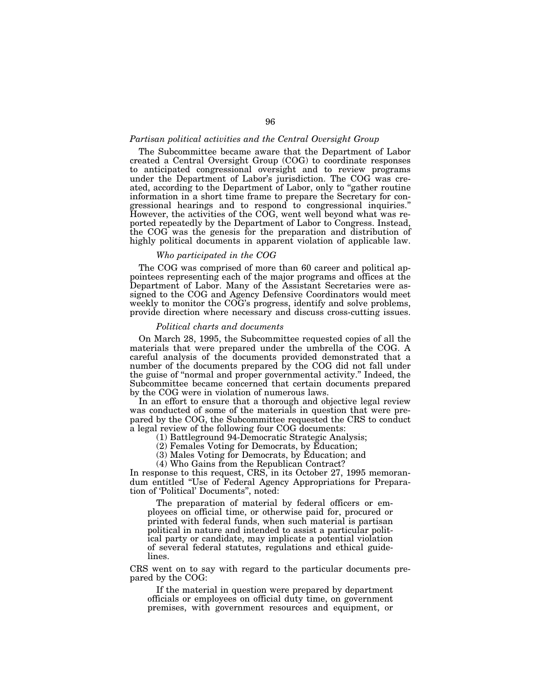### *Partisan political activities and the Central Oversight Group*

The Subcommittee became aware that the Department of Labor created a Central Oversight Group (COG) to coordinate responses to anticipated congressional oversight and to review programs under the Department of Labor's jurisdiction. The COG was created, according to the Department of Labor, only to "gather routine" information in a short time frame to prepare the Secretary for congressional hearings and to respond to congressional inquiries.'' However, the activities of the COG, went well beyond what was reported repeatedly by the Department of Labor to Congress. Instead, the COG was the genesis for the preparation and distribution of highly political documents in apparent violation of applicable law.

# *Who participated in the COG*

The COG was comprised of more than 60 career and political appointees representing each of the major programs and offices at the Department of Labor. Many of the Assistant Secretaries were assigned to the COG and Agency Defensive Coordinators would meet weekly to monitor the COG's progress, identify and solve problems, provide direction where necessary and discuss cross-cutting issues.

## *Political charts and documents*

On March 28, 1995, the Subcommittee requested copies of all the materials that were prepared under the umbrella of the COG. A careful analysis of the documents provided demonstrated that a number of the documents prepared by the COG did not fall under the guise of ''normal and proper governmental activity.'' Indeed, the Subcommittee became concerned that certain documents prepared by the COG were in violation of numerous laws.

In an effort to ensure that a thorough and objective legal review was conducted of some of the materials in question that were prepared by the COG, the Subcommittee requested the CRS to conduct a legal review of the following four COG documents:

(1) Battleground 94-Democratic Strategic Analysis;

(2) Females Voting for Democrats, by Education;

(3) Males Voting for Democrats, by Education; and

(4) Who Gains from the Republican Contract?

In response to this request, CRS, in its October 27, 1995 memorandum entitled ''Use of Federal Agency Appropriations for Preparation of 'Political' Documents'', noted:

The preparation of material by federal officers or employees on official time, or otherwise paid for, procured or printed with federal funds, when such material is partisan political in nature and intended to assist a particular political party or candidate, may implicate a potential violation of several federal statutes, regulations and ethical guidelines.

CRS went on to say with regard to the particular documents prepared by the COG:

If the material in question were prepared by department officials or employees on official duty time, on government premises, with government resources and equipment, or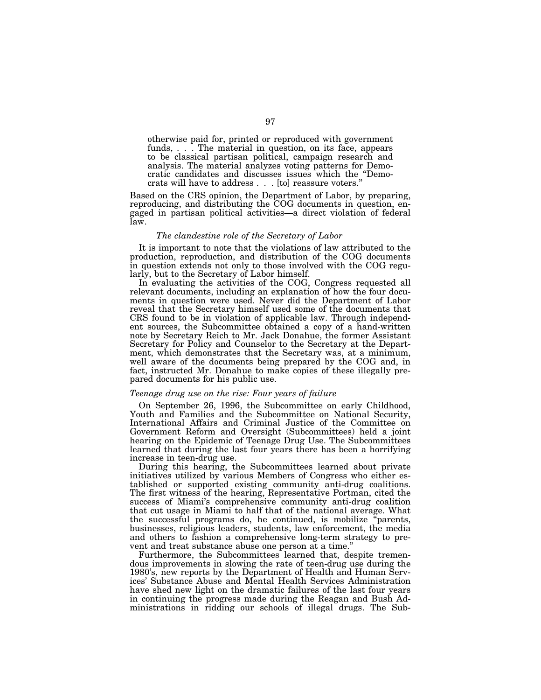otherwise paid for, printed or reproduced with government funds, . . . The material in question, on its face, appears to be classical partisan political, campaign research and analysis. The material analyzes voting patterns for Democratic candidates and discusses issues which the ''Democrats will have to address . . . [to] reassure voters.''

Based on the CRS opinion, the Department of Labor, by preparing, reproducing, and distributing the COG documents in question, engaged in partisan political activities—a direct violation of federal law.

# *The clandestine role of the Secretary of Labor*

It is important to note that the violations of law attributed to the production, reproduction, and distribution of the COG documents in question extends not only to those involved with the COG regularly, but to the Secretary of Labor himself.

In evaluating the activities of the COG, Congress requested all relevant documents, including an explanation of how the four documents in question were used. Never did the Department of Labor reveal that the Secretary himself used some of the documents that CRS found to be in violation of applicable law. Through independent sources, the Subcommittee obtained a copy of a hand-written note by Secretary Reich to Mr. Jack Donahue, the former Assistant Secretary for Policy and Counselor to the Secretary at the Department, which demonstrates that the Secretary was, at a minimum, well aware of the documents being prepared by the COG and, in fact, instructed Mr. Donahue to make copies of these illegally prepared documents for his public use.

# *Teenage drug use on the rise: Four years of failure*

On September 26, 1996, the Subcommittee on early Childhood, Youth and Families and the Subcommittee on National Security, International Affairs and Criminal Justice of the Committee on Government Reform and Oversight (Subcommittees) held a joint hearing on the Epidemic of Teenage Drug Use. The Subcommittees learned that during the last four years there has been a horrifying increase in teen-drug use.

During this hearing, the Subcommittees learned about private initiatives utilized by various Members of Congress who either established or supported existing community anti-drug coalitions. The first witness of the hearing, Representative Portman, cited the success of Miami's comprehensive community anti-drug coalition that cut usage in Miami to half that of the national average. What the successful programs do, he continued, is mobilize ''parents, businesses, religious leaders, students, law enforcement, the media and others to fashion a comprehensive long-term strategy to prevent and treat substance abuse one person at a time.''

Furthermore, the Subcommittees learned that, despite tremendous improvements in slowing the rate of teen-drug use during the 1980's, new reports by the Department of Health and Human Services' Substance Abuse and Mental Health Services Administration have shed new light on the dramatic failures of the last four years in continuing the progress made during the Reagan and Bush Administrations in ridding our schools of illegal drugs. The Sub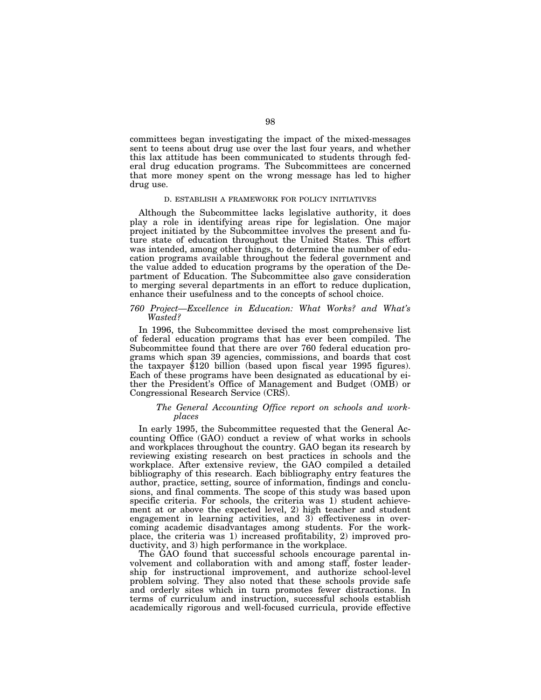committees began investigating the impact of the mixed-messages sent to teens about drug use over the last four years, and whether this lax attitude has been communicated to students through federal drug education programs. The Subcommittees are concerned that more money spent on the wrong message has led to higher drug use.

## D. ESTABLISH A FRAMEWORK FOR POLICY INITIATIVES

Although the Subcommittee lacks legislative authority, it does play a role in identifying areas ripe for legislation. One major project initiated by the Subcommittee involves the present and future state of education throughout the United States. This effort was intended, among other things, to determine the number of education programs available throughout the federal government and the value added to education programs by the operation of the Department of Education. The Subcommittee also gave consideration to merging several departments in an effort to reduce duplication, enhance their usefulness and to the concepts of school choice.

# *760 Project—Excellence in Education: What Works? and What's Wasted?*

In 1996, the Subcommittee devised the most comprehensive list of federal education programs that has ever been compiled. The Subcommittee found that there are over 760 federal education programs which span 39 agencies, commissions, and boards that cost the taxpayer \$120 billion (based upon fiscal year 1995 figures). Each of these programs have been designated as educational by either the President's Office of Management and Budget (OMB) or Congressional Research Service (CRS).

# *The General Accounting Office report on schools and workplaces*

In early 1995, the Subcommittee requested that the General Accounting Office (GAO) conduct a review of what works in schools and workplaces throughout the country. GAO began its research by reviewing existing research on best practices in schools and the workplace. After extensive review, the GAO compiled a detailed bibliography of this research. Each bibliography entry features the author, practice, setting, source of information, findings and conclusions, and final comments. The scope of this study was based upon specific criteria. For schools, the criteria was 1) student achievement at or above the expected level, 2) high teacher and student engagement in learning activities, and 3) effectiveness in overcoming academic disadvantages among students. For the workplace, the criteria was 1) increased profitability, 2) improved productivity, and 3) high performance in the workplace.

The GAO found that successful schools encourage parental involvement and collaboration with and among staff, foster leadership for instructional improvement, and authorize school-level problem solving. They also noted that these schools provide safe and orderly sites which in turn promotes fewer distractions. In terms of curriculum and instruction, successful schools establish academically rigorous and well-focused curricula, provide effective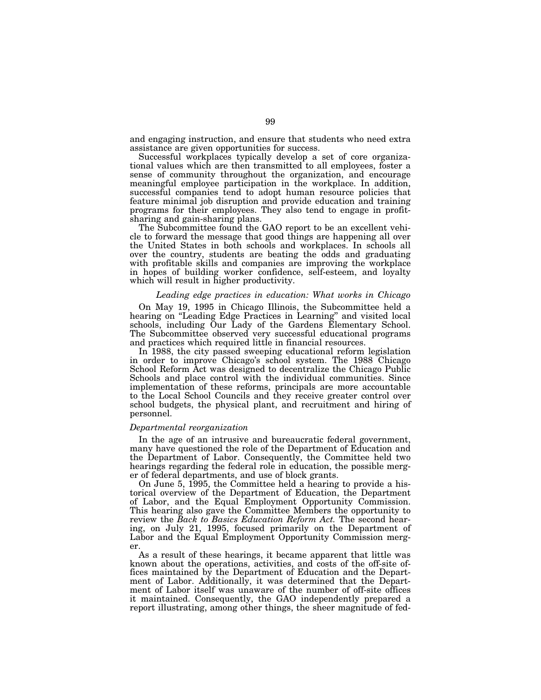and engaging instruction, and ensure that students who need extra assistance are given opportunities for success.

Successful workplaces typically develop a set of core organizational values which are then transmitted to all employees, foster a sense of community throughout the organization, and encourage meaningful employee participation in the workplace. In addition, successful companies tend to adopt human resource policies that feature minimal job disruption and provide education and training programs for their employees. They also tend to engage in profitsharing and gain-sharing plans.

The Subcommittee found the GAO report to be an excellent vehicle to forward the message that good things are happening all over the United States in both schools and workplaces. In schools all over the country, students are beating the odds and graduating with profitable skills and companies are improving the workplace in hopes of building worker confidence, self-esteem, and loyalty which will result in higher productivity.

#### *Leading edge practices in education: What works in Chicago*

On May 19, 1995 in Chicago Illinois, the Subcommittee held a hearing on ''Leading Edge Practices in Learning'' and visited local schools, including Our Lady of the Gardens Elementary School. The Subcommittee observed very successful educational programs and practices which required little in financial resources.

In 1988, the city passed sweeping educational reform legislation in order to improve Chicago's school system. The 1988 Chicago School Reform Act was designed to decentralize the Chicago Public Schools and place control with the individual communities. Since implementation of these reforms, principals are more accountable to the Local School Councils and they receive greater control over school budgets, the physical plant, and recruitment and hiring of personnel.

# *Departmental reorganization*

In the age of an intrusive and bureaucratic federal government, many have questioned the role of the Department of Education and the Department of Labor. Consequently, the Committee held two hearings regarding the federal role in education, the possible merger of federal departments, and use of block grants.

On June 5, 1995, the Committee held a hearing to provide a historical overview of the Department of Education, the Department of Labor, and the Equal Employment Opportunity Commission. This hearing also gave the Committee Members the opportunity to review the *Back to Basics Education Reform Act.* The second hearing, on July 21, 1995, focused primarily on the Department of Labor and the Equal Employment Opportunity Commission merger.

As a result of these hearings, it became apparent that little was known about the operations, activities, and costs of the off-site offices maintained by the Department of Education and the Department of Labor. Additionally, it was determined that the Department of Labor itself was unaware of the number of off-site offices it maintained. Consequently, the GAO independently prepared a report illustrating, among other things, the sheer magnitude of fed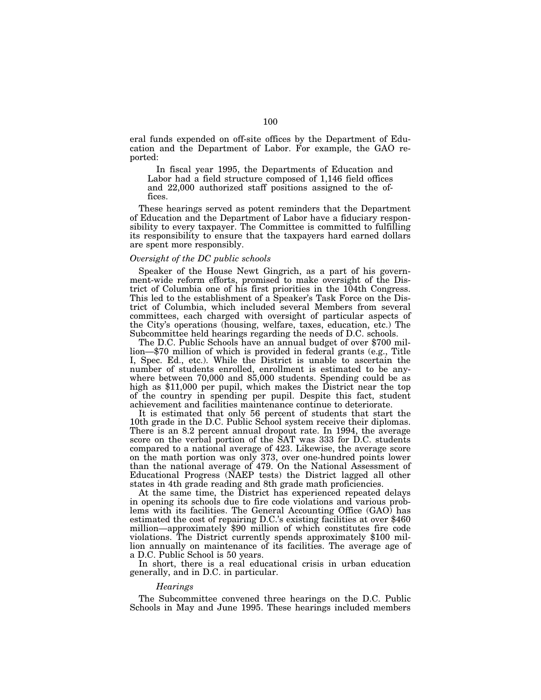eral funds expended on off-site offices by the Department of Education and the Department of Labor. For example, the GAO reported:

In fiscal year 1995, the Departments of Education and Labor had a field structure composed of 1,146 field offices and 22,000 authorized staff positions assigned to the offices.

These hearings served as potent reminders that the Department of Education and the Department of Labor have a fiduciary responsibility to every taxpayer. The Committee is committed to fulfilling its responsibility to ensure that the taxpayers hard earned dollars are spent more responsibly.

# *Oversight of the DC public schools*

Speaker of the House Newt Gingrich, as a part of his government-wide reform efforts, promised to make oversight of the District of Columbia one of his first priorities in the 104th Congress. This led to the establishment of a Speaker's Task Force on the District of Columbia, which included several Members from several committees, each charged with oversight of particular aspects of the City's operations (housing, welfare, taxes, education, etc.) The Subcommittee held hearings regarding the needs of D.C. schools. The D.C. Public Schools have an annual budget of over \$700 mil-

lion—\$70 million of which is provided in federal grants (e.g., Title I, Spec. Ed., etc.). While the District is unable to ascertain the number of students enrolled, enrollment is estimated to be anywhere between 70,000 and 85,000 students. Spending could be as high as \$11,000 per pupil, which makes the District near the top of the country in spending per pupil. Despite this fact, student achievement and facilities maintenance continue to deteriorate.

It is estimated that only 56 percent of students that start the 10th grade in the D.C. Public School system receive their diplomas. There is an 8.2 percent annual dropout rate. In 1994, the average score on the verbal portion of the SAT was 333 for D.C. students compared to a national average of 423. Likewise, the average score on the math portion was only 373, over one-hundred points lower than the national average of 479. On the National Assessment of Educational Progress (NAEP tests) the District lagged all other states in 4th grade reading and 8th grade math proficiencies.

At the same time, the District has experienced repeated delays in opening its schools due to fire code violations and various problems with its facilities. The General Accounting Office (GAO) has estimated the cost of repairing D.C.'s existing facilities at over \$460 million—approximately \$90 million of which constitutes fire code violations. The District currently spends approximately \$100 million annually on maintenance of its facilities. The average age of a D.C. Public School is 50 years.

In short, there is a real educational crisis in urban education generally, and in D.C. in particular.

#### *Hearings*

The Subcommittee convened three hearings on the D.C. Public Schools in May and June 1995. These hearings included members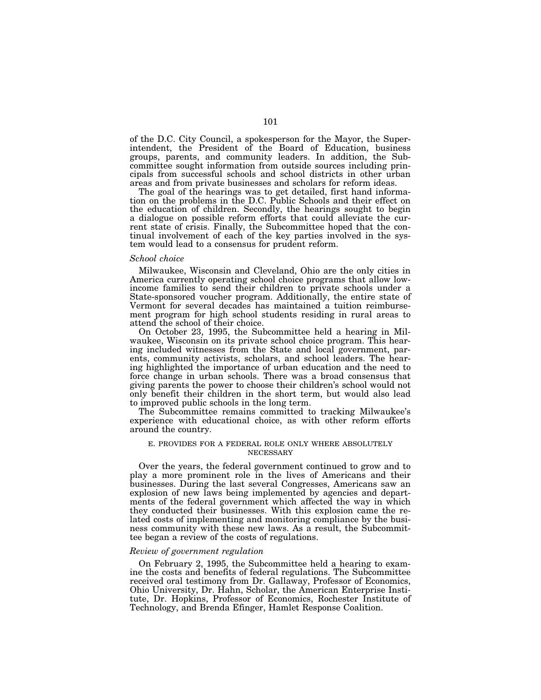of the D.C. City Council, a spokesperson for the Mayor, the Superintendent, the President of the Board of Education, business groups, parents, and community leaders. In addition, the Subcommittee sought information from outside sources including principals from successful schools and school districts in other urban areas and from private businesses and scholars for reform ideas.

The goal of the hearings was to get detailed, first hand information on the problems in the D.C. Public Schools and their effect on the education of children. Secondly, the hearings sought to begin a dialogue on possible reform efforts that could alleviate the current state of crisis. Finally, the Subcommittee hoped that the continual involvement of each of the key parties involved in the system would lead to a consensus for prudent reform.

#### *School choice*

Milwaukee, Wisconsin and Cleveland, Ohio are the only cities in America currently operating school choice programs that allow lowincome families to send their children to private schools under a State-sponsored voucher program. Additionally, the entire state of Vermont for several decades has maintained a tuition reimbursement program for high school students residing in rural areas to attend the school of their choice.

On October 23, 1995, the Subcommittee held a hearing in Milwaukee, Wisconsin on its private school choice program. This hearing included witnesses from the State and local government, parents, community activists, scholars, and school leaders. The hearing highlighted the importance of urban education and the need to force change in urban schools. There was a broad consensus that giving parents the power to choose their children's school would not only benefit their children in the short term, but would also lead to improved public schools in the long term.

The Subcommittee remains committed to tracking Milwaukee's experience with educational choice, as with other reform efforts around the country.

### E. PROVIDES FOR A FEDERAL ROLE ONLY WHERE ABSOLUTELY **NECESSARY**

Over the years, the federal government continued to grow and to play a more prominent role in the lives of Americans and their businesses. During the last several Congresses, Americans saw an explosion of new laws being implemented by agencies and departments of the federal government which affected the way in which they conducted their businesses. With this explosion came the related costs of implementing and monitoring compliance by the business community with these new laws. As a result, the Subcommittee began a review of the costs of regulations.

#### *Review of government regulation*

On February 2, 1995, the Subcommittee held a hearing to examine the costs and benefits of federal regulations. The Subcommittee received oral testimony from Dr. Gallaway, Professor of Economics, Ohio University, Dr. Hahn, Scholar, the American Enterprise Institute, Dr. Hopkins, Professor of Economics, Rochester Institute of Technology, and Brenda Efinger, Hamlet Response Coalition.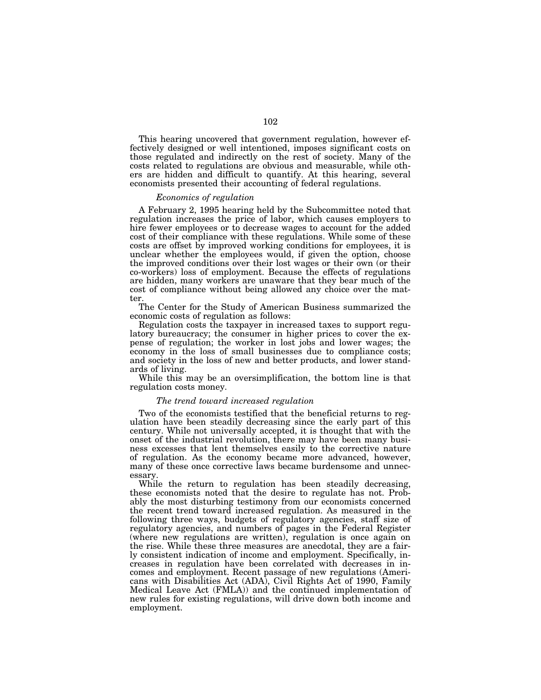This hearing uncovered that government regulation, however effectively designed or well intentioned, imposes significant costs on those regulated and indirectly on the rest of society. Many of the costs related to regulations are obvious and measurable, while others are hidden and difficult to quantify. At this hearing, several economists presented their accounting of federal regulations.

#### *Economics of regulation*

A February 2, 1995 hearing held by the Subcommittee noted that regulation increases the price of labor, which causes employers to hire fewer employees or to decrease wages to account for the added cost of their compliance with these regulations. While some of these costs are offset by improved working conditions for employees, it is unclear whether the employees would, if given the option, choose the improved conditions over their lost wages or their own (or their co-workers) loss of employment. Because the effects of regulations are hidden, many workers are unaware that they bear much of the cost of compliance without being allowed any choice over the matter.

The Center for the Study of American Business summarized the economic costs of regulation as follows:

Regulation costs the taxpayer in increased taxes to support regulatory bureaucracy; the consumer in higher prices to cover the expense of regulation; the worker in lost jobs and lower wages; the economy in the loss of small businesses due to compliance costs; and society in the loss of new and better products, and lower standards of living.

While this may be an oversimplification, the bottom line is that regulation costs money.

#### *The trend toward increased regulation*

Two of the economists testified that the beneficial returns to regulation have been steadily decreasing since the early part of this century. While not universally accepted, it is thought that with the onset of the industrial revolution, there may have been many business excesses that lent themselves easily to the corrective nature of regulation. As the economy became more advanced, however, many of these once corrective laws became burdensome and unnecessary.

While the return to regulation has been steadily decreasing, these economists noted that the desire to regulate has not. Probably the most disturbing testimony from our economists concerned the recent trend toward increased regulation. As measured in the following three ways, budgets of regulatory agencies, staff size of regulatory agencies, and numbers of pages in the Federal Register (where new regulations are written), regulation is once again on the rise. While these three measures are anecdotal, they are a fairly consistent indication of income and employment. Specifically, increases in regulation have been correlated with decreases in incomes and employment. Recent passage of new regulations (Americans with Disabilities Act (ADA), Civil Rights Act of 1990, Family Medical Leave Act (FMLA)) and the continued implementation of new rules for existing regulations, will drive down both income and employment.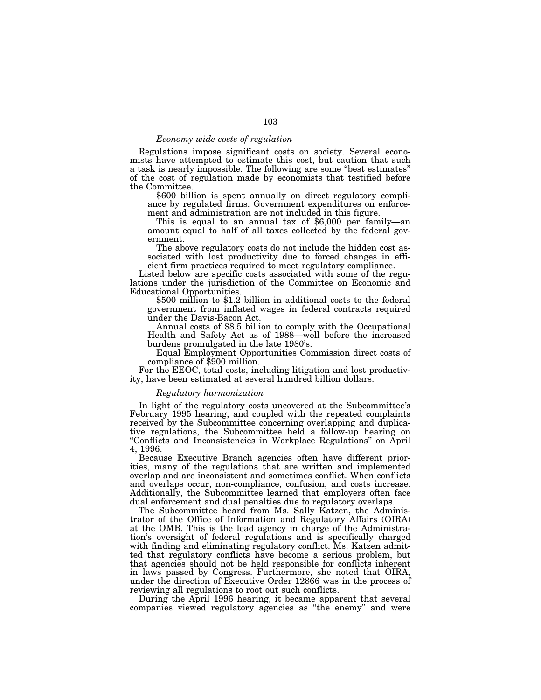### *Economy wide costs of regulation*

Regulations impose significant costs on society. Several economists have attempted to estimate this cost, but caution that such a task is nearly impossible. The following are some ''best estimates'' of the cost of regulation made by economists that testified before the Committee.

\$600 billion is spent annually on direct regulatory compliance by regulated firms. Government expenditures on enforce-

This is equal to an annual tax of  $$6,000$  per family—an amount equal to half of all taxes collected by the federal government.

The above regulatory costs do not include the hidden cost associated with lost productivity due to forced changes in efficient firm practices required to meet regulatory compliance.

Listed below are specific costs associated with some of the regulations under the jurisdiction of the Committee on Economic and Educational Opportunities.

\$500 million to \$1.2 billion in additional costs to the federal government from inflated wages in federal contracts required under the Davis-Bacon Act.

Annual costs of \$8.5 billion to comply with the Occupational Health and Safety Act as of 1988—well before the increased burdens promulgated in the late 1980's.

Equal Employment Opportunities Commission direct costs of compliance of \$900 million.

For the EEOC, total costs, including litigation and lost productivity, have been estimated at several hundred billion dollars.

#### *Regulatory harmonization*

In light of the regulatory costs uncovered at the Subcommittee's February 1995 hearing, and coupled with the repeated complaints received by the Subcommittee concerning overlapping and duplicative regulations, the Subcommittee held a follow-up hearing on ''Conflicts and Inconsistencies in Workplace Regulations'' on April 4, 1996.

Because Executive Branch agencies often have different priorities, many of the regulations that are written and implemented overlap and are inconsistent and sometimes conflict. When conflicts and overlaps occur, non-compliance, confusion, and costs increase. Additionally, the Subcommittee learned that employers often face dual enforcement and dual penalties due to regulatory overlaps.

The Subcommittee heard from Ms. Sally Katzen, the Administrator of the Office of Information and Regulatory Affairs (OIRA) at the OMB. This is the lead agency in charge of the Administration's oversight of federal regulations and is specifically charged with finding and eliminating regulatory conflict. Ms. Katzen admitted that regulatory conflicts have become a serious problem, but that agencies should not be held responsible for conflicts inherent in laws passed by Congress. Furthermore, she noted that OIRA, under the direction of Executive Order 12866 was in the process of reviewing all regulations to root out such conflicts.

During the April 1996 hearing, it became apparent that several companies viewed regulatory agencies as ''the enemy'' and were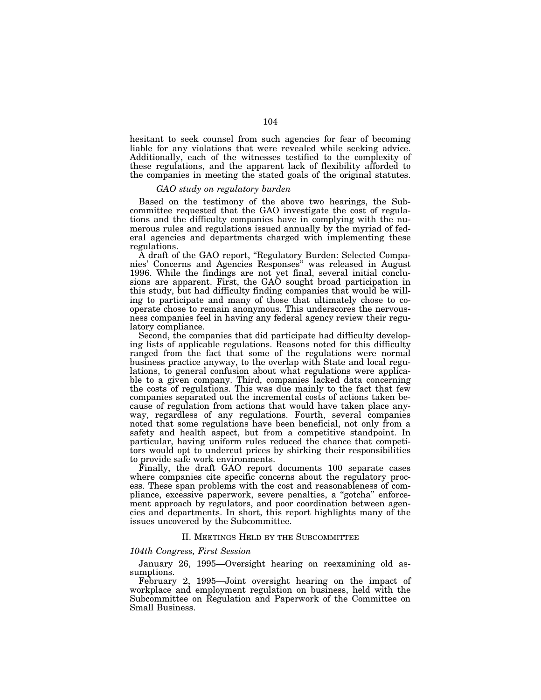hesitant to seek counsel from such agencies for fear of becoming liable for any violations that were revealed while seeking advice. Additionally, each of the witnesses testified to the complexity of these regulations, and the apparent lack of flexibility afforded to the companies in meeting the stated goals of the original statutes.

#### *GAO study on regulatory burden*

Based on the testimony of the above two hearings, the Subcommittee requested that the GAO investigate the cost of regulations and the difficulty companies have in complying with the numerous rules and regulations issued annually by the myriad of federal agencies and departments charged with implementing these regulations.

A draft of the GAO report, ''Regulatory Burden: Selected Companies' Concerns and Agencies Responses'' was released in August 1996. While the findings are not yet final, several initial conclusions are apparent. First, the GAO sought broad participation in this study, but had difficulty finding companies that would be willing to participate and many of those that ultimately chose to cooperate chose to remain anonymous. This underscores the nervousness companies feel in having any federal agency review their regulatory compliance.

Second, the companies that did participate had difficulty developing lists of applicable regulations. Reasons noted for this difficulty ranged from the fact that some of the regulations were normal business practice anyway, to the overlap with State and local regulations, to general confusion about what regulations were applicable to a given company. Third, companies lacked data concerning the costs of regulations. This was due mainly to the fact that few companies separated out the incremental costs of actions taken because of regulation from actions that would have taken place anyway, regardless of any regulations. Fourth, several companies noted that some regulations have been beneficial, not only from a safety and health aspect, but from a competitive standpoint. In particular, having uniform rules reduced the chance that competitors would opt to undercut prices by shirking their responsibilities to provide safe work environments.

Finally, the draft GAO report documents 100 separate cases where companies cite specific concerns about the regulatory process. These span problems with the cost and reasonableness of compliance, excessive paperwork, severe penalties, a ''gotcha'' enforcement approach by regulators, and poor coordination between agencies and departments. In short, this report highlights many of the issues uncovered by the Subcommittee.

#### II. MEETINGS HELD BY THE SUBCOMMITTEE

### *104th Congress, First Session*

January 26, 1995—Oversight hearing on reexamining old assumptions.

February 2, 1995—Joint oversight hearing on the impact of workplace and employment regulation on business, held with the Subcommittee on Regulation and Paperwork of the Committee on Small Business.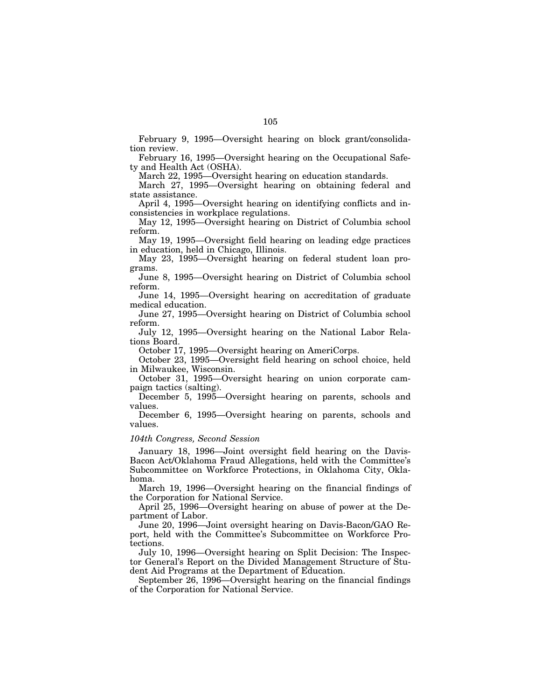February 9, 1995—Oversight hearing on block grant/consolidation review.

February 16, 1995—Oversight hearing on the Occupational Safety and Health Act (OSHA).

March 22, 1995—Oversight hearing on education standards.

March 27, 1995—Oversight hearing on obtaining federal and state assistance.

April 4, 1995—Oversight hearing on identifying conflicts and inconsistencies in workplace regulations.

May 12, 1995—Oversight hearing on District of Columbia school reform.

May 19, 1995—Oversight field hearing on leading edge practices in education, held in Chicago, Illinois.

May 23, 1995—Oversight hearing on federal student loan programs.

June 8, 1995—Oversight hearing on District of Columbia school reform.

June 14, 1995—Oversight hearing on accreditation of graduate medical education.

June 27, 1995—Oversight hearing on District of Columbia school reform.

July 12, 1995—Oversight hearing on the National Labor Relations Board.

October 17, 1995—Oversight hearing on AmeriCorps.

October 23, 1995—Oversight field hearing on school choice, held in Milwaukee, Wisconsin.

October 31, 1995—Oversight hearing on union corporate campaign tactics (salting).

December 5, 1995—Oversight hearing on parents, schools and values.

December 6, 1995—Oversight hearing on parents, schools and values.

#### *104th Congress, Second Session*

January 18, 1996—Joint oversight field hearing on the Davis-Bacon Act/Oklahoma Fraud Allegations, held with the Committee's Subcommittee on Workforce Protections, in Oklahoma City, Oklahoma.

March 19, 1996—Oversight hearing on the financial findings of the Corporation for National Service.

April 25, 1996—Oversight hearing on abuse of power at the Department of Labor.

June 20, 1996—Joint oversight hearing on Davis-Bacon/GAO Report, held with the Committee's Subcommittee on Workforce Protections.

July 10, 1996—Oversight hearing on Split Decision: The Inspector General's Report on the Divided Management Structure of Student Aid Programs at the Department of Education.

September 26, 1996—Oversight hearing on the financial findings of the Corporation for National Service.